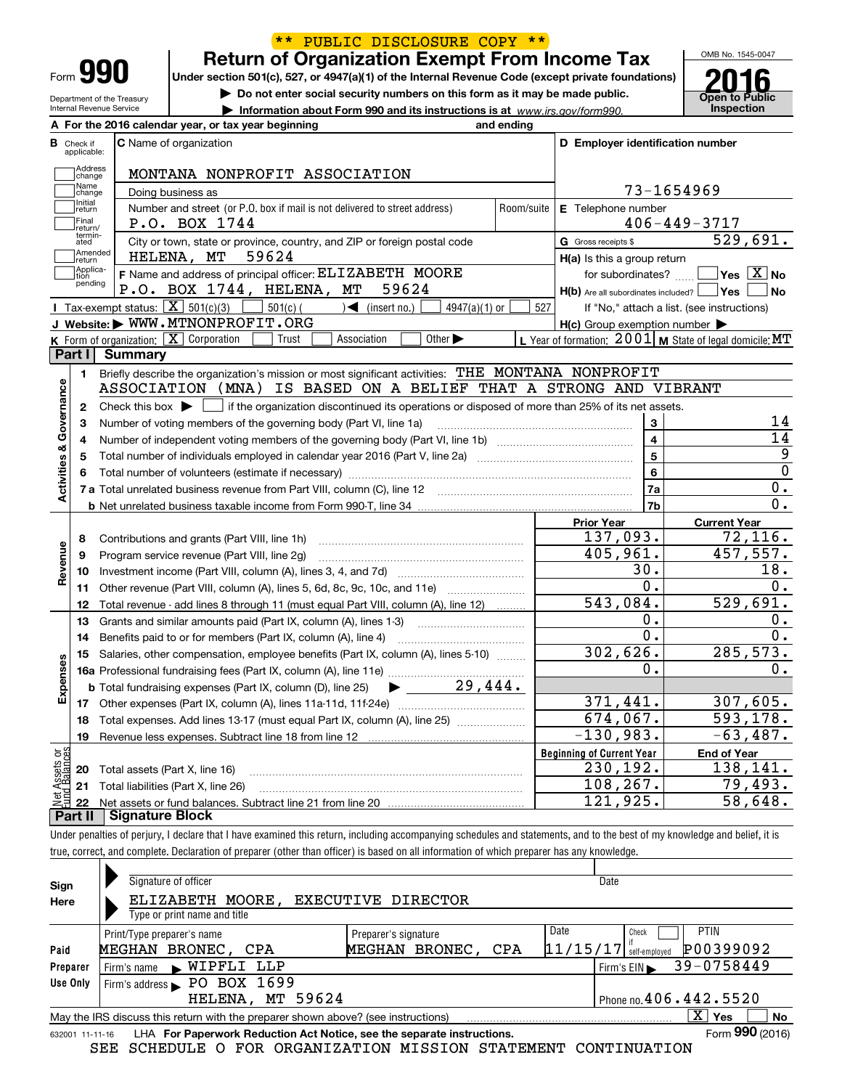|                                                      |                |                                                            |                                                                            |                                                                                                                  |            |                                                                                                                                                     | OMB No. 1545-0047                                                                                                                                                                                           |
|------------------------------------------------------|----------------|------------------------------------------------------------|----------------------------------------------------------------------------|------------------------------------------------------------------------------------------------------------------|------------|-----------------------------------------------------------------------------------------------------------------------------------------------------|-------------------------------------------------------------------------------------------------------------------------------------------------------------------------------------------------------------|
|                                                      |                |                                                            | <b>Return of Organization Exempt From Income Tax</b>                       |                                                                                                                  |            |                                                                                                                                                     |                                                                                                                                                                                                             |
| Form 990                                             |                |                                                            |                                                                            |                                                                                                                  |            | Under section 501(c), 527, or 4947(a)(1) of the Internal Revenue Code (except private foundations)                                                  |                                                                                                                                                                                                             |
| Department of the Treasury                           |                |                                                            |                                                                            | Do not enter social security numbers on this form as it may be made public.                                      |            |                                                                                                                                                     | <b>Open to Public</b>                                                                                                                                                                                       |
| Internal Revenue Service                             |                |                                                            |                                                                            | Information about Form 990 and its instructions is at www.irs.gov/form990.                                       |            |                                                                                                                                                     | Inspection                                                                                                                                                                                                  |
|                                                      |                | A For the 2016 calendar year, or tax year beginning        |                                                                            |                                                                                                                  | and ending |                                                                                                                                                     |                                                                                                                                                                                                             |
| Check if<br>applicable:                              |                | C Name of organization                                     |                                                                            |                                                                                                                  |            | D Employer identification number                                                                                                                    |                                                                                                                                                                                                             |
|                                                      |                |                                                            |                                                                            |                                                                                                                  |            |                                                                                                                                                     |                                                                                                                                                                                                             |
| Address<br>change                                    |                |                                                            | MONTANA NONPROFIT ASSOCIATION                                              |                                                                                                                  |            |                                                                                                                                                     |                                                                                                                                                                                                             |
| Name<br>change                                       |                | Doing business as                                          |                                                                            |                                                                                                                  |            |                                                                                                                                                     | 73-1654969                                                                                                                                                                                                  |
| Initial<br>return                                    |                |                                                            | Number and street (or P.O. box if mail is not delivered to street address) |                                                                                                                  | Room/suite | E Telephone number                                                                                                                                  |                                                                                                                                                                                                             |
| TFinal<br>return/                                    |                | P.O. BOX 1744                                              |                                                                            |                                                                                                                  |            |                                                                                                                                                     | $406 - 449 - 3717$                                                                                                                                                                                          |
| termin-<br>ated                                      |                |                                                            | City or town, state or province, country, and ZIP or foreign postal code   |                                                                                                                  |            | G Gross receipts \$                                                                                                                                 | 529,691.                                                                                                                                                                                                    |
| Amended<br> return                                   |                | 59624<br>HELENA, MT                                        |                                                                            |                                                                                                                  |            | H(a) Is this a group return                                                                                                                         |                                                                                                                                                                                                             |
| 1 Applica-<br>tion<br>pending                        |                |                                                            | F Name and address of principal officer: ELIZABETH MOORE                   |                                                                                                                  |            |                                                                                                                                                     | for subordinates? $\Box$ Yes $\boxed{X}$ No                                                                                                                                                                 |
|                                                      |                | P.O. BOX 1744, HELENA, MT                                  |                                                                            | 59624                                                                                                            |            | $H(b)$ Are all subordinates included? $\Box$ Yes $\Box$                                                                                             | No                                                                                                                                                                                                          |
|                                                      |                | <b>I</b> Tax-exempt status: $\boxed{\mathbf{X}}$ 501(c)(3) | $501(c)$ (<br>$\sqrt{\frac{1}{1}}$ (insert no.)                            | 4947(a)(1) or                                                                                                    | 527        |                                                                                                                                                     | If "No," attach a list. (see instructions)                                                                                                                                                                  |
|                                                      |                | J Website: WWW.MTNONPROFIT.ORG                             |                                                                            |                                                                                                                  |            | $H(c)$ Group exemption number $\blacktriangleright$                                                                                                 |                                                                                                                                                                                                             |
|                                                      |                | K Form of organization: $\boxed{\mathbf{X}}$ Corporation   | Trust<br>Association                                                       | Other $\blacktriangleright$                                                                                      |            | L Year of formation: $2001$ M State of legal domicile: MT                                                                                           |                                                                                                                                                                                                             |
| Part I                                               | <b>Summary</b> |                                                            |                                                                            |                                                                                                                  |            |                                                                                                                                                     |                                                                                                                                                                                                             |
| 1.                                                   |                |                                                            |                                                                            | Briefly describe the organization's mission or most significant activities: THE MONTANA NONPROFIT                |            |                                                                                                                                                     |                                                                                                                                                                                                             |
|                                                      |                |                                                            |                                                                            |                                                                                                                  |            | ASSOCIATION (MNA) IS BASED ON A BELIEF THAT A STRONG AND VIBRANT                                                                                    |                                                                                                                                                                                                             |
| 2                                                    |                |                                                            |                                                                            |                                                                                                                  |            |                                                                                                                                                     |                                                                                                                                                                                                             |
|                                                      |                |                                                            |                                                                            |                                                                                                                  |            | Check this box $\blacktriangleright$ $\blacksquare$ if the organization discontinued its operations or disposed of more than 25% of its net assets. |                                                                                                                                                                                                             |
| 3                                                    |                |                                                            |                                                                            |                                                                                                                  |            |                                                                                                                                                     |                                                                                                                                                                                                             |
| 4                                                    |                |                                                            | Number of voting members of the governing body (Part VI, line 1a)          |                                                                                                                  |            | $\mathbf{3}$                                                                                                                                        |                                                                                                                                                                                                             |
| 5                                                    |                |                                                            |                                                                            |                                                                                                                  |            | $\overline{\mathbf{4}}$                                                                                                                             |                                                                                                                                                                                                             |
|                                                      |                |                                                            |                                                                            | Total number of individuals employed in calendar year 2016 (Part V, line 2a) manufacture controller to intervent |            | $\overline{\mathbf{5}}$<br>6                                                                                                                        |                                                                                                                                                                                                             |
|                                                      |                |                                                            |                                                                            |                                                                                                                  |            |                                                                                                                                                     |                                                                                                                                                                                                             |
|                                                      |                |                                                            |                                                                            |                                                                                                                  |            | 7a                                                                                                                                                  |                                                                                                                                                                                                             |
|                                                      |                |                                                            |                                                                            |                                                                                                                  |            | 7b                                                                                                                                                  |                                                                                                                                                                                                             |
|                                                      |                |                                                            |                                                                            |                                                                                                                  |            | <b>Prior Year</b>                                                                                                                                   | <b>Current Year</b>                                                                                                                                                                                         |
| 8                                                    |                | Contributions and grants (Part VIII, line 1h)              |                                                                            |                                                                                                                  |            | 137,093.                                                                                                                                            |                                                                                                                                                                                                             |
| 9                                                    |                | Program service revenue (Part VIII, line 2g)               |                                                                            |                                                                                                                  |            | 405,961.                                                                                                                                            |                                                                                                                                                                                                             |
| 10                                                   |                |                                                            |                                                                            |                                                                                                                  |            | 30.                                                                                                                                                 |                                                                                                                                                                                                             |
| 11                                                   |                |                                                            |                                                                            |                                                                                                                  |            | $\overline{0}$ .                                                                                                                                    |                                                                                                                                                                                                             |
| 12                                                   |                |                                                            |                                                                            | Total revenue - add lines 8 through 11 (must equal Part VIII, column (A), line 12)                               |            | 543,084.                                                                                                                                            |                                                                                                                                                                                                             |
| 13                                                   |                |                                                            | Grants and similar amounts paid (Part IX, column (A), lines 1-3)           |                                                                                                                  |            | 0.                                                                                                                                                  |                                                                                                                                                                                                             |
| 14                                                   |                |                                                            | Benefits paid to or for members (Part IX, column (A), line 4)              |                                                                                                                  |            | $\overline{0}$ .                                                                                                                                    |                                                                                                                                                                                                             |
|                                                      |                |                                                            |                                                                            | 15 Salaries, other compensation, employee benefits (Part IX, column (A), lines 5-10)                             |            | 302,626.                                                                                                                                            |                                                                                                                                                                                                             |
|                                                      |                |                                                            |                                                                            |                                                                                                                  |            | $\mathbf 0$ .                                                                                                                                       |                                                                                                                                                                                                             |
|                                                      |                |                                                            |                                                                            |                                                                                                                  |            |                                                                                                                                                     |                                                                                                                                                                                                             |
|                                                      |                |                                                            |                                                                            |                                                                                                                  |            | 371,441.                                                                                                                                            |                                                                                                                                                                                                             |
| 18                                                   |                |                                                            |                                                                            | Total expenses. Add lines 13-17 (must equal Part IX, column (A), line 25) [                                      |            | 674,067.                                                                                                                                            |                                                                                                                                                                                                             |
| 19                                                   |                |                                                            |                                                                            |                                                                                                                  |            | $-130,983.$                                                                                                                                         |                                                                                                                                                                                                             |
|                                                      |                |                                                            |                                                                            |                                                                                                                  |            | <b>Beginning of Current Year</b>                                                                                                                    | <b>End of Year</b>                                                                                                                                                                                          |
| Activities & Governance<br>Revenue<br>Expenses<br>20 |                | Total assets (Part X, line 16)                             |                                                                            |                                                                                                                  |            | 230, 192.                                                                                                                                           | 14<br>$\overline{14}$<br>$\overline{0}$ .<br>$\overline{0}$ .<br>72,116.<br>457,557.<br>18.<br>0.<br>529,691.<br>0.<br>$\overline{0}$ .<br>285,573.<br>0.<br>307,605.<br>593,178.<br>$-63,487.$<br>138,141. |
| t Assets or<br>d Balances<br>21<br>鲳<br>22           |                | Total liabilities (Part X, line 26)                        |                                                                            |                                                                                                                  |            | 108,267.<br>121,925.                                                                                                                                | 79, 493.<br>58,648.                                                                                                                                                                                         |

true, correct, and complete. Declaration of preparer (other than officer) is based on all information of which preparer has any knowledge.

| Sign<br>Here                                                                                                   | Signature of officer<br>ELIZABETH MOORE,<br>EXECUTIVE DIRECTOR<br>Type or print name and title                                                 | Date                                                                           |  |  |  |  |  |  |
|----------------------------------------------------------------------------------------------------------------|------------------------------------------------------------------------------------------------------------------------------------------------|--------------------------------------------------------------------------------|--|--|--|--|--|--|
| Paid<br>Preparer                                                                                               | Date<br>Print/Type preparer's name<br>Preparer's signature<br> 11/15/17 <br>MEGHAN BRONEC, CPA<br>MEGHAN BRONEC, CPA<br>Firm's name WIPFLI LLP | <b>PTIN</b><br>Check<br>P00399092<br>self-emploved<br>39-0758449<br>Firm's EIN |  |  |  |  |  |  |
| Use Only                                                                                                       | Firm's address PO BOX 1699<br>HELENA, MT 59624                                                                                                 | Phone no. $406.442.5520$                                                       |  |  |  |  |  |  |
| $\mathbf{X}$<br>Yes<br>No<br>May the IRS discuss this return with the preparer shown above? (see instructions) |                                                                                                                                                |                                                                                |  |  |  |  |  |  |
| Form 990 (2016)<br>LHA For Paperwork Reduction Act Notice, see the separate instructions.<br>632001 11-11-16   |                                                                                                                                                |                                                                                |  |  |  |  |  |  |

SEE SCHEDULE O FOR ORGANIZATION MISSION STATEMENT CONTINUATION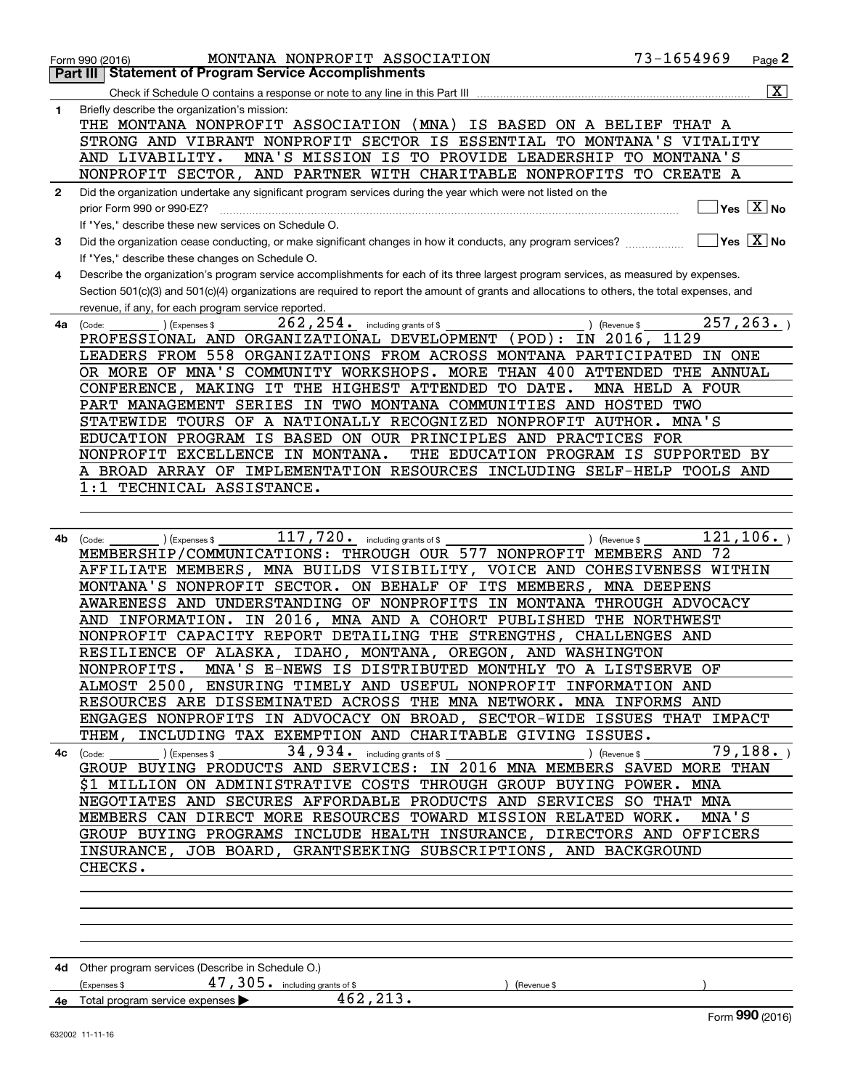|              | MONTANA NONPROFIT ASSOCIATION<br>Form 990 (2016)                                                                                             | 73-1654969           | Page 2                                 |
|--------------|----------------------------------------------------------------------------------------------------------------------------------------------|----------------------|----------------------------------------|
|              | <b>Statement of Program Service Accomplishments</b><br>Part III                                                                              |                      |                                        |
|              |                                                                                                                                              |                      | $\overline{\mathbf{x}}$                |
| 1            | Briefly describe the organization's mission:                                                                                                 |                      |                                        |
|              | THE MONTANA NONPROFIT ASSOCIATION (MNA) IS BASED ON A BELIEF THAT A                                                                          |                      |                                        |
|              | STRONG AND VIBRANT NONPROFIT SECTOR IS ESSENTIAL TO MONTANA'S VITALITY                                                                       |                      |                                        |
|              | MNA'S MISSION IS TO PROVIDE LEADERSHIP TO MONTANA'S<br>AND LIVABILITY.                                                                       |                      |                                        |
|              | NONPROFIT SECTOR, AND PARTNER WITH CHARITABLE NONPROFITS TO CREATE A                                                                         |                      |                                        |
| $\mathbf{2}$ | Did the organization undertake any significant program services during the year which were not listed on the                                 |                      |                                        |
|              | prior Form 990 or 990-EZ?                                                                                                                    |                      | $\sqrt{\ }$ Yes $\sqrt{\ \text{X}}$ No |
|              | If "Yes," describe these new services on Schedule O.                                                                                         |                      |                                        |
| 3            | Did the organization cease conducting, or make significant changes in how it conducts, any program services?                                 | $\Box$ Yes $\Box$ No |                                        |
|              | If "Yes," describe these changes on Schedule O.                                                                                              |                      |                                        |
| 4            | Describe the organization's program service accomplishments for each of its three largest program services, as measured by expenses.         |                      |                                        |
|              | Section 501(c)(3) and 501(c)(4) organizations are required to report the amount of grants and allocations to others, the total expenses, and |                      |                                        |
|              | revenue, if any, for each program service reported.                                                                                          |                      | 257, 263.                              |
| 4a           | $262$ , $254$ $\cdot$ including grants of \$<br>) (Expenses \$<br>) (Revenue \$<br>(Code:                                                    | 1129                 |                                        |
|              | PROFESSIONAL AND ORGANIZATIONAL DEVELOPMENT (POD): IN 2016,                                                                                  |                      |                                        |
|              | LEADERS FROM 558 ORGANIZATIONS FROM ACROSS MONTANA PARTICIPATED IN ONE                                                                       |                      |                                        |
|              | OR MORE OF MNA'S COMMUNITY WORKSHOPS. MORE THAN 400 ATTENDED THE ANNUAL                                                                      | MNA HELD A FOUR      |                                        |
|              | CONFERENCE, MAKING IT THE HIGHEST ATTENDED TO DATE.<br>PART MANAGEMENT SERIES IN TWO MONTANA COMMUNITIES AND HOSTED TWO                      |                      |                                        |
|              | STATEWIDE TOURS OF A NATIONALLY RECOGNIZED NONPROFIT AUTHOR. MNA'S                                                                           |                      |                                        |
|              | EDUCATION PROGRAM IS BASED ON OUR PRINCIPLES AND PRACTICES FOR                                                                               |                      |                                        |
|              | NONPROFIT EXCELLENCE IN MONTANA.<br>THE EDUCATION PROGRAM IS SUPPORTED BY                                                                    |                      |                                        |
|              | A BROAD ARRAY OF IMPLEMENTATION RESOURCES INCLUDING SELF-HELP TOOLS AND                                                                      |                      |                                        |
|              | 1:1 TECHNICAL ASSISTANCE.                                                                                                                    |                      |                                        |
|              |                                                                                                                                              |                      |                                        |
|              |                                                                                                                                              |                      |                                        |
| 4b           | $117,720$ . including grants of \$                                                                                                           |                      | 121, 106.                              |
|              | ) (Expenses \$<br>) (Revenue \$<br>(Code:<br>MEMBERSHIP/COMMUNICATIONS: THROUGH OUR 577 NONPROFIT MEMBERS AND 72                             |                      |                                        |
|              | AFFILIATE MEMBERS, MNA BUILDS VISIBILITY, VOICE AND COHESIVENESS WITHIN                                                                      |                      |                                        |
|              | MONTANA'S NONPROFIT SECTOR. ON BEHALF OF ITS MEMBERS, MNA DEEPENS                                                                            |                      |                                        |
|              | AWARENESS AND UNDERSTANDING OF NONPROFITS IN MONTANA THROUGH ADVOCACY                                                                        |                      |                                        |
|              | AND INFORMATION. IN 2016, MNA AND A COHORT PUBLISHED THE NORTHWEST                                                                           |                      |                                        |
|              | NONPROFIT CAPACITY REPORT DETAILING THE STRENGTHS, CHALLENGES AND                                                                            |                      |                                        |
|              | RESILIENCE OF ALASKA, IDAHO, MONTANA, OREGON, AND WASHINGTON                                                                                 |                      |                                        |
|              | NONPROFITS. MNA'S E-NEWS IS DISTRIBUTED MONTHLY TO A LISTSERVE OF                                                                            |                      |                                        |
|              | ALMOST 2500, ENSURING TIMELY AND USEFUL NONPROFIT INFORMATION AND                                                                            |                      |                                        |
|              | RESOURCES ARE DISSEMINATED ACROSS THE MNA NETWORK. MNA INFORMS AND                                                                           |                      |                                        |
|              | ENGAGES NONPROFITS IN ADVOCACY ON BROAD, SECTOR-WIDE ISSUES THAT IMPACT                                                                      |                      |                                        |
|              | THEM, INCLUDING TAX EXEMPTION AND CHARITABLE GIVING ISSUES.                                                                                  |                      |                                        |
|              | 34,934. including grants of \$<br>(Expenses \$<br>) (Revenue \$<br>$4c$ (Code:                                                               | 79,188.              |                                        |
|              | GROUP BUYING PRODUCTS AND SERVICES: IN 2016 MNA MEMBERS SAVED MORE THAN                                                                      |                      |                                        |
|              | \$1 MILLION ON ADMINISTRATIVE COSTS THROUGH GROUP BUYING POWER. MNA                                                                          |                      |                                        |
|              | NEGOTIATES AND SECURES AFFORDABLE PRODUCTS AND SERVICES SO THAT MNA                                                                          |                      |                                        |
|              | MEMBERS CAN DIRECT MORE RESOURCES TOWARD MISSION RELATED WORK.                                                                               | MNA'S                |                                        |
|              | GROUP BUYING PROGRAMS INCLUDE HEALTH INSURANCE, DIRECTORS AND OFFICERS                                                                       |                      |                                        |
|              | INSURANCE, JOB BOARD, GRANTSEEKING SUBSCRIPTIONS, AND BACKGROUND                                                                             |                      |                                        |
|              | CHECKS.                                                                                                                                      |                      |                                        |
|              |                                                                                                                                              |                      |                                        |
|              |                                                                                                                                              |                      |                                        |
|              |                                                                                                                                              |                      |                                        |
|              |                                                                                                                                              |                      |                                        |
|              |                                                                                                                                              |                      |                                        |
|              | 4d Other program services (Describe in Schedule O.)                                                                                          |                      |                                        |
|              | $47$ , $305$ $\cdot$ including grants of \$<br>(Expenses \$<br>(Revenue \$                                                                   |                      |                                        |
|              | 462, 213.<br>4e Total program service expenses                                                                                               |                      |                                        |
|              |                                                                                                                                              |                      | Form 990 (2016)                        |
|              | 632002 11-11-16                                                                                                                              |                      |                                        |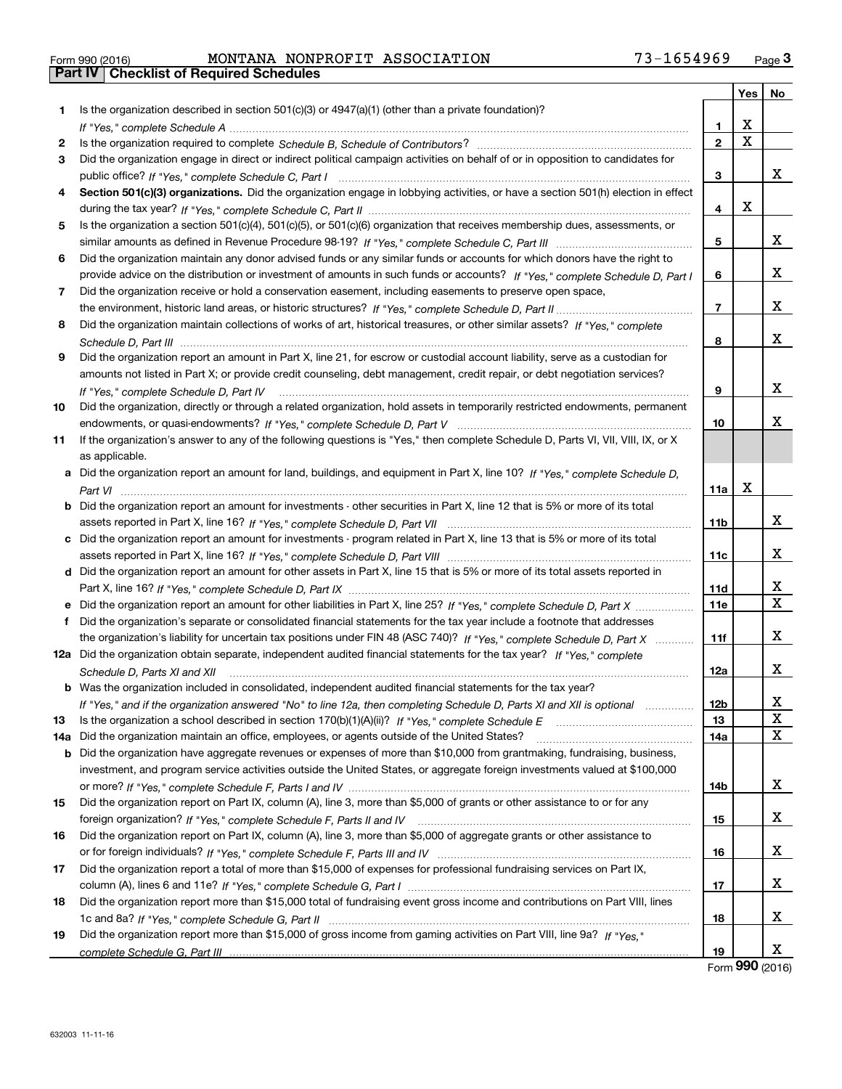|  | Form 990 (2016) |  |
|--|-----------------|--|

# Form 990 (2016) MONTANA NONPROFIT ASSOCIATION 73-1654969 <sub>Page</sub> 3<br>**Part IV | Checklist of Required Schedules**

|     |                                                                                                                                                                                                                                                   |              | Yes         | No |
|-----|---------------------------------------------------------------------------------------------------------------------------------------------------------------------------------------------------------------------------------------------------|--------------|-------------|----|
| 1.  | Is the organization described in section $501(c)(3)$ or $4947(a)(1)$ (other than a private foundation)?                                                                                                                                           |              |             |    |
|     |                                                                                                                                                                                                                                                   | 1.           | X           |    |
| 2   |                                                                                                                                                                                                                                                   | $\mathbf{2}$ | $\mathbf X$ |    |
| 3   | Did the organization engage in direct or indirect political campaign activities on behalf of or in opposition to candidates for                                                                                                                   |              |             |    |
|     |                                                                                                                                                                                                                                                   | 3            |             | x  |
| 4   | Section 501(c)(3) organizations. Did the organization engage in lobbying activities, or have a section 501(h) election in effect                                                                                                                  |              |             |    |
|     |                                                                                                                                                                                                                                                   | 4            | X           |    |
| 5   | Is the organization a section 501(c)(4), 501(c)(5), or 501(c)(6) organization that receives membership dues, assessments, or                                                                                                                      |              |             |    |
|     |                                                                                                                                                                                                                                                   | 5            |             | x  |
| 6   | Did the organization maintain any donor advised funds or any similar funds or accounts for which donors have the right to                                                                                                                         |              |             |    |
|     | provide advice on the distribution or investment of amounts in such funds or accounts? If "Yes," complete Schedule D, Part I                                                                                                                      | 6            |             | x  |
| 7   | Did the organization receive or hold a conservation easement, including easements to preserve open space,                                                                                                                                         |              |             |    |
|     |                                                                                                                                                                                                                                                   | 7            |             | x  |
| 8   | Did the organization maintain collections of works of art, historical treasures, or other similar assets? If "Yes," complete                                                                                                                      |              |             |    |
|     |                                                                                                                                                                                                                                                   | 8            |             | x  |
| 9   | Did the organization report an amount in Part X, line 21, for escrow or custodial account liability, serve as a custodian for                                                                                                                     |              |             |    |
|     | amounts not listed in Part X; or provide credit counseling, debt management, credit repair, or debt negotiation services?                                                                                                                         |              |             |    |
|     | If "Yes," complete Schedule D, Part IV                                                                                                                                                                                                            | 9            |             | x  |
| 10  | Did the organization, directly or through a related organization, hold assets in temporarily restricted endowments, permanent                                                                                                                     |              |             |    |
|     |                                                                                                                                                                                                                                                   | 10           |             | x  |
| 11  | If the organization's answer to any of the following questions is "Yes," then complete Schedule D, Parts VI, VII, VIII, IX, or X                                                                                                                  |              |             |    |
|     | as applicable.                                                                                                                                                                                                                                    |              |             |    |
|     | a Did the organization report an amount for land, buildings, and equipment in Part X, line 10? If "Yes," complete Schedule D,                                                                                                                     |              |             |    |
|     |                                                                                                                                                                                                                                                   | 11a          | X           |    |
|     | <b>b</b> Did the organization report an amount for investments - other securities in Part X, line 12 that is 5% or more of its total                                                                                                              |              |             |    |
|     |                                                                                                                                                                                                                                                   | 11b          |             | x  |
|     | c Did the organization report an amount for investments - program related in Part X, line 13 that is 5% or more of its total                                                                                                                      |              |             | x  |
|     |                                                                                                                                                                                                                                                   | 11c          |             |    |
|     | d Did the organization report an amount for other assets in Part X, line 15 that is 5% or more of its total assets reported in                                                                                                                    |              |             | x  |
|     |                                                                                                                                                                                                                                                   | 11d          |             | X  |
|     | e Did the organization report an amount for other liabilities in Part X, line 25? If "Yes," complete Schedule D, Part X                                                                                                                           | <b>11e</b>   |             |    |
| f   | Did the organization's separate or consolidated financial statements for the tax year include a footnote that addresses<br>the organization's liability for uncertain tax positions under FIN 48 (ASC 740)? If "Yes," complete Schedule D, Part X | 11f          |             | x  |
|     | 12a Did the organization obtain separate, independent audited financial statements for the tax year? If "Yes," complete                                                                                                                           |              |             |    |
|     |                                                                                                                                                                                                                                                   | 12a          |             | x  |
|     | Schedule D, Parts XI and XII<br><b>b</b> Was the organization included in consolidated, independent audited financial statements for the tax year?                                                                                                |              |             |    |
|     | If "Yes," and if the organization answered "No" to line 12a, then completing Schedule D, Parts XI and XII is optional                                                                                                                             | 12b          |             | X  |
| 13  |                                                                                                                                                                                                                                                   | 13           |             | X  |
| 14а | Did the organization maintain an office, employees, or agents outside of the United States?                                                                                                                                                       | 14a          |             | X  |
|     | <b>b</b> Did the organization have aggregate revenues or expenses of more than \$10,000 from grantmaking, fundraising, business,                                                                                                                  |              |             |    |
|     | investment, and program service activities outside the United States, or aggregate foreign investments valued at \$100,000                                                                                                                        |              |             |    |
|     |                                                                                                                                                                                                                                                   | 14b          |             | x  |
| 15  | Did the organization report on Part IX, column (A), line 3, more than \$5,000 of grants or other assistance to or for any                                                                                                                         |              |             |    |
|     |                                                                                                                                                                                                                                                   | 15           |             | х  |
| 16  | Did the organization report on Part IX, column (A), line 3, more than \$5,000 of aggregate grants or other assistance to                                                                                                                          |              |             |    |
|     |                                                                                                                                                                                                                                                   | 16           |             | X  |
| 17  | Did the organization report a total of more than \$15,000 of expenses for professional fundraising services on Part IX,                                                                                                                           |              |             |    |
|     |                                                                                                                                                                                                                                                   | 17           |             | X  |
| 18  | Did the organization report more than \$15,000 total of fundraising event gross income and contributions on Part VIII, lines                                                                                                                      |              |             |    |
|     |                                                                                                                                                                                                                                                   | 18           |             | X  |
| 19  | Did the organization report more than \$15,000 of gross income from gaming activities on Part VIII, line 9a? If "Yes."                                                                                                                            |              |             |    |
|     |                                                                                                                                                                                                                                                   | 19           |             | X  |

Form (2016) **990**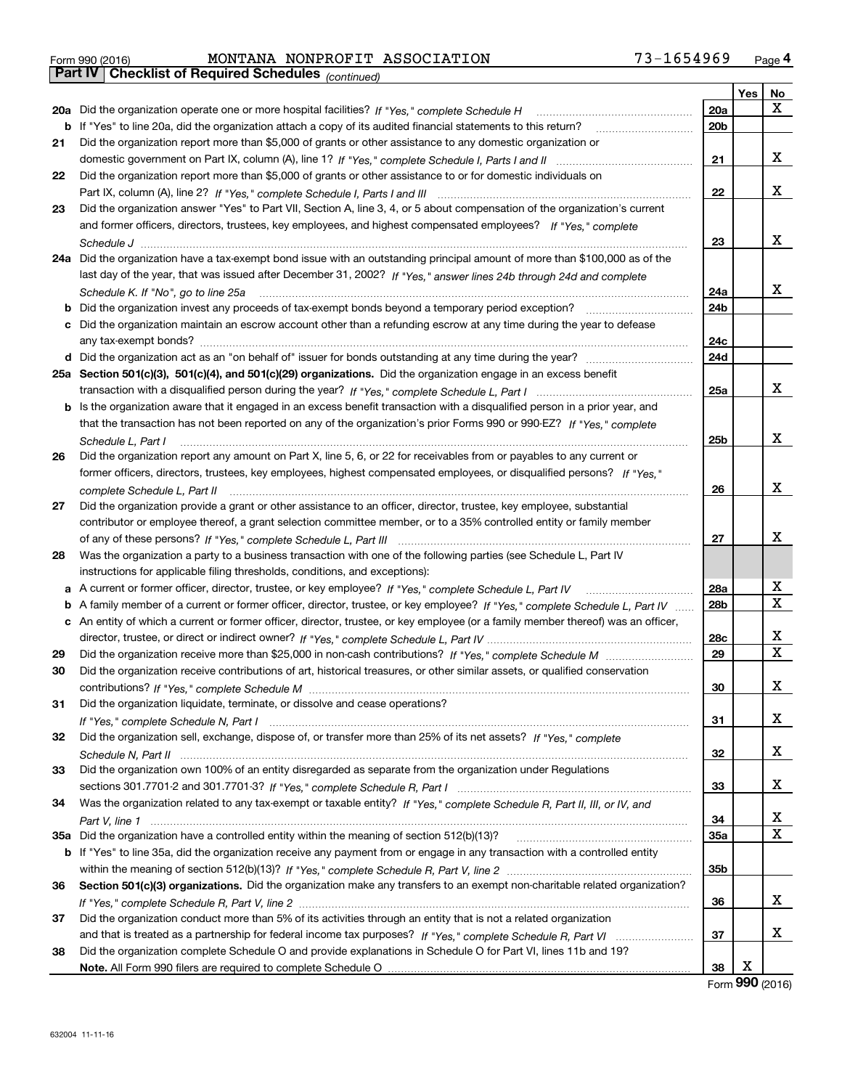|  | Form 990 (2016) |  |
|--|-----------------|--|

# Form 990 (2016) MONTANA NONPROFIT ASSOCIATION 73-1654969 <sub>Page</sub> 4<br>**Part IV | Checklist of Required Schedules** <sub>(continued)</sub>

*(continued)*

|    |                                                                                                                                   |            | Yes | No          |
|----|-----------------------------------------------------------------------------------------------------------------------------------|------------|-----|-------------|
|    | 20a Did the organization operate one or more hospital facilities? If "Yes," complete Schedule H                                   | 20a        |     | x           |
|    | b If "Yes" to line 20a, did the organization attach a copy of its audited financial statements to this return?                    | 20b        |     |             |
| 21 | Did the organization report more than \$5,000 of grants or other assistance to any domestic organization or                       |            |     |             |
|    |                                                                                                                                   | 21         |     | x           |
| 22 | Did the organization report more than \$5,000 of grants or other assistance to or for domestic individuals on                     |            |     |             |
|    |                                                                                                                                   | 22         |     | X           |
| 23 | Did the organization answer "Yes" to Part VII, Section A, line 3, 4, or 5 about compensation of the organization's current        |            |     |             |
|    | and former officers, directors, trustees, key employees, and highest compensated employees? If "Yes," complete                    |            |     |             |
|    |                                                                                                                                   | 23         |     | X           |
|    | 24a Did the organization have a tax-exempt bond issue with an outstanding principal amount of more than \$100,000 as of the       |            |     |             |
|    | last day of the year, that was issued after December 31, 2002? If "Yes," answer lines 24b through 24d and complete                |            |     |             |
|    |                                                                                                                                   | 24a        |     | x           |
| b  | Did the organization invest any proceeds of tax-exempt bonds beyond a temporary period exception?                                 | 24b        |     |             |
| с  | Did the organization maintain an escrow account other than a refunding escrow at any time during the year to defease              |            |     |             |
|    |                                                                                                                                   | 24c        |     |             |
|    |                                                                                                                                   | 24d        |     |             |
|    | 25a Section 501(c)(3), 501(c)(4), and 501(c)(29) organizations. Did the organization engage in an excess benefit                  |            |     |             |
|    |                                                                                                                                   | 25a        |     | x           |
|    | b Is the organization aware that it engaged in an excess benefit transaction with a disqualified person in a prior year, and      |            |     |             |
|    | that the transaction has not been reported on any of the organization's prior Forms 990 or 990-EZ? If "Yes," complete             |            |     |             |
|    | Schedule L, Part I                                                                                                                | 25b        |     | X           |
| 26 | Did the organization report any amount on Part X, line 5, 6, or 22 for receivables from or payables to any current or             |            |     |             |
|    | former officers, directors, trustees, key employees, highest compensated employees, or disqualified persons? If "Yes."            |            |     |             |
|    | complete Schedule L, Part II                                                                                                      | 26         |     | X           |
| 27 | Did the organization provide a grant or other assistance to an officer, director, trustee, key employee, substantial              |            |     |             |
|    | contributor or employee thereof, a grant selection committee member, or to a 35% controlled entity or family member               |            |     |             |
|    |                                                                                                                                   | 27         |     | X           |
| 28 | Was the organization a party to a business transaction with one of the following parties (see Schedule L, Part IV                 |            |     |             |
|    | instructions for applicable filing thresholds, conditions, and exceptions):                                                       |            |     |             |
| а  | A current or former officer, director, trustee, or key employee? If "Yes," complete Schedule L, Part IV                           | 28a        |     | Х           |
| b  | A family member of a current or former officer, director, trustee, or key employee? If "Yes," complete Schedule L, Part IV        | 28b        |     | $\mathbf X$ |
|    | c An entity of which a current or former officer, director, trustee, or key employee (or a family member thereof) was an officer, |            |     |             |
|    |                                                                                                                                   | 28c        |     | Х           |
| 29 |                                                                                                                                   | 29         |     | $\mathbf X$ |
| 30 | Did the organization receive contributions of art, historical treasures, or other similar assets, or qualified conservation       |            |     |             |
|    |                                                                                                                                   | 30         |     | х           |
| 31 | Did the organization liquidate, terminate, or dissolve and cease operations?                                                      |            |     |             |
|    |                                                                                                                                   | 31         |     | X           |
| 32 | Did the organization sell, exchange, dispose of, or transfer more than 25% of its net assets? If "Yes," complete                  |            |     |             |
|    |                                                                                                                                   | 32         |     | х           |
| 33 | Did the organization own 100% of an entity disregarded as separate from the organization under Regulations                        |            |     |             |
|    |                                                                                                                                   | 33         |     | х           |
| 34 | Was the organization related to any tax-exempt or taxable entity? If "Yes," complete Schedule R, Part II, III, or IV, and         |            |     |             |
|    |                                                                                                                                   | 34         |     | х           |
|    | 35a Did the organization have a controlled entity within the meaning of section 512(b)(13)?                                       | <b>35a</b> |     | X           |
|    | b If "Yes" to line 35a, did the organization receive any payment from or engage in any transaction with a controlled entity       |            |     |             |
|    |                                                                                                                                   | 35b        |     |             |
| 36 | Section 501(c)(3) organizations. Did the organization make any transfers to an exempt non-charitable related organization?        |            |     |             |
|    |                                                                                                                                   | 36         |     | х           |
| 37 | Did the organization conduct more than 5% of its activities through an entity that is not a related organization                  |            |     |             |
|    |                                                                                                                                   | 37         |     | x           |
| 38 | Did the organization complete Schedule O and provide explanations in Schedule O for Part VI, lines 11b and 19?                    |            |     |             |
|    |                                                                                                                                   | 38         | X   |             |

Form (2016) **990**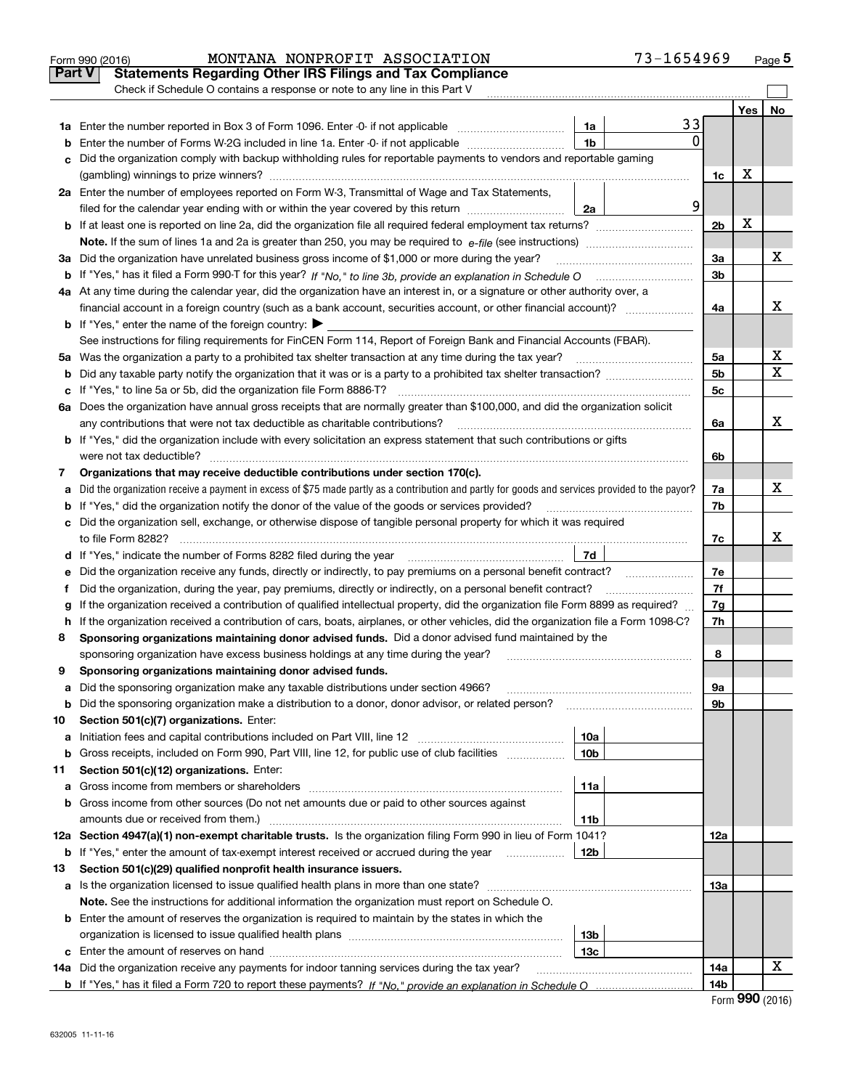|        | MONTANA NONPROFIT ASSOCIATION<br>Form 990 (2016)                                                                                                |                 | 73-1654969 |                |     | Page 5 |
|--------|-------------------------------------------------------------------------------------------------------------------------------------------------|-----------------|------------|----------------|-----|--------|
| Part V | <b>Statements Regarding Other IRS Filings and Tax Compliance</b>                                                                                |                 |            |                |     |        |
|        | Check if Schedule O contains a response or note to any line in this Part V                                                                      |                 |            |                |     |        |
|        |                                                                                                                                                 |                 |            |                | Yes | No     |
|        |                                                                                                                                                 | 1a              | 33         |                |     |        |
| b      | Enter the number of Forms W-2G included in line 1a. Enter -0- if not applicable                                                                 | 1 <sub>b</sub>  | $\Omega$   |                |     |        |
| c      | Did the organization comply with backup withholding rules for reportable payments to vendors and reportable gaming                              |                 |            |                |     |        |
|        |                                                                                                                                                 |                 |            | 1c             | х   |        |
|        | 2a Enter the number of employees reported on Form W-3, Transmittal of Wage and Tax Statements,                                                  |                 |            |                |     |        |
|        | filed for the calendar year ending with or within the year covered by this return                                                               | 2a              | 9          |                |     |        |
|        |                                                                                                                                                 |                 |            | 2 <sub>b</sub> | х   |        |
|        |                                                                                                                                                 |                 |            |                |     |        |
|        | 3a Did the organization have unrelated business gross income of \$1,000 or more during the year?                                                |                 |            | 3a             |     | х      |
|        |                                                                                                                                                 |                 |            | 3b             |     |        |
|        | 4a At any time during the calendar year, did the organization have an interest in, or a signature or other authority over, a                    |                 |            |                |     |        |
|        | financial account in a foreign country (such as a bank account, securities account, or other financial account)?                                |                 |            | 4a             |     | x      |
|        | <b>b</b> If "Yes," enter the name of the foreign country: $\blacktriangleright$                                                                 |                 |            |                |     |        |
|        | See instructions for filing requirements for FinCEN Form 114, Report of Foreign Bank and Financial Accounts (FBAR).                             |                 |            |                |     |        |
|        |                                                                                                                                                 |                 |            | 5a             |     | х      |
| b      |                                                                                                                                                 |                 |            | 5 <sub>b</sub> |     | х      |
| с      |                                                                                                                                                 |                 |            | 5c             |     |        |
|        | 6a Does the organization have annual gross receipts that are normally greater than \$100,000, and did the organization solicit                  |                 |            |                |     |        |
|        |                                                                                                                                                 |                 |            | 6a             |     | x      |
|        | <b>b</b> If "Yes," did the organization include with every solicitation an express statement that such contributions or gifts                   |                 |            |                |     |        |
|        |                                                                                                                                                 |                 |            | 6b             |     |        |
| 7      | Organizations that may receive deductible contributions under section 170(c).                                                                   |                 |            |                |     |        |
| a      | Did the organization receive a payment in excess of \$75 made partly as a contribution and partly for goods and services provided to the payor? |                 |            | 7a             |     | x      |
|        | <b>b</b> If "Yes," did the organization notify the donor of the value of the goods or services provided?                                        |                 |            | 7b             |     |        |
|        | c Did the organization sell, exchange, or otherwise dispose of tangible personal property for which it was required                             |                 |            |                |     |        |
|        |                                                                                                                                                 |                 |            | 7c             |     | x      |
|        | d If "Yes," indicate the number of Forms 8282 filed during the year [11,111] The Section of Holder and The Year                                 | 7d              |            |                |     |        |
| е      |                                                                                                                                                 |                 |            | 7e             |     |        |
| f      | Did the organization, during the year, pay premiums, directly or indirectly, on a personal benefit contract?                                    |                 |            | 7f             |     |        |
| g      | If the organization received a contribution of qualified intellectual property, did the organization file Form 8899 as required?                |                 |            | 7g             |     |        |
|        | h If the organization received a contribution of cars, boats, airplanes, or other vehicles, did the organization file a Form 1098-C?            |                 |            | 7h             |     |        |
| 8      | Sponsoring organizations maintaining donor advised funds. Did a donor advised fund maintained by the                                            |                 |            |                |     |        |
|        | sponsoring organization have excess business holdings at any time during the year?                                                              |                 |            | 8              |     |        |
|        | Sponsoring organizations maintaining donor advised funds.                                                                                       |                 |            |                |     |        |
| a      | Did the sponsoring organization make any taxable distributions under section 4966?                                                              |                 |            | 9а             |     |        |
| b      | Did the sponsoring organization make a distribution to a donor, donor advisor, or related person?                                               |                 |            | 9b             |     |        |
| 10     | Section 501(c)(7) organizations. Enter:                                                                                                         |                 |            |                |     |        |
| а      | Initiation fees and capital contributions included on Part VIII, line 12 <i>manuarrouus</i> manuations of the lates                             | 10a             |            |                |     |        |
| b      | Gross receipts, included on Form 990, Part VIII, line 12, for public use of club facilities                                                     | 10 <sub>b</sub> |            |                |     |        |
| 11     | Section 501(c)(12) organizations. Enter:                                                                                                        |                 |            |                |     |        |
| a      | Gross income from members or shareholders                                                                                                       | 11a             |            |                |     |        |
|        | b Gross income from other sources (Do not net amounts due or paid to other sources against                                                      |                 |            |                |     |        |
|        | amounts due or received from them.)                                                                                                             | 11b             |            |                |     |        |
|        | 12a Section 4947(a)(1) non-exempt charitable trusts. Is the organization filing Form 990 in lieu of Form 1041?                                  |                 |            | 12a            |     |        |
|        | <b>b</b> If "Yes," enter the amount of tax-exempt interest received or accrued during the year <i>manument</i>                                  | 12b             |            |                |     |        |
| 13     | Section 501(c)(29) qualified nonprofit health insurance issuers.                                                                                |                 |            |                |     |        |
| a      | Is the organization licensed to issue qualified health plans in more than one state?                                                            |                 |            | 13а            |     |        |
|        | Note. See the instructions for additional information the organization must report on Schedule O.                                               |                 |            |                |     |        |
|        | <b>b</b> Enter the amount of reserves the organization is required to maintain by the states in which the                                       |                 |            |                |     |        |
|        |                                                                                                                                                 | 13 <sub>b</sub> |            |                |     |        |
|        |                                                                                                                                                 | 13c             |            |                |     |        |
|        | 14a Did the organization receive any payments for indoor tanning services during the tax year?                                                  |                 |            | 14a            |     | x      |
|        |                                                                                                                                                 |                 |            | 14b            |     |        |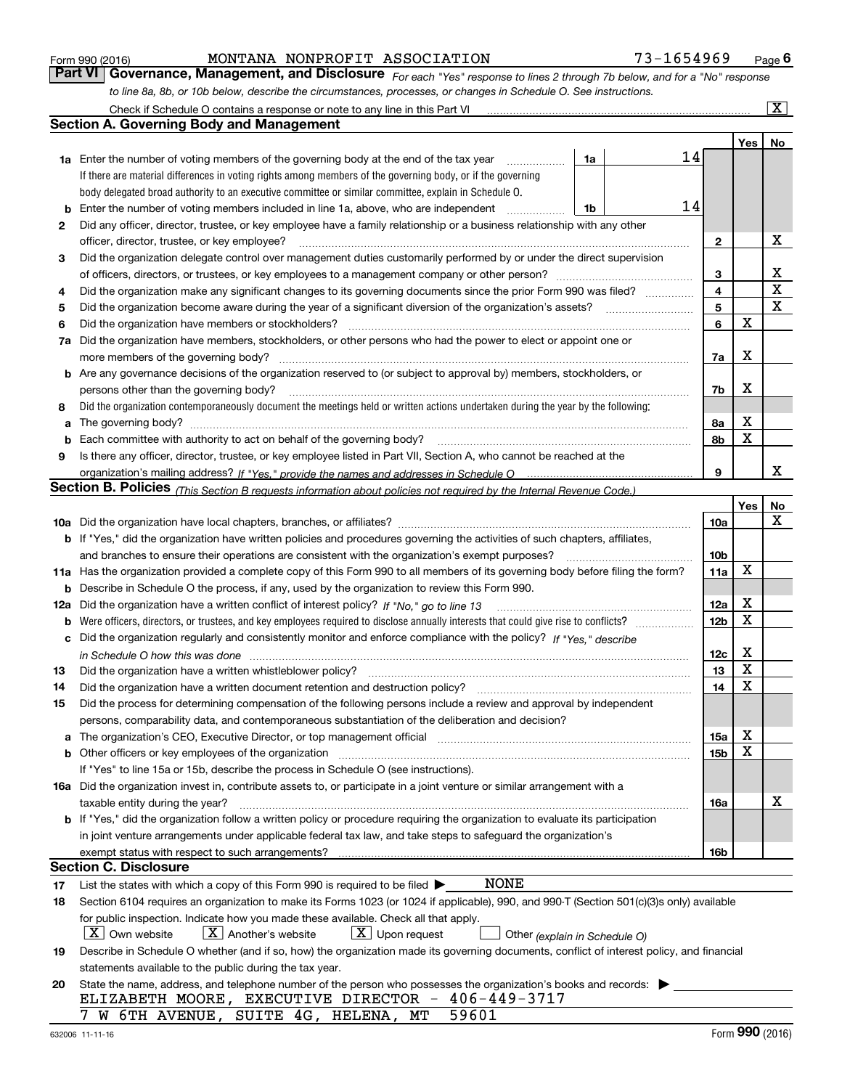| Form 990 (2016) |  |  |
|-----------------|--|--|
|                 |  |  |

| Form 990 (2016) |  | MONTANA NONPROFIT ASSOCIATION                                                                                    | 73-1654969                                                                                                                    | $P_{\text{aqe}}$ 6 |
|-----------------|--|------------------------------------------------------------------------------------------------------------------|-------------------------------------------------------------------------------------------------------------------------------|--------------------|
|                 |  |                                                                                                                  | Part VI   Governance, Management, and Disclosure For each "Yes" response to lines 2 through 7b below, and for a "No" response |                    |
|                 |  | to line 8a, 8b, or 10b below, describe the circumstances, processes, or changes in Schedule O. See instructions. |                                                                                                                               |                    |

|          | Check if Schedule O contains a response or note to any line in this Part VI                                                                                                                                                                  |                               |                 |     | x           |
|----------|----------------------------------------------------------------------------------------------------------------------------------------------------------------------------------------------------------------------------------------------|-------------------------------|-----------------|-----|-------------|
|          | <b>Section A. Governing Body and Management</b>                                                                                                                                                                                              |                               |                 |     |             |
|          |                                                                                                                                                                                                                                              |                               |                 | Yes | No          |
|          | 1a Enter the number of voting members of the governing body at the end of the tax year                                                                                                                                                       | 1a                            | 14              |     |             |
|          | If there are material differences in voting rights among members of the governing body, or if the governing                                                                                                                                  |                               |                 |     |             |
|          | body delegated broad authority to an executive committee or similar committee, explain in Schedule O.                                                                                                                                        |                               |                 |     |             |
| b        | Enter the number of voting members included in line 1a, above, who are independent                                                                                                                                                           | 1b                            | 14              |     |             |
| 2        | Did any officer, director, trustee, or key employee have a family relationship or a business relationship with any other                                                                                                                     |                               |                 |     |             |
|          | officer, director, trustee, or key employee?                                                                                                                                                                                                 | .                             | 2               |     | X           |
| 3        | Did the organization delegate control over management duties customarily performed by or under the direct supervision                                                                                                                        |                               |                 |     |             |
|          | of officers, directors, or trustees, or key employees to a management company or other person?                                                                                                                                               |                               | 3               |     | х           |
| 4        | Did the organization make any significant changes to its governing documents since the prior Form 990 was filed?                                                                                                                             |                               | 4               |     | $\mathbf X$ |
| 5        |                                                                                                                                                                                                                                              |                               | 5               |     | $\mathbf X$ |
| 6        | Did the organization have members or stockholders?                                                                                                                                                                                           |                               | 6               | X   |             |
| 7a       | Did the organization have members, stockholders, or other persons who had the power to elect or appoint one or                                                                                                                               |                               |                 |     |             |
|          | more members of the governing body?                                                                                                                                                                                                          |                               | 7a              | х   |             |
| b        | Are any governance decisions of the organization reserved to (or subject to approval by) members, stockholders, or                                                                                                                           |                               |                 |     |             |
|          | persons other than the governing body?                                                                                                                                                                                                       |                               | 7b              | х   |             |
| 8        | Did the organization contemporaneously document the meetings held or written actions undertaken during the year by the following:                                                                                                            |                               |                 |     |             |
| a        |                                                                                                                                                                                                                                              |                               | 8a              | X   |             |
| b        | Each committee with authority to act on behalf of the governing body?                                                                                                                                                                        |                               | 8b              | X   |             |
| 9        | Is there any officer, director, trustee, or key employee listed in Part VII, Section A, who cannot be reached at the                                                                                                                         |                               |                 |     |             |
|          |                                                                                                                                                                                                                                              |                               | 9               |     | x           |
|          | <b>Section B. Policies</b> (This Section B requests information about policies not required by the Internal Revenue Code.)                                                                                                                   |                               |                 |     |             |
|          |                                                                                                                                                                                                                                              |                               |                 | Yes | No          |
|          |                                                                                                                                                                                                                                              |                               | 10a             |     | х           |
|          | <b>b</b> If "Yes," did the organization have written policies and procedures governing the activities of such chapters, affiliates,                                                                                                          |                               |                 |     |             |
|          | and branches to ensure their operations are consistent with the organization's exempt purposes?                                                                                                                                              |                               | 10 <sub>b</sub> |     |             |
|          | 11a Has the organization provided a complete copy of this Form 990 to all members of its governing body before filing the form?                                                                                                              |                               | 11a             | X   |             |
| b        | Describe in Schedule O the process, if any, used by the organization to review this Form 990.                                                                                                                                                |                               |                 |     |             |
| 12a      | Did the organization have a written conflict of interest policy? If "No," go to line 13                                                                                                                                                      |                               | 12a             | X   |             |
| b        |                                                                                                                                                                                                                                              |                               | 12 <sub>b</sub> | X   |             |
| с        | Did the organization regularly and consistently monitor and enforce compliance with the policy? If "Yes." describe                                                                                                                           |                               |                 |     |             |
|          | in Schedule O how this was done measured and continuum control to the control of the state of the state of the                                                                                                                               |                               | 12c             | х   |             |
| 13       | Did the organization have a written whistleblower policy?                                                                                                                                                                                    |                               | 13              | X   |             |
| 14       | Did the organization have a written document retention and destruction policy?                                                                                                                                                               |                               | 14              | X   |             |
| 15       | Did the process for determining compensation of the following persons include a review and approval by independent                                                                                                                           |                               |                 |     |             |
|          | persons, comparability data, and contemporaneous substantiation of the deliberation and decision?                                                                                                                                            |                               |                 |     |             |
| а        | The organization's CEO, Executive Director, or top management official manufactured content content of the organization's CEO, Executive Director, or top management official                                                                |                               | 15a             | х   |             |
| b        |                                                                                                                                                                                                                                              |                               | 15 <sub>b</sub> | X   |             |
|          | If "Yes" to line 15a or 15b, describe the process in Schedule O (see instructions).                                                                                                                                                          |                               |                 |     |             |
|          | 16a Did the organization invest in, contribute assets to, or participate in a joint venture or similar arrangement with a                                                                                                                    |                               |                 |     | х           |
|          | taxable entity during the year?                                                                                                                                                                                                              |                               | 16a             |     |             |
|          | b If "Yes," did the organization follow a written policy or procedure requiring the organization to evaluate its participation                                                                                                               |                               |                 |     |             |
|          | in joint venture arrangements under applicable federal tax law, and take steps to safeguard the organization's                                                                                                                               |                               |                 |     |             |
|          | exempt status with respect to such arrangements?<br><b>Section C. Disclosure</b>                                                                                                                                                             |                               | 16b             |     |             |
|          | <b>NONE</b>                                                                                                                                                                                                                                  |                               |                 |     |             |
| 17<br>18 | List the states with which a copy of this Form 990 is required to be filed $\blacktriangleright$<br>Section 6104 requires an organization to make its Forms 1023 (or 1024 if applicable), 990, and 990-T (Section 501(c)(3)s only) available |                               |                 |     |             |
|          | for public inspection. Indicate how you made these available. Check all that apply.                                                                                                                                                          |                               |                 |     |             |
|          | $\lfloor X \rfloor$ Own website<br>$X$ Another's website<br>$\lfloor x \rfloor$ Upon request                                                                                                                                                 | Other (explain in Schedule O) |                 |     |             |
| 19       | Describe in Schedule O whether (and if so, how) the organization made its governing documents, conflict of interest policy, and financial                                                                                                    |                               |                 |     |             |
|          | statements available to the public during the tax year.                                                                                                                                                                                      |                               |                 |     |             |
| 20       | State the name, address, and telephone number of the person who possesses the organization's books and records:                                                                                                                              |                               |                 |     |             |
|          | ELIZABETH MOORE, EXECUTIVE DIRECTOR - 406-449-3717                                                                                                                                                                                           |                               |                 |     |             |
|          | 7 W 6TH AVENUE, SUITE 4G, HELENA, MT<br>59601                                                                                                                                                                                                |                               |                 |     |             |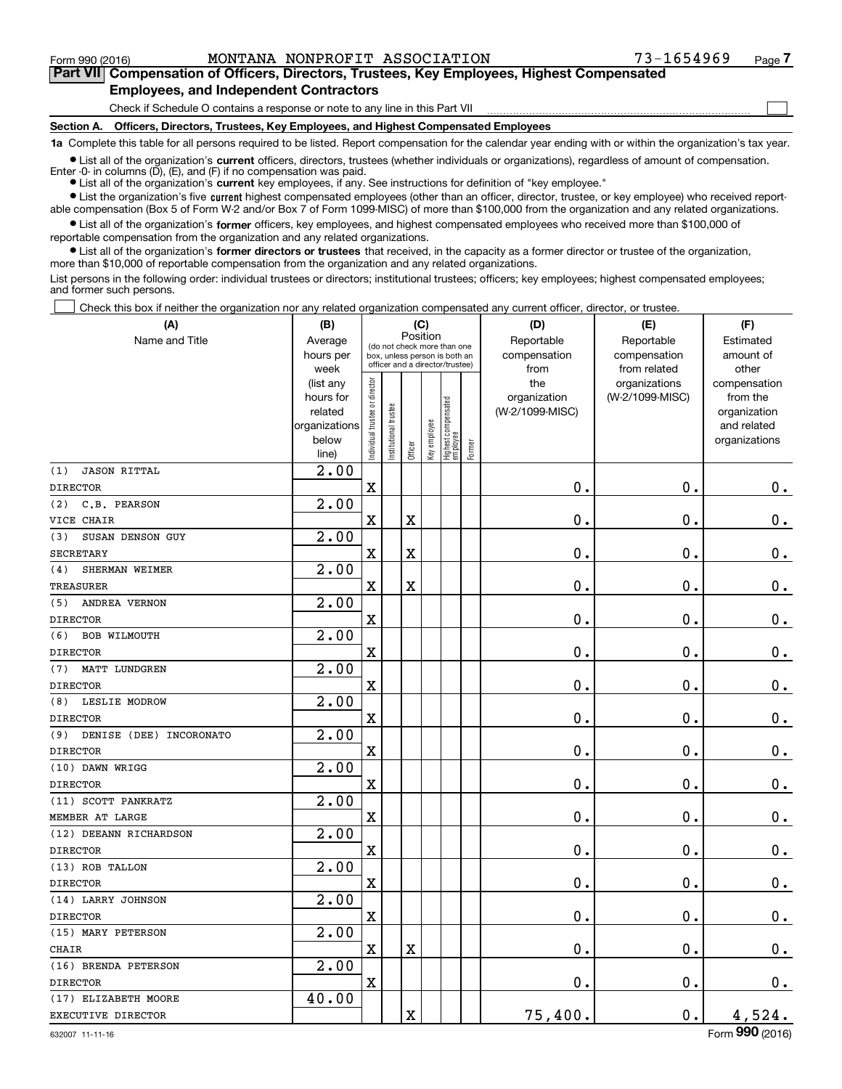$\mathcal{L}^{\text{max}}$ 

## **7Part VII Compensation of Officers, Directors, Trustees, Key Employees, Highest Compensated Employees, and Independent Contractors**

Check if Schedule O contains a response or note to any line in this Part VII

**Section A. Officers, Directors, Trustees, Key Employees, and Highest Compensated Employees**

**1a**  Complete this table for all persons required to be listed. Report compensation for the calendar year ending with or within the organization's tax year.

**•** List all of the organization's current officers, directors, trustees (whether individuals or organizations), regardless of amount of compensation. Enter -0- in columns (D), (E), and (F) if no compensation was paid.

● List all of the organization's **current** key employees, if any. See instructions for definition of "key employee."

**•** List the organization's five current highest compensated employees (other than an officer, director, trustee, or key employee) who received reportable compensation (Box 5 of Form W-2 and/or Box 7 of Form 1099-MISC) of more than \$100,000 from the organization and any related organizations.

 $\bullet$  List all of the organization's **former** officers, key employees, and highest compensated employees who received more than \$100,000 of reportable compensation from the organization and any related organizations.

**•** List all of the organization's former directors or trustees that received, in the capacity as a former director or trustee of the organization, more than \$10,000 of reportable compensation from the organization and any related organizations.

List persons in the following order: individual trustees or directors; institutional trustees; officers; key employees; highest compensated employees; and former such persons.

Check this box if neither the organization nor any related organization compensated any current officer, director, or trustee.  $\mathcal{L}^{\text{max}}$ 

| (A)                            | (B)                                                                  |                                                                                                             |                      | (C)                     |              |                                  |        | (D)                                    | (E)                                        | (F)                                                                      |
|--------------------------------|----------------------------------------------------------------------|-------------------------------------------------------------------------------------------------------------|----------------------|-------------------------|--------------|----------------------------------|--------|----------------------------------------|--------------------------------------------|--------------------------------------------------------------------------|
| Name and Title                 | Average<br>hours per<br>week                                         | Position<br>(do not check more than one<br>box, unless person is both an<br>officer and a director/trustee) |                      |                         |              |                                  |        | Reportable<br>compensation<br>from     | Reportable<br>compensation<br>from related | Estimated<br>amount of<br>other                                          |
|                                | (list any<br>hours for<br>related<br>organizations<br>below<br>line) | ndividual trustee or director                                                                               | nstitutional trustee | Officer                 | Key employee | Highest compensated<br> employee | Former | the<br>organization<br>(W-2/1099-MISC) | organizations<br>(W-2/1099-MISC)           | compensation<br>from the<br>organization<br>and related<br>organizations |
| (1)<br><b>JASON RITTAL</b>     | 2.00                                                                 |                                                                                                             |                      |                         |              |                                  |        |                                        |                                            |                                                                          |
| <b>DIRECTOR</b>                |                                                                      | X                                                                                                           |                      |                         |              |                                  |        | 0.                                     | 0.                                         | $0_{.}$                                                                  |
| C.B. PEARSON<br>(2)            | 2.00                                                                 |                                                                                                             |                      |                         |              |                                  |        |                                        |                                            |                                                                          |
| VICE CHAIR                     |                                                                      | X                                                                                                           |                      | $\overline{\textbf{X}}$ |              |                                  |        | 0.                                     | 0.                                         | $\mathbf 0$ .                                                            |
| SUSAN DENSON GUY<br>(3)        | 2.00                                                                 |                                                                                                             |                      |                         |              |                                  |        |                                        |                                            |                                                                          |
| <b>SECRETARY</b>               |                                                                      | $\mathbf X$                                                                                                 |                      | $\overline{\textbf{X}}$ |              |                                  |        | $\mathbf 0$ .                          | $\mathbf 0$ .                              | $\mathbf 0$ .                                                            |
| SHERMAN WEIMER<br>(4)          | 2.00                                                                 |                                                                                                             |                      |                         |              |                                  |        |                                        |                                            |                                                                          |
| TREASURER                      |                                                                      | $\overline{\text{X}}$                                                                                       |                      | $\overline{\textbf{X}}$ |              |                                  |        | 0.                                     | 0.                                         | $0_{.}$                                                                  |
| (5)<br>ANDREA VERNON           | 2.00                                                                 |                                                                                                             |                      |                         |              |                                  |        |                                        |                                            |                                                                          |
| <b>DIRECTOR</b>                |                                                                      | $\overline{\text{X}}$                                                                                       |                      |                         |              |                                  |        | 0.                                     | 0.                                         | $0_{.}$                                                                  |
| (6)<br><b>BOB WILMOUTH</b>     | 2.00                                                                 |                                                                                                             |                      |                         |              |                                  |        |                                        |                                            |                                                                          |
| <b>DIRECTOR</b>                |                                                                      | $\mathbf x$                                                                                                 |                      |                         |              |                                  |        | 0.                                     | 0.                                         | $0_{.}$                                                                  |
| (7)<br>MATT LUNDGREN           | 2.00                                                                 |                                                                                                             |                      |                         |              |                                  |        |                                        |                                            |                                                                          |
| <b>DIRECTOR</b>                |                                                                      | $\mathbf X$                                                                                                 |                      |                         |              |                                  |        | 0.                                     | 0.                                         | $0_{.}$                                                                  |
| (8)<br>LESLIE MODROW           | 2.00                                                                 |                                                                                                             |                      |                         |              |                                  |        |                                        |                                            |                                                                          |
| <b>DIRECTOR</b>                |                                                                      | $\overline{\textbf{X}}$                                                                                     |                      |                         |              |                                  |        | 0.                                     | $\mathbf 0$ .                              | $\mathbf 0$ .                                                            |
| DENISE (DEE) INCORONATO<br>(9) | 2.00                                                                 |                                                                                                             |                      |                         |              |                                  |        |                                        |                                            |                                                                          |
| <b>DIRECTOR</b>                |                                                                      | $\rm X$                                                                                                     |                      |                         |              |                                  |        | 0.                                     | $\mathbf 0$ .                              | $\mathbf 0$ .                                                            |
| (10) DAWN WRIGG                | 2.00                                                                 |                                                                                                             |                      |                         |              |                                  |        |                                        |                                            |                                                                          |
| <b>DIRECTOR</b>                |                                                                      | $\overline{\textbf{X}}$                                                                                     |                      |                         |              |                                  |        | 0.                                     | $\mathbf 0$ .                              | $0_{.}$                                                                  |
| (11) SCOTT PANKRATZ            | $\overline{2.00}$                                                    |                                                                                                             |                      |                         |              |                                  |        |                                        |                                            |                                                                          |
| MEMBER AT LARGE                |                                                                      | $\rm X$                                                                                                     |                      |                         |              |                                  |        | 0.                                     | $\mathbf 0$ .                              | $0_{.}$                                                                  |
| (12) DEEANN RICHARDSON         | 2.00                                                                 |                                                                                                             |                      |                         |              |                                  |        |                                        |                                            |                                                                          |
| <b>DIRECTOR</b>                |                                                                      | $\mathbf x$                                                                                                 |                      |                         |              |                                  |        | 0.                                     | $\mathbf 0$ .                              | $0_{.}$                                                                  |
| (13) ROB TALLON                | $\overline{2.00}$                                                    |                                                                                                             |                      |                         |              |                                  |        |                                        |                                            |                                                                          |
| <b>DIRECTOR</b>                |                                                                      | $\mathbf X$                                                                                                 |                      |                         |              |                                  |        | $0$ .                                  | $\mathbf 0$ .                              | $\mathbf 0$ .                                                            |
| (14) LARRY JOHNSON             | 2.00                                                                 |                                                                                                             |                      |                         |              |                                  |        |                                        |                                            |                                                                          |
| <b>DIRECTOR</b>                |                                                                      | X                                                                                                           |                      |                         |              |                                  |        | 0.                                     | 0.                                         | $\mathbf 0$ .                                                            |
| (15) MARY PETERSON             | 2.00                                                                 |                                                                                                             |                      |                         |              |                                  |        |                                        |                                            |                                                                          |
| <b>CHAIR</b>                   |                                                                      | $\mathbf X$                                                                                                 |                      | X                       |              |                                  |        | 0.                                     | $\mathbf 0$ .                              | $\mathbf 0$ .                                                            |
| (16) BRENDA PETERSON           | $\overline{2.00}$                                                    |                                                                                                             |                      |                         |              |                                  |        |                                        |                                            |                                                                          |
| <b>DIRECTOR</b>                |                                                                      | $\mathbf X$                                                                                                 |                      |                         |              |                                  |        | $\mathbf 0$ .                          | 0.                                         | $\mathbf 0$ .                                                            |
| (17) ELIZABETH MOORE           | 40.00                                                                |                                                                                                             |                      |                         |              |                                  |        |                                        |                                            |                                                                          |
| EXECUTIVE DIRECTOR             |                                                                      |                                                                                                             |                      | $\overline{\textbf{X}}$ |              |                                  |        | 75,400.                                | $\mathbf 0$ .                              | 4,524.                                                                   |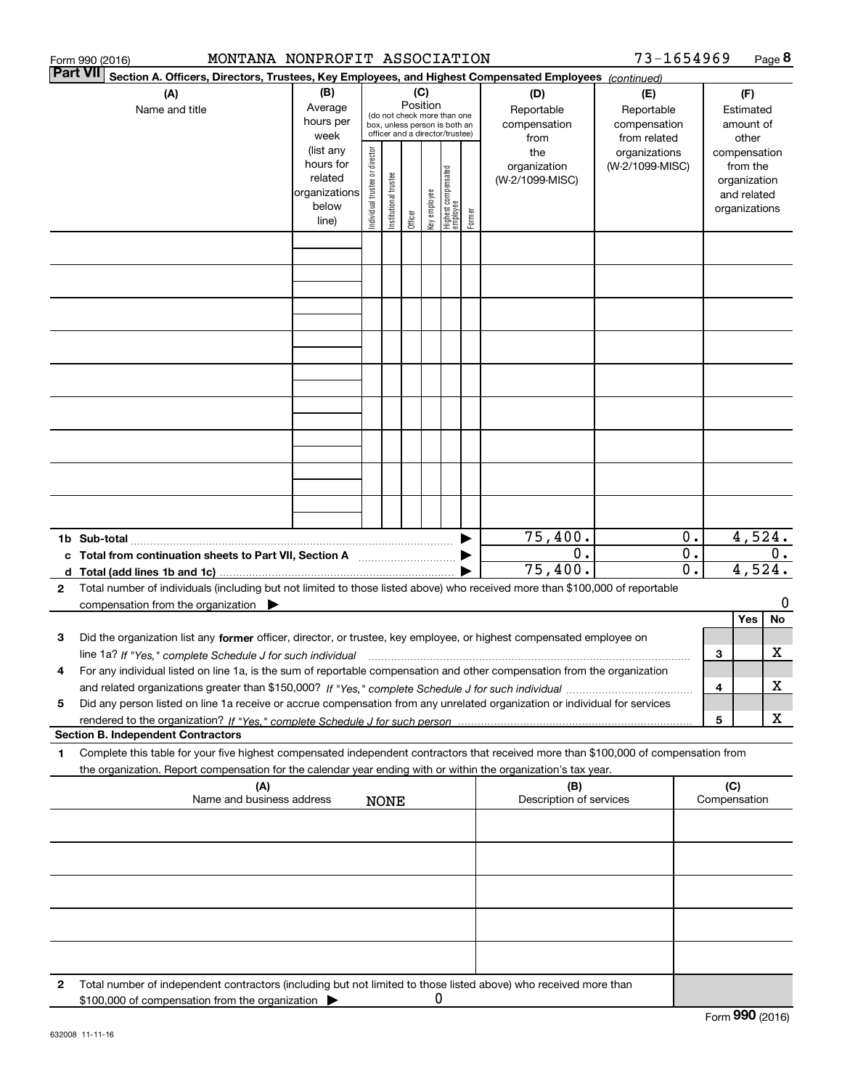|                 | MONTANA NONPROFIT ASSOCIATION<br>Form 990 (2016)                                                                                                                                                                                                       |                                                                      |                                |                       |                 |              |                                                                                                 |        |                                           | 73-1654969                                        |                        |                     |                                                                          | Page 8          |
|-----------------|--------------------------------------------------------------------------------------------------------------------------------------------------------------------------------------------------------------------------------------------------------|----------------------------------------------------------------------|--------------------------------|-----------------------|-----------------|--------------|-------------------------------------------------------------------------------------------------|--------|-------------------------------------------|---------------------------------------------------|------------------------|---------------------|--------------------------------------------------------------------------|-----------------|
| <b>Part VII</b> | Section A. Officers, Directors, Trustees, Key Employees, and Highest Compensated Employees (continued)                                                                                                                                                 |                                                                      |                                |                       |                 |              |                                                                                                 |        |                                           |                                                   |                        |                     |                                                                          |                 |
|                 | (A)<br>Name and title                                                                                                                                                                                                                                  | (B)<br>Average<br>hours per<br>week                                  |                                |                       | (C)<br>Position |              | (do not check more than one<br>box, unless person is both an<br>officer and a director/trustee) |        | (D)<br>Reportable<br>compensation<br>from | (E)<br>Reportable<br>compensation<br>from related |                        |                     | (F)<br>Estimated<br>amount of<br>other                                   |                 |
|                 |                                                                                                                                                                                                                                                        | (list any<br>hours for<br>related<br>organizations<br>below<br>line) | Individual trustee or director | Institutional trustee | Officer         | Key employee | Highest compensated<br>  employee                                                               | Former | the<br>organization<br>(W-2/1099-MISC)    | organizations<br>(W-2/1099-MISC)                  |                        |                     | compensation<br>from the<br>organization<br>and related<br>organizations |                 |
|                 |                                                                                                                                                                                                                                                        |                                                                      |                                |                       |                 |              |                                                                                                 |        |                                           |                                                   |                        |                     |                                                                          |                 |
|                 |                                                                                                                                                                                                                                                        |                                                                      |                                |                       |                 |              |                                                                                                 |        |                                           |                                                   |                        |                     |                                                                          |                 |
|                 |                                                                                                                                                                                                                                                        |                                                                      |                                |                       |                 |              |                                                                                                 |        |                                           |                                                   |                        |                     |                                                                          |                 |
|                 |                                                                                                                                                                                                                                                        |                                                                      |                                |                       |                 |              |                                                                                                 |        |                                           |                                                   |                        |                     |                                                                          |                 |
|                 |                                                                                                                                                                                                                                                        |                                                                      |                                |                       |                 |              |                                                                                                 |        |                                           |                                                   |                        |                     |                                                                          |                 |
|                 |                                                                                                                                                                                                                                                        |                                                                      |                                |                       |                 |              |                                                                                                 |        |                                           |                                                   |                        |                     |                                                                          |                 |
|                 |                                                                                                                                                                                                                                                        |                                                                      |                                |                       |                 |              |                                                                                                 |        |                                           |                                                   |                        |                     |                                                                          |                 |
|                 |                                                                                                                                                                                                                                                        |                                                                      |                                |                       |                 |              |                                                                                                 |        |                                           |                                                   |                        |                     |                                                                          |                 |
|                 |                                                                                                                                                                                                                                                        |                                                                      |                                |                       |                 |              |                                                                                                 |        | 75,400.                                   |                                                   | 0.                     |                     |                                                                          | 4,524.          |
|                 | c Total from continuation sheets to Part VII, Section A [111] [120] [20]                                                                                                                                                                               |                                                                      |                                |                       |                 |              |                                                                                                 |        | $0$ .<br>75,400.                          |                                                   | О.<br>$\overline{0}$ . |                     |                                                                          | $0$ .<br>4,524. |
| $\mathbf{2}$    | Total number of individuals (including but not limited to those listed above) who received more than \$100,000 of reportable<br>compensation from the organization $\blacktriangleright$                                                               |                                                                      |                                |                       |                 |              |                                                                                                 |        |                                           |                                                   |                        |                     |                                                                          | 0               |
|                 |                                                                                                                                                                                                                                                        |                                                                      |                                |                       |                 |              |                                                                                                 |        |                                           |                                                   |                        |                     | Yes                                                                      | No              |
| 3               | Did the organization list any former officer, director, or trustee, key employee, or highest compensated employee on                                                                                                                                   |                                                                      |                                |                       |                 |              |                                                                                                 |        |                                           |                                                   |                        | З                   |                                                                          | х               |
| 4               | For any individual listed on line 1a, is the sum of reportable compensation and other compensation from the organization                                                                                                                               |                                                                      |                                |                       |                 |              |                                                                                                 |        |                                           |                                                   |                        | 4                   |                                                                          | х               |
| 5               | Did any person listed on line 1a receive or accrue compensation from any unrelated organization or individual for services                                                                                                                             |                                                                      |                                |                       |                 |              |                                                                                                 |        |                                           |                                                   |                        |                     |                                                                          |                 |
|                 | <b>Section B. Independent Contractors</b>                                                                                                                                                                                                              |                                                                      |                                |                       |                 |              |                                                                                                 |        |                                           |                                                   |                        | 5                   |                                                                          | х               |
| 1               | Complete this table for your five highest compensated independent contractors that received more than \$100,000 of compensation from<br>the organization. Report compensation for the calendar year ending with or within the organization's tax year. |                                                                      |                                |                       |                 |              |                                                                                                 |        |                                           |                                                   |                        |                     |                                                                          |                 |
|                 | (A)<br>Name and business address                                                                                                                                                                                                                       |                                                                      |                                | <b>NONE</b>           |                 |              |                                                                                                 |        | (B)<br>Description of services            |                                                   |                        | (C)<br>Compensation |                                                                          |                 |
|                 |                                                                                                                                                                                                                                                        |                                                                      |                                |                       |                 |              |                                                                                                 |        |                                           |                                                   |                        |                     |                                                                          |                 |
|                 |                                                                                                                                                                                                                                                        |                                                                      |                                |                       |                 |              |                                                                                                 |        |                                           |                                                   |                        |                     |                                                                          |                 |
|                 |                                                                                                                                                                                                                                                        |                                                                      |                                |                       |                 |              |                                                                                                 |        |                                           |                                                   |                        |                     |                                                                          |                 |
|                 |                                                                                                                                                                                                                                                        |                                                                      |                                |                       |                 |              |                                                                                                 |        |                                           |                                                   |                        |                     |                                                                          |                 |
| 2               | Total number of independent contractors (including but not limited to those listed above) who received more than                                                                                                                                       |                                                                      |                                |                       |                 |              |                                                                                                 |        |                                           |                                                   |                        |                     |                                                                          |                 |
|                 | \$100,000 of compensation from the organization                                                                                                                                                                                                        |                                                                      |                                |                       |                 | 0            |                                                                                                 |        |                                           |                                                   |                        |                     |                                                                          |                 |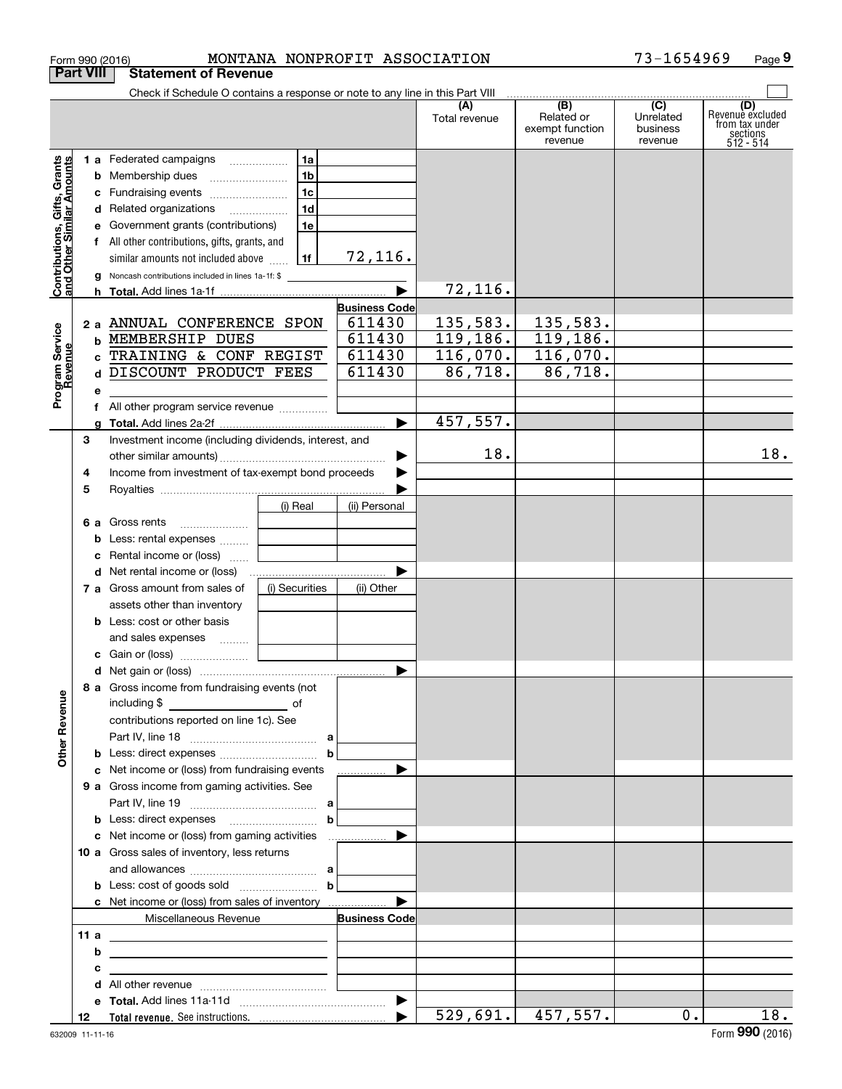|                                                           | Form 990 (2016)  |                                                                                      |                | MONTANA NONPROFIT ASSOCIATION  |                      |                                          | 73-1654969                       | Page 9                                                             |
|-----------------------------------------------------------|------------------|--------------------------------------------------------------------------------------|----------------|--------------------------------|----------------------|------------------------------------------|----------------------------------|--------------------------------------------------------------------|
|                                                           | <b>Part VIII</b> | <b>Statement of Revenue</b>                                                          |                |                                |                      |                                          |                                  |                                                                    |
|                                                           |                  | Check if Schedule O contains a response or note to any line in this Part VIII        |                |                                |                      | (B)                                      | $\overline{(C)}$                 |                                                                    |
|                                                           |                  |                                                                                      |                |                                | (A)<br>Total revenue | Related or<br>exempt function<br>revenue | Unrelated<br>business<br>revenue | (D)<br>Revenue excluded<br>from tax under<br>sections<br>512 - 514 |
|                                                           |                  | 1 a Federated campaigns                                                              | 1a             |                                |                      |                                          |                                  |                                                                    |
|                                                           |                  | <b>b</b> Membership dues                                                             | 1 <sub>b</sub> |                                |                      |                                          |                                  |                                                                    |
|                                                           |                  | c Fundraising events                                                                 | 1c             |                                |                      |                                          |                                  |                                                                    |
|                                                           |                  | d Related organizations                                                              | 1d             |                                |                      |                                          |                                  |                                                                    |
|                                                           |                  | e Government grants (contributions)                                                  | 1e             |                                |                      |                                          |                                  |                                                                    |
|                                                           |                  | f All other contributions, gifts, grants, and                                        |                |                                |                      |                                          |                                  |                                                                    |
| Contributions, Gifts, Grants<br>and Other Similar Amounts |                  | similar amounts not included above                                                   | 1f             | 72,116.                        |                      |                                          |                                  |                                                                    |
|                                                           |                  | <b>g</b> Noncash contributions included in lines 1a-1f: \$                           |                |                                |                      |                                          |                                  |                                                                    |
|                                                           |                  |                                                                                      |                |                                | 72,116.              |                                          |                                  |                                                                    |
|                                                           |                  | 2 a ANNUAL CONFERENCE SPON                                                           |                | <b>Business Code</b><br>611430 | 135,583.             | 135,583.                                 |                                  |                                                                    |
| Program Service<br>Revenue                                | b                | MEMBERSHIP DUES                                                                      |                | 611430                         | 119, 186.            | 119,186.                                 |                                  |                                                                    |
|                                                           |                  | TRAINING & CONF REGIST                                                               |                | 611430                         | 116,070.             | 116,070.                                 |                                  |                                                                    |
|                                                           | d                | DISCOUNT PRODUCT FEES                                                                |                | 611430                         | 86,718.              | 86,718.                                  |                                  |                                                                    |
|                                                           | е                |                                                                                      |                |                                |                      |                                          |                                  |                                                                    |
|                                                           |                  |                                                                                      |                |                                |                      |                                          |                                  |                                                                    |
|                                                           | g                |                                                                                      |                | $\blacktriangleright$          | 457,557.             |                                          |                                  |                                                                    |
|                                                           | З                | Investment income (including dividends, interest, and                                |                |                                |                      |                                          |                                  |                                                                    |
|                                                           |                  |                                                                                      |                | ▶                              | 18.                  |                                          |                                  | 18.                                                                |
|                                                           | 4                | Income from investment of tax-exempt bond proceeds                                   |                |                                |                      |                                          |                                  |                                                                    |
|                                                           | 5                |                                                                                      |                |                                |                      |                                          |                                  |                                                                    |
|                                                           |                  |                                                                                      | (i) Real       | (ii) Personal                  |                      |                                          |                                  |                                                                    |
|                                                           |                  | <b>6 a</b> Gross rents<br>$\ldots \ldots \ldots \ldots \ldots$                       |                |                                |                      |                                          |                                  |                                                                    |
|                                                           | b                | Less: rental expenses                                                                |                |                                |                      |                                          |                                  |                                                                    |
|                                                           | с                | Rental income or (loss)                                                              |                |                                |                      |                                          |                                  |                                                                    |
|                                                           |                  | <b>d</b> Net rental income or (loss)                                                 |                |                                |                      |                                          |                                  |                                                                    |
|                                                           |                  | 7 a Gross amount from sales of                                                       | (i) Securities | (ii) Other                     |                      |                                          |                                  |                                                                    |
|                                                           |                  | assets other than inventory                                                          |                |                                |                      |                                          |                                  |                                                                    |
|                                                           |                  | <b>b</b> Less: cost or other basis                                                   |                |                                |                      |                                          |                                  |                                                                    |
|                                                           |                  | and sales expenses                                                                   |                |                                |                      |                                          |                                  |                                                                    |
|                                                           |                  |                                                                                      |                |                                |                      |                                          |                                  |                                                                    |
|                                                           |                  | 8 a Gross income from fundraising events (not                                        |                |                                |                      |                                          |                                  |                                                                    |
|                                                           |                  | including \$<br><u>of</u> of                                                         |                |                                |                      |                                          |                                  |                                                                    |
|                                                           |                  | contributions reported on line 1c). See                                              |                |                                |                      |                                          |                                  |                                                                    |
|                                                           |                  |                                                                                      |                |                                |                      |                                          |                                  |                                                                    |
| <b>Other Revenue</b>                                      |                  | <b>b</b> Less: direct expenses $\ldots$ $\ldots$ $\ldots$ $\ldots$ $\ldots$ <b>b</b> |                |                                |                      |                                          |                                  |                                                                    |
|                                                           |                  | c Net income or (loss) from fundraising events                                       |                | .                              |                      |                                          |                                  |                                                                    |
|                                                           |                  | 9 a Gross income from gaming activities. See                                         |                |                                |                      |                                          |                                  |                                                                    |
|                                                           |                  |                                                                                      |                |                                |                      |                                          |                                  |                                                                    |
|                                                           |                  |                                                                                      |                |                                |                      |                                          |                                  |                                                                    |
|                                                           |                  |                                                                                      |                |                                |                      |                                          |                                  |                                                                    |
|                                                           |                  | 10 a Gross sales of inventory, less returns                                          |                |                                |                      |                                          |                                  |                                                                    |
|                                                           |                  |                                                                                      |                |                                |                      |                                          |                                  |                                                                    |
|                                                           |                  | <b>b</b> Less: cost of goods sold $\ldots$ <b>b</b>                                  |                |                                |                      |                                          |                                  |                                                                    |
|                                                           |                  | c Net income or (loss) from sales of inventory                                       |                |                                |                      |                                          |                                  |                                                                    |
|                                                           |                  | Miscellaneous Revenue                                                                |                | <b>Business Code</b>           |                      |                                          |                                  |                                                                    |
|                                                           | 11 a<br>b        |                                                                                      |                |                                |                      |                                          |                                  |                                                                    |
|                                                           | с                |                                                                                      |                |                                |                      |                                          |                                  |                                                                    |
|                                                           | d                |                                                                                      |                |                                |                      |                                          |                                  |                                                                    |
|                                                           |                  |                                                                                      |                |                                |                      |                                          |                                  |                                                                    |
|                                                           | 12               |                                                                                      |                |                                |                      | 529,691.   457,557.                      | $0$ .                            | 18.                                                                |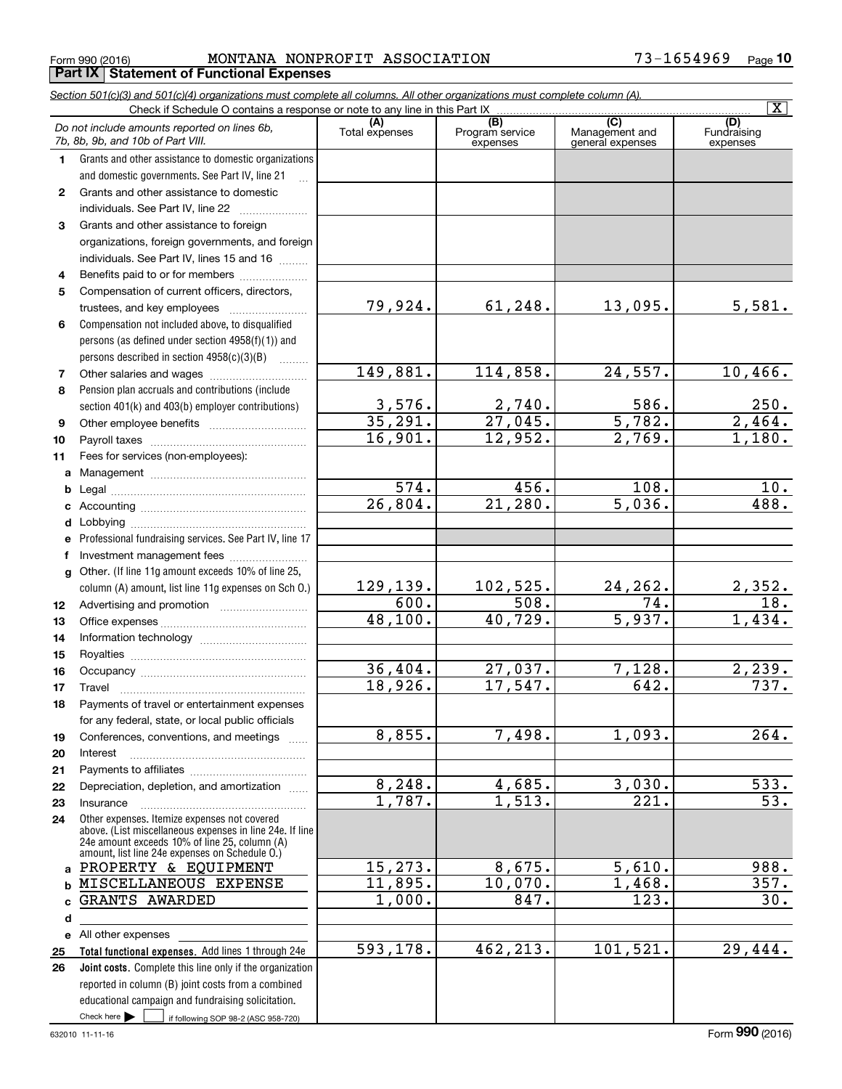$_{\rm Form}$  990 (2016) MONTANA NONPROFIT ASSOCIATION 73-1654969  $_{\rm Page}$ **Part IX Statement of Functional Expenses**

|                  | Section 501(c)(3) and 501(c)(4) organizations must complete all columns. All other organizations must complete column (A).<br>Check if Schedule O contains a response or note to any line in this Part IX   |                          |                             |                                    | $\overline{\mathbf{x}}$ |
|------------------|-------------------------------------------------------------------------------------------------------------------------------------------------------------------------------------------------------------|--------------------------|-----------------------------|------------------------------------|-------------------------|
|                  |                                                                                                                                                                                                             |                          | (B)                         | (C)                                | (D)                     |
|                  | Do not include amounts reported on lines 6b,<br>7b, 8b, 9b, and 10b of Part VIII.                                                                                                                           | Total expenses           | Program service<br>expenses | Management and<br>general expenses | Fundraising<br>expenses |
| 1.               | Grants and other assistance to domestic organizations                                                                                                                                                       |                          |                             |                                    |                         |
|                  | and domestic governments. See Part IV, line 21                                                                                                                                                              |                          |                             |                                    |                         |
| $\mathbf{2}$     | Grants and other assistance to domestic                                                                                                                                                                     |                          |                             |                                    |                         |
|                  | individuals. See Part IV, line 22                                                                                                                                                                           |                          |                             |                                    |                         |
| 3                | Grants and other assistance to foreign                                                                                                                                                                      |                          |                             |                                    |                         |
|                  | organizations, foreign governments, and foreign                                                                                                                                                             |                          |                             |                                    |                         |
|                  | individuals. See Part IV, lines 15 and 16                                                                                                                                                                   |                          |                             |                                    |                         |
| 4                | Benefits paid to or for members                                                                                                                                                                             |                          |                             |                                    |                         |
| 5                | Compensation of current officers, directors,                                                                                                                                                                |                          |                             |                                    |                         |
|                  | trustees, and key employees                                                                                                                                                                                 | 79,924.                  | 61, 248.                    | 13,095.                            | 5,581.                  |
| 6                | Compensation not included above, to disqualified                                                                                                                                                            |                          |                             |                                    |                         |
|                  | persons (as defined under section 4958(f)(1)) and                                                                                                                                                           |                          |                             |                                    |                         |
|                  | persons described in section 4958(c)(3)(B)                                                                                                                                                                  |                          |                             |                                    |                         |
| 7                |                                                                                                                                                                                                             | 149,881.                 | 114,858.                    | 24,557.                            | 10,466.                 |
| 8                | Pension plan accruals and contributions (include                                                                                                                                                            |                          |                             |                                    |                         |
|                  | section 401(k) and 403(b) employer contributions)                                                                                                                                                           |                          | 2,740.                      | 586.                               | 250.                    |
| 9                |                                                                                                                                                                                                             | $\frac{3,576}{35,291}$ . | $\overline{27,045}$ .       | 5,782.                             | 2,464.                  |
| 10               |                                                                                                                                                                                                             | 16,901.                  | 12,952.                     | 2,769.                             | 1,180.                  |
| 11               | Fees for services (non-employees):                                                                                                                                                                          |                          |                             |                                    |                         |
| a                |                                                                                                                                                                                                             |                          |                             |                                    |                         |
| b                |                                                                                                                                                                                                             | 574.                     | 456.                        | 108.                               | 10.                     |
| c                |                                                                                                                                                                                                             | 26,804.                  | 21,280.                     | 5,036.                             | 488.                    |
| d                |                                                                                                                                                                                                             |                          |                             |                                    |                         |
| е                | Professional fundraising services. See Part IV, line 17                                                                                                                                                     |                          |                             |                                    |                         |
| f                | Investment management fees                                                                                                                                                                                  |                          |                             |                                    |                         |
| g                | Other. (If line 11g amount exceeds 10% of line 25,                                                                                                                                                          |                          |                             |                                    |                         |
|                  | column (A) amount, list line 11g expenses on Sch O.)                                                                                                                                                        | 129, 139.                | 102,525.                    | 24,262.                            |                         |
| 12 <sup>12</sup> |                                                                                                                                                                                                             | $\overline{600}$ .       | $\overline{508}$ .          | $\overline{74}$ .                  | $\frac{2,352.}{18.}$    |
| 13               |                                                                                                                                                                                                             | 48,100.                  | 40,729.                     | 5,937.                             | 1,434.                  |
| 14               |                                                                                                                                                                                                             |                          |                             |                                    |                         |
| 15               |                                                                                                                                                                                                             |                          |                             |                                    |                         |
| 16               |                                                                                                                                                                                                             | 36,404.                  | 27,037.                     | 7,128.                             | $\overline{2,239}$ .    |
| 17               |                                                                                                                                                                                                             | 18,926.                  | 17, 547.                    | 642.                               | 737.                    |
| 18               | Payments of travel or entertainment expenses                                                                                                                                                                |                          |                             |                                    |                         |
|                  | for any federal, state, or local public officials                                                                                                                                                           |                          |                             |                                    |                         |
| 19               | Conferences, conventions, and meetings                                                                                                                                                                      | 8,855.                   | 7,498.                      | 1,093.                             | 264.                    |
| 20               | Interest                                                                                                                                                                                                    |                          |                             |                                    |                         |
| 21               |                                                                                                                                                                                                             |                          |                             |                                    |                         |
| 22               | Depreciation, depletion, and amortization                                                                                                                                                                   | 8,248.                   | 4,685.                      | 3,030.                             | 533.                    |
| 23               | Insurance                                                                                                                                                                                                   | 1,787.                   | 1,513.                      | $\overline{221}$ .                 | $\overline{53}$ .       |
| 24               | Other expenses. Itemize expenses not covered<br>above. (List miscellaneous expenses in line 24e. If line<br>24e amount exceeds 10% of line 25, column (A)<br>amount, list line 24e expenses on Schedule O.) |                          |                             |                                    |                         |
| a                | PROPERTY & EQUIPMENT                                                                                                                                                                                        | 15, 273.                 | 8,675.                      | 5,610.                             | 988.                    |
| b                | MISCELLANEOUS EXPENSE                                                                                                                                                                                       | 11,895.                  | 10,070.                     | 1,468.                             | 357.                    |
| c                | GRANTS AWARDED                                                                                                                                                                                              | 1,000.                   | 847.                        | 123.                               | 30.                     |
| d                |                                                                                                                                                                                                             |                          |                             |                                    |                         |
|                  | e All other expenses                                                                                                                                                                                        |                          |                             |                                    |                         |
| 25               | Total functional expenses. Add lines 1 through 24e                                                                                                                                                          | 593,178.                 | 462, 213.                   | 101, 521.                          | 29,444.                 |
| 26               | Joint costs. Complete this line only if the organization                                                                                                                                                    |                          |                             |                                    |                         |
|                  | reported in column (B) joint costs from a combined                                                                                                                                                          |                          |                             |                                    |                         |
|                  | educational campaign and fundraising solicitation.                                                                                                                                                          |                          |                             |                                    |                         |
|                  | Check here $\blacktriangleright$<br>if following SOP 98-2 (ASC 958-720)                                                                                                                                     |                          |                             |                                    |                         |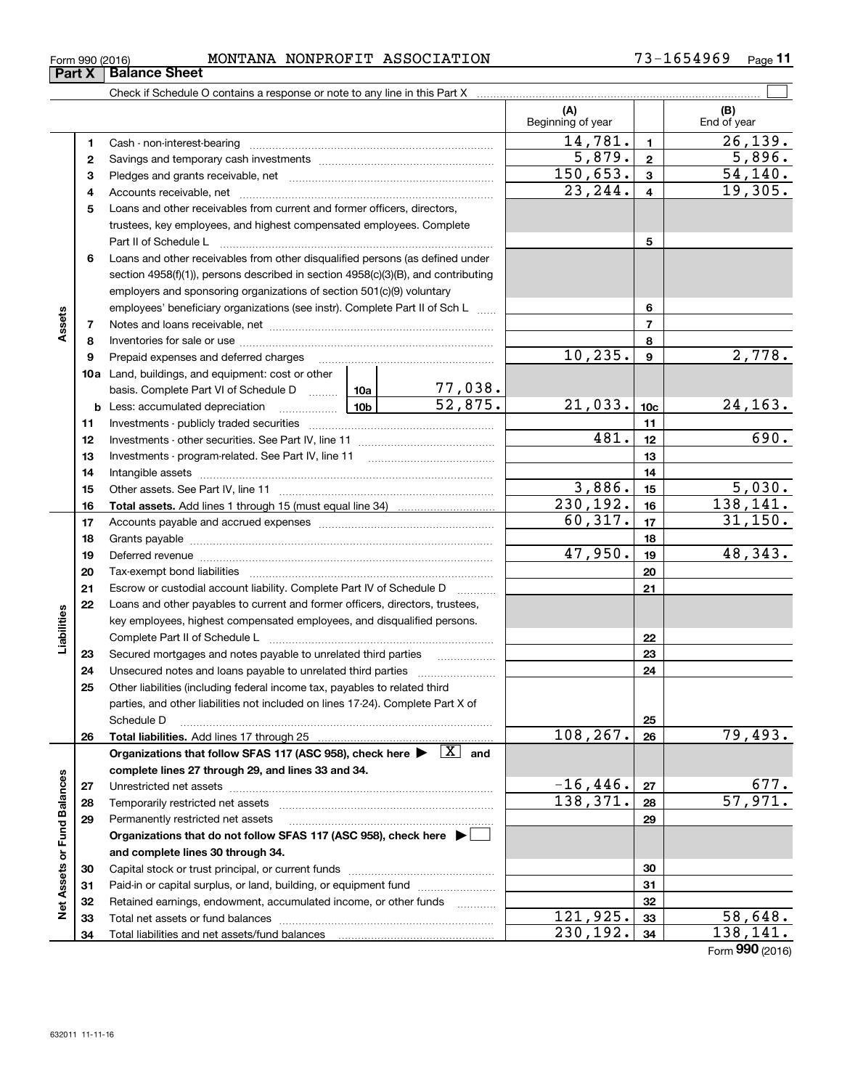| Form 990 (2016) | <b>ASSOCIATION</b><br>NONPROFIT<br>MONTANA | .654969<br>Page |
|-----------------|--------------------------------------------|-----------------|
|-----------------|--------------------------------------------|-----------------|

|                             |    |                                                                                                                           |                 |         | (A)<br>Beginning of year |                          | (B)<br>End of year     |
|-----------------------------|----|---------------------------------------------------------------------------------------------------------------------------|-----------------|---------|--------------------------|--------------------------|------------------------|
|                             | 1  |                                                                                                                           |                 |         | 14,781.                  | $\mathbf{1}$             | 26, 139.               |
|                             | 2  |                                                                                                                           |                 |         | 5,879.                   | $\mathbf 2$              | 5,896.                 |
|                             | з  |                                                                                                                           |                 |         | 150,653.                 | $\mathbf{3}$             | $\overline{54,140}$ .  |
|                             | 4  |                                                                                                                           |                 |         | 23, 244.                 | $\overline{4}$           | 19,305.                |
|                             | 5  | Loans and other receivables from current and former officers, directors,                                                  |                 |         |                          |                          |                        |
|                             |    | trustees, key employees, and highest compensated employees. Complete                                                      |                 |         |                          |                          |                        |
|                             |    |                                                                                                                           |                 |         |                          | 5                        |                        |
|                             | 6  | Loans and other receivables from other disqualified persons (as defined under                                             |                 |         |                          |                          |                        |
|                             |    | section 4958(f)(1)), persons described in section 4958(c)(3)(B), and contributing                                         |                 |         |                          |                          |                        |
|                             |    | employers and sponsoring organizations of section 501(c)(9) voluntary                                                     |                 |         |                          |                          |                        |
|                             |    | employees' beneficiary organizations (see instr). Complete Part II of Sch L                                               |                 |         |                          | 6                        |                        |
| Assets                      | 7  |                                                                                                                           |                 |         |                          | $\overline{\phantom{a}}$ |                        |
|                             | 8  |                                                                                                                           |                 |         |                          | 8                        |                        |
|                             | 9  |                                                                                                                           |                 |         | 10, 235.                 | 9                        | 2,778.                 |
|                             |    | <b>10a</b> Land, buildings, and equipment: cost or other                                                                  |                 |         |                          |                          |                        |
|                             |    | basis. Complete Part VI of Schedule D  10a                                                                                |                 | 77,038. |                          |                          |                        |
|                             |    | <b>b</b> Less: accumulated depreciation<br>. 1                                                                            | 10 <sub>b</sub> | 52,875. | 21,033.                  | 10 <sub>c</sub>          | 24,163.                |
|                             | 11 |                                                                                                                           |                 |         |                          | 11                       |                        |
|                             | 12 |                                                                                                                           | 481.            | 12      | 690.                     |                          |                        |
|                             | 13 |                                                                                                                           |                 |         |                          | 13                       |                        |
|                             | 14 |                                                                                                                           |                 |         |                          | 14                       |                        |
|                             | 15 |                                                                                                                           | 3,886.          | 15      | 5,030.                   |                          |                        |
|                             | 16 |                                                                                                                           |                 |         | 230, 192.                | 16                       | 138, 141.              |
|                             | 17 |                                                                                                                           |                 |         | 60, 317.                 | 17                       | 31,150.                |
|                             | 18 |                                                                                                                           |                 |         |                          | 18                       |                        |
|                             | 19 | Deferred revenue manual contracts and contracts are all the contracts and contracts are contracted and contracts          |                 |         | 47,950.                  | 19                       | 48,343.                |
|                             | 20 |                                                                                                                           |                 |         |                          | 20                       |                        |
|                             | 21 | Escrow or custodial account liability. Complete Part IV of Schedule D                                                     |                 |         | 21                       |                          |                        |
|                             | 22 | Loans and other payables to current and former officers, directors, trustees,                                             |                 |         |                          |                          |                        |
| Liabilities                 |    | key employees, highest compensated employees, and disqualified persons.                                                   |                 |         |                          |                          |                        |
|                             |    |                                                                                                                           |                 |         |                          | 22                       |                        |
|                             | 23 | Secured mortgages and notes payable to unrelated third parties                                                            |                 |         |                          | 23                       |                        |
|                             | 24 |                                                                                                                           |                 |         |                          | 24                       |                        |
|                             | 25 | Other liabilities (including federal income tax, payables to related third                                                |                 |         |                          |                          |                        |
|                             |    | parties, and other liabilities not included on lines 17-24). Complete Part X of                                           |                 |         |                          |                          |                        |
|                             |    | Schedule D                                                                                                                |                 |         |                          | 25                       |                        |
|                             | 26 |                                                                                                                           |                 |         | 108, 267.                | 26                       | $\overline{79}$ , 493. |
|                             |    | Organizations that follow SFAS 117 (ASC 958), check here $\blacktriangleright \begin{array}{c} \boxed{X} \end{array}$ and |                 |         |                          |                          |                        |
|                             |    | complete lines 27 through 29, and lines 33 and 34.                                                                        |                 |         |                          |                          |                        |
|                             | 27 |                                                                                                                           |                 |         | $-16,446.$               | 27                       | 677.                   |
|                             | 28 |                                                                                                                           |                 |         | 138,371.                 | 28                       | $\overline{57,971.}$   |
|                             | 29 | Permanently restricted net assets                                                                                         |                 |         |                          | 29                       |                        |
| Net Assets or Fund Balances |    | Organizations that do not follow SFAS 117 (ASC 958), check here ▶ □                                                       |                 |         |                          |                          |                        |
|                             |    | and complete lines 30 through 34.                                                                                         |                 |         |                          |                          |                        |
|                             | 30 |                                                                                                                           |                 |         |                          | 30                       |                        |
|                             | 31 | Paid-in or capital surplus, or land, building, or equipment fund                                                          |                 |         |                          | 31                       |                        |
|                             | 32 | Retained earnings, endowment, accumulated income, or other funds                                                          |                 |         |                          | 32                       |                        |
|                             | 33 |                                                                                                                           |                 |         | 121,925.                 | 33                       | 58,648.                |
|                             | 34 |                                                                                                                           |                 |         | 230,192.                 | 34                       | 138, 141.              |

Form (2016) **990**

### **Part X Balance Sheet**

| Form 990 (2016 |  |
|----------------|--|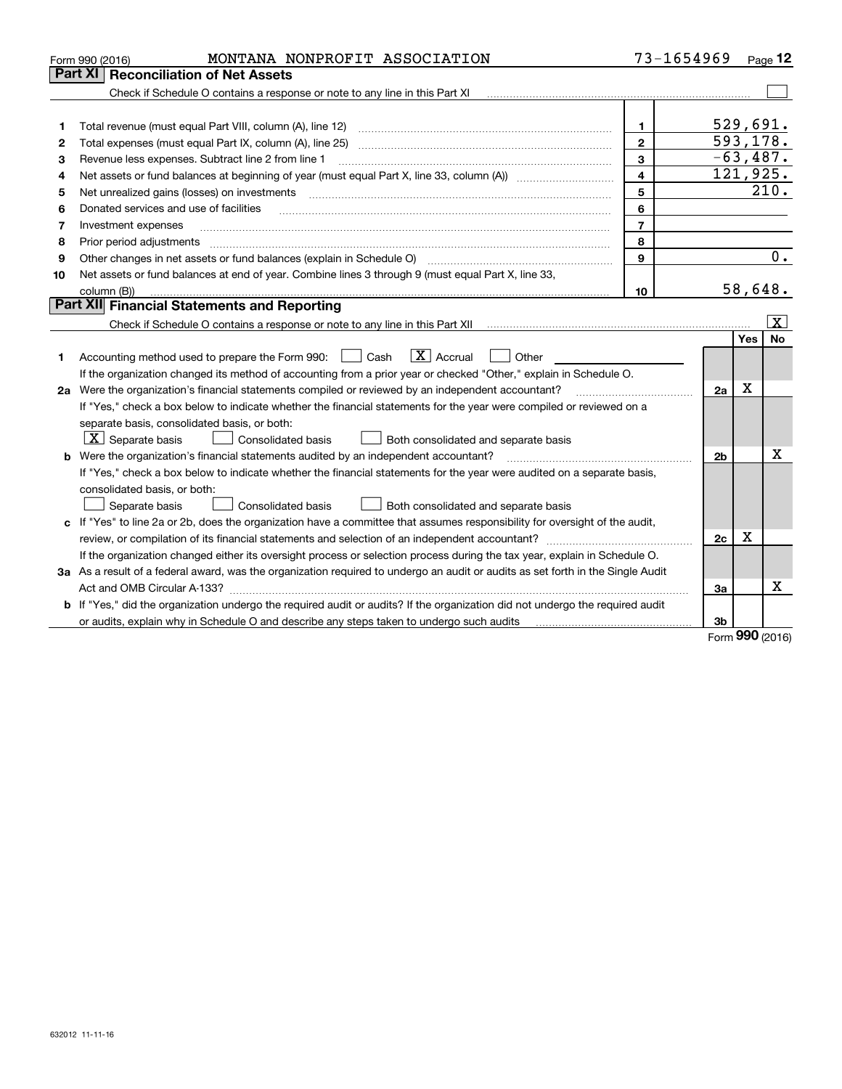|    | MONTANA NONPROFIT ASSOCIATION<br>Form 990 (2016)                                                                                     | 73-1654969     |                |             | Page $12$    |
|----|--------------------------------------------------------------------------------------------------------------------------------------|----------------|----------------|-------------|--------------|
|    | Part XI<br><b>Reconciliation of Net Assets</b>                                                                                       |                |                |             |              |
|    |                                                                                                                                      |                |                |             |              |
|    |                                                                                                                                      |                |                |             |              |
| 1  |                                                                                                                                      | $\mathbf{1}$   |                |             | 529,691.     |
| 2  |                                                                                                                                      | $\mathbf{2}$   |                |             | 593,178.     |
| 3  | Revenue less expenses. Subtract line 2 from line 1                                                                                   | 3              |                |             | $-63,487.$   |
| 4  | Net assets or fund balances at beginning of year (must equal Part X, line 33, column (A)) manured manu-                              | 4              |                |             | 121,925.     |
| 5  | Net unrealized gains (losses) on investments                                                                                         | 5              |                |             | 210.         |
| 6  | Donated services and use of facilities                                                                                               | 6              |                |             |              |
| 7  | Investment expenses                                                                                                                  | $\overline{7}$ |                |             |              |
| 8  | Prior period adjustments                                                                                                             | 8              |                |             |              |
| 9  | Other changes in net assets or fund balances (explain in Schedule O)                                                                 | 9              |                |             | 0.           |
| 10 | Net assets or fund balances at end of year. Combine lines 3 through 9 (must equal Part X, line 33,                                   |                |                |             |              |
|    | column (B))                                                                                                                          | 10             |                |             | 58,648.      |
|    | Part XII Financial Statements and Reporting                                                                                          |                |                |             |              |
|    |                                                                                                                                      |                |                |             | $\mathbf{X}$ |
|    |                                                                                                                                      |                |                | Yes         | <b>No</b>    |
| 1  | $\boxed{\text{X}}$ Accrual<br>Accounting method used to prepare the Form 990: <u>June</u> Cash<br>Other                              |                |                |             |              |
|    | If the organization changed its method of accounting from a prior year or checked "Other," explain in Schedule O.                    |                |                |             |              |
|    | 2a Were the organization's financial statements compiled or reviewed by an independent accountant?                                   |                | 2a             | $\mathbf X$ |              |
|    | If "Yes," check a box below to indicate whether the financial statements for the year were compiled or reviewed on a                 |                |                |             |              |
|    | separate basis, consolidated basis, or both:                                                                                         |                |                |             |              |
|    | $X$ Separate basis<br>Consolidated basis<br>Both consolidated and separate basis                                                     |                |                |             |              |
| b  | Were the organization's financial statements audited by an independent accountant?                                                   |                | 2 <sub>b</sub> |             | X            |
|    | If "Yes," check a box below to indicate whether the financial statements for the year were audited on a separate basis,              |                |                |             |              |
|    | consolidated basis, or both:                                                                                                         |                |                |             |              |
|    | Consolidated basis<br>Separate basis<br>Both consolidated and separate basis                                                         |                |                |             |              |
|    | c If "Yes" to line 2a or 2b, does the organization have a committee that assumes responsibility for oversight of the audit,          |                |                |             |              |
|    | review, or compilation of its financial statements and selection of an independent accountant?                                       |                | 2c             | x           |              |
|    | If the organization changed either its oversight process or selection process during the tax year, explain in Schedule O.            |                |                |             |              |
|    | 3a As a result of a federal award, was the organization required to undergo an audit or audits as set forth in the Single Audit      |                |                |             |              |
|    |                                                                                                                                      |                | За             |             | Х            |
|    | <b>b</b> If "Yes," did the organization undergo the required audit or audits? If the organization did not undergo the required audit |                |                |             |              |
|    |                                                                                                                                      |                | 3b             | nn n        |              |
|    |                                                                                                                                      |                |                |             |              |

Form (2016) **990**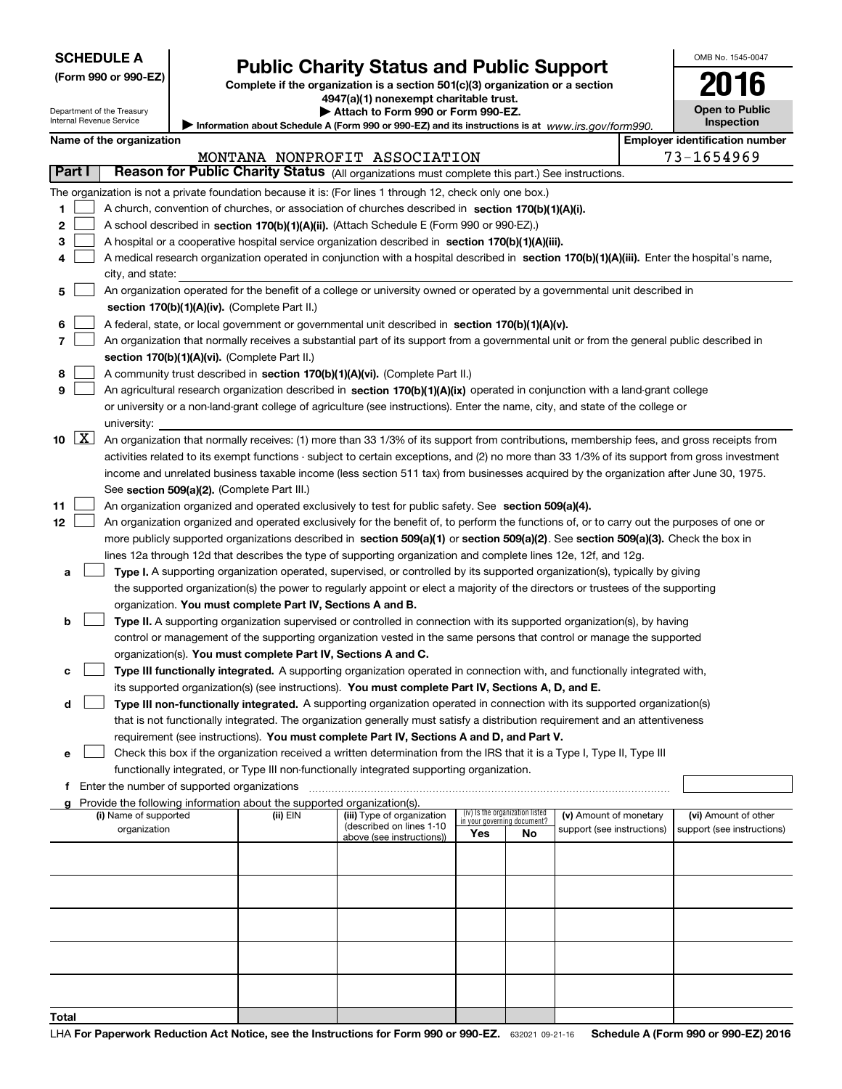| <b>SCHEDULE A</b> |  |
|-------------------|--|
|-------------------|--|

Department of the Treasury Internal Revenue Service

| (Form 990 or 990-EZ) |  |  |  |  |
|----------------------|--|--|--|--|
|----------------------|--|--|--|--|

### **Public Charity Status and Public Support**

**Complete if the organization is a section 501(c)(3) organization or a section 4947(a)(1) nonexempt charitable trust.**

**| Attach to Form 990 or Form 990-EZ.** 

Information about Schedule A (Form 990 or 990-EZ) and its instructions is at *www.irs.gov/form990.* 

| OMB No. 1545-0047                   |
|-------------------------------------|
| 2016                                |
| <b>Open to Public</b><br>Inspection |

|  | Name of the organization |
|--|--------------------------|
|--|--------------------------|

|        | Name of the organization                                                                                                                            |          |                                                        |                                 |     |                                                      | <b>Employer identification number</b> |
|--------|-----------------------------------------------------------------------------------------------------------------------------------------------------|----------|--------------------------------------------------------|---------------------------------|-----|------------------------------------------------------|---------------------------------------|
|        |                                                                                                                                                     |          | MONTANA NONPROFIT ASSOCIATION                          |                                 |     |                                                      | 73-1654969                            |
| Part I | Reason for Public Charity Status (All organizations must complete this part.) See instructions.                                                     |          |                                                        |                                 |     |                                                      |                                       |
|        | The organization is not a private foundation because it is: (For lines 1 through 12, check only one box.)                                           |          |                                                        |                                 |     |                                                      |                                       |
| 1      | A church, convention of churches, or association of churches described in section 170(b)(1)(A)(i).                                                  |          |                                                        |                                 |     |                                                      |                                       |
| 2      | A school described in section 170(b)(1)(A)(ii). (Attach Schedule E (Form 990 or 990-EZ).)                                                           |          |                                                        |                                 |     |                                                      |                                       |
| з      | A hospital or a cooperative hospital service organization described in section 170(b)(1)(A)(iii).                                                   |          |                                                        |                                 |     |                                                      |                                       |
| 4      | A medical research organization operated in conjunction with a hospital described in section 170(b)(1)(A)(iii). Enter the hospital's name,          |          |                                                        |                                 |     |                                                      |                                       |
|        | city, and state:                                                                                                                                    |          |                                                        |                                 |     |                                                      |                                       |
| 5      | An organization operated for the benefit of a college or university owned or operated by a governmental unit described in                           |          |                                                        |                                 |     |                                                      |                                       |
|        | section 170(b)(1)(A)(iv). (Complete Part II.)                                                                                                       |          |                                                        |                                 |     |                                                      |                                       |
| 6      | A federal, state, or local government or governmental unit described in section 170(b)(1)(A)(v).                                                    |          |                                                        |                                 |     |                                                      |                                       |
| 7      | An organization that normally receives a substantial part of its support from a governmental unit or from the general public described in           |          |                                                        |                                 |     |                                                      |                                       |
|        | section 170(b)(1)(A)(vi). (Complete Part II.)                                                                                                       |          |                                                        |                                 |     |                                                      |                                       |
| 8      | A community trust described in section 170(b)(1)(A)(vi). (Complete Part II.)                                                                        |          |                                                        |                                 |     |                                                      |                                       |
| 9      | An agricultural research organization described in section 170(b)(1)(A)(ix) operated in conjunction with a land-grant college                       |          |                                                        |                                 |     |                                                      |                                       |
|        | or university or a non-land-grant college of agriculture (see instructions). Enter the name, city, and state of the college or                      |          |                                                        |                                 |     |                                                      |                                       |
|        | university:                                                                                                                                         |          |                                                        |                                 |     |                                                      |                                       |
| 10 $X$ | An organization that normally receives: (1) more than 33 1/3% of its support from contributions, membership fees, and gross receipts from           |          |                                                        |                                 |     |                                                      |                                       |
|        | activities related to its exempt functions - subject to certain exceptions, and (2) no more than 33 1/3% of its support from gross investment       |          |                                                        |                                 |     |                                                      |                                       |
|        | income and unrelated business taxable income (less section 511 tax) from businesses acquired by the organization after June 30, 1975.               |          |                                                        |                                 |     |                                                      |                                       |
| 11     | See section 509(a)(2). (Complete Part III.)<br>An organization organized and operated exclusively to test for public safety. See section 509(a)(4). |          |                                                        |                                 |     |                                                      |                                       |
| 12     | An organization organized and operated exclusively for the benefit of, to perform the functions of, or to carry out the purposes of one or          |          |                                                        |                                 |     |                                                      |                                       |
|        | more publicly supported organizations described in section 509(a)(1) or section 509(a)(2). See section 509(a)(3). Check the box in                  |          |                                                        |                                 |     |                                                      |                                       |
|        | lines 12a through 12d that describes the type of supporting organization and complete lines 12e, 12f, and 12g.                                      |          |                                                        |                                 |     |                                                      |                                       |
| а      | Type I. A supporting organization operated, supervised, or controlled by its supported organization(s), typically by giving                         |          |                                                        |                                 |     |                                                      |                                       |
|        | the supported organization(s) the power to regularly appoint or elect a majority of the directors or trustees of the supporting                     |          |                                                        |                                 |     |                                                      |                                       |
|        | organization. You must complete Part IV, Sections A and B.                                                                                          |          |                                                        |                                 |     |                                                      |                                       |
| b      | Type II. A supporting organization supervised or controlled in connection with its supported organization(s), by having                             |          |                                                        |                                 |     |                                                      |                                       |
|        | control or management of the supporting organization vested in the same persons that control or manage the supported                                |          |                                                        |                                 |     |                                                      |                                       |
|        | organization(s). You must complete Part IV, Sections A and C.                                                                                       |          |                                                        |                                 |     |                                                      |                                       |
| с      | Type III functionally integrated. A supporting organization operated in connection with, and functionally integrated with,                          |          |                                                        |                                 |     |                                                      |                                       |
|        | its supported organization(s) (see instructions). You must complete Part IV, Sections A, D, and E.                                                  |          |                                                        |                                 |     |                                                      |                                       |
| d      | Type III non-functionally integrated. A supporting organization operated in connection with its supported organization(s)                           |          |                                                        |                                 |     |                                                      |                                       |
|        | that is not functionally integrated. The organization generally must satisfy a distribution requirement and an attentiveness                        |          |                                                        |                                 |     |                                                      |                                       |
|        | requirement (see instructions). You must complete Part IV, Sections A and D, and Part V.                                                            |          |                                                        |                                 |     |                                                      |                                       |
| е      | Check this box if the organization received a written determination from the IRS that it is a Type I, Type II, Type III                             |          |                                                        |                                 |     |                                                      |                                       |
|        | functionally integrated, or Type III non-functionally integrated supporting organization.                                                           |          |                                                        |                                 |     |                                                      |                                       |
| f      | Enter the number of supported organizations                                                                                                         |          |                                                        |                                 |     |                                                      |                                       |
|        | g Provide the following information about the supported organization(s).<br>(i) Name of supported                                                   | (ii) EIN |                                                        | (iv) Is the organization listed |     |                                                      | (vi) Amount of other                  |
|        | organization                                                                                                                                        |          | (iii) Type of organization<br>(described on lines 1-10 | in your governing document?     |     | (v) Amount of monetary<br>support (see instructions) | support (see instructions)            |
|        |                                                                                                                                                     |          | above (see instructions))                              | Yes                             | No. |                                                      |                                       |
|        |                                                                                                                                                     |          |                                                        |                                 |     |                                                      |                                       |
|        |                                                                                                                                                     |          |                                                        |                                 |     |                                                      |                                       |
|        |                                                                                                                                                     |          |                                                        |                                 |     |                                                      |                                       |
|        |                                                                                                                                                     |          |                                                        |                                 |     |                                                      |                                       |
|        |                                                                                                                                                     |          |                                                        |                                 |     |                                                      |                                       |
|        |                                                                                                                                                     |          |                                                        |                                 |     |                                                      |                                       |
|        |                                                                                                                                                     |          |                                                        |                                 |     |                                                      |                                       |
|        |                                                                                                                                                     |          |                                                        |                                 |     |                                                      |                                       |
|        |                                                                                                                                                     |          |                                                        |                                 |     |                                                      |                                       |
| Total  |                                                                                                                                                     |          |                                                        |                                 |     |                                                      |                                       |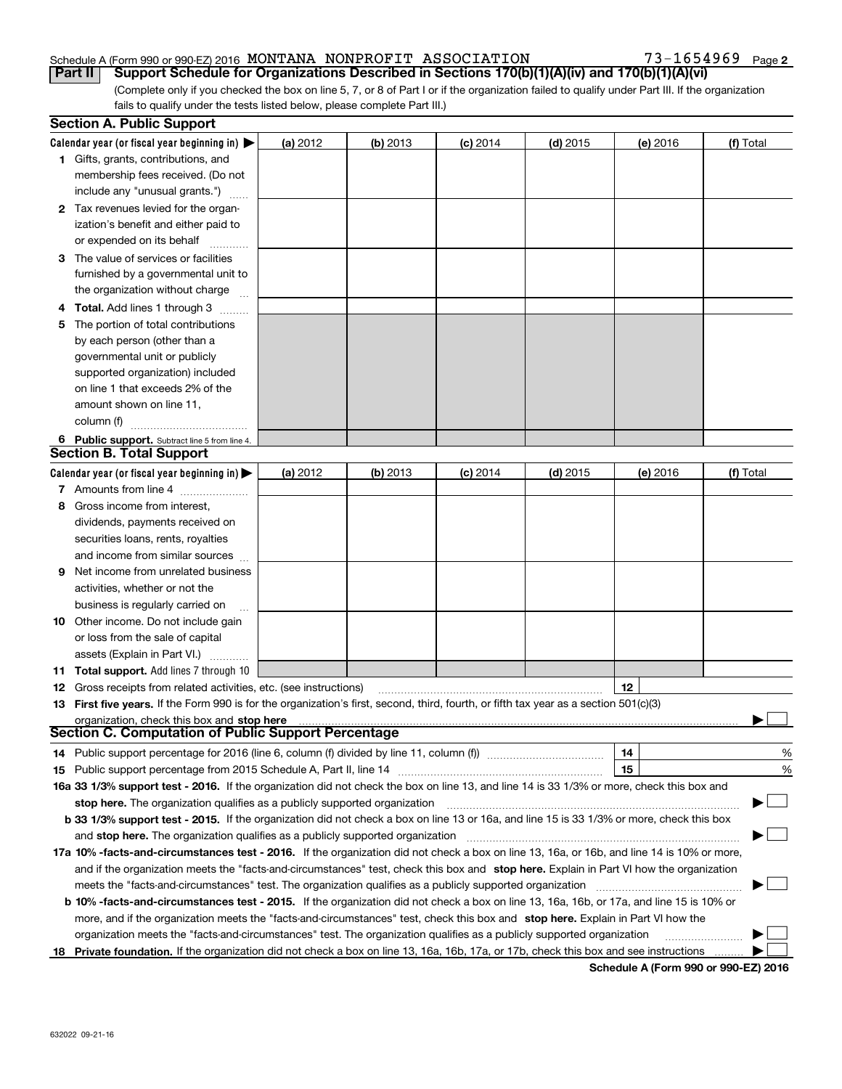#### Schedule A (Form 990 or 990-EZ) 2016 Page MONTANA NONPROFIT ASSOCIATION 73-1654969

**2**

(Complete only if you checked the box on line 5, 7, or 8 of Part I or if the organization failed to qualify under Part III. If the organization fails to qualify under the tests listed below, please complete Part III.) **Part II Support Schedule for Organizations Described in Sections 170(b)(1)(A)(iv) and 170(b)(1)(A)(vi)** 

|    | <b>Section A. Public Support</b>                                                                                                               |          |            |            |            |          |           |
|----|------------------------------------------------------------------------------------------------------------------------------------------------|----------|------------|------------|------------|----------|-----------|
|    | Calendar year (or fiscal year beginning in) $\blacktriangleright$                                                                              | (a) 2012 | $(b)$ 2013 | $(c)$ 2014 | $(d)$ 2015 | (e) 2016 | (f) Total |
|    | <b>1</b> Gifts, grants, contributions, and                                                                                                     |          |            |            |            |          |           |
|    | membership fees received. (Do not                                                                                                              |          |            |            |            |          |           |
|    | include any "unusual grants.")                                                                                                                 |          |            |            |            |          |           |
|    | 2 Tax revenues levied for the organ-                                                                                                           |          |            |            |            |          |           |
|    | ization's benefit and either paid to                                                                                                           |          |            |            |            |          |           |
|    | or expended on its behalf                                                                                                                      |          |            |            |            |          |           |
|    | 3 The value of services or facilities                                                                                                          |          |            |            |            |          |           |
|    | furnished by a governmental unit to                                                                                                            |          |            |            |            |          |           |
|    | the organization without charge                                                                                                                |          |            |            |            |          |           |
|    | <b>4 Total.</b> Add lines 1 through 3                                                                                                          |          |            |            |            |          |           |
| 5. | The portion of total contributions                                                                                                             |          |            |            |            |          |           |
|    | by each person (other than a                                                                                                                   |          |            |            |            |          |           |
|    | governmental unit or publicly                                                                                                                  |          |            |            |            |          |           |
|    | supported organization) included                                                                                                               |          |            |            |            |          |           |
|    | on line 1 that exceeds 2% of the                                                                                                               |          |            |            |            |          |           |
|    | amount shown on line 11,                                                                                                                       |          |            |            |            |          |           |
|    | column (f)                                                                                                                                     |          |            |            |            |          |           |
|    | 6 Public support. Subtract line 5 from line 4.                                                                                                 |          |            |            |            |          |           |
|    | <b>Section B. Total Support</b>                                                                                                                |          |            |            |            |          |           |
|    | Calendar year (or fiscal year beginning in) $\blacktriangleright$                                                                              | (a) 2012 | (b) 2013   | $(c)$ 2014 | $(d)$ 2015 | (e) 2016 | (f) Total |
|    | 7 Amounts from line 4                                                                                                                          |          |            |            |            |          |           |
|    | 8 Gross income from interest.                                                                                                                  |          |            |            |            |          |           |
|    | dividends, payments received on                                                                                                                |          |            |            |            |          |           |
|    | securities loans, rents, royalties                                                                                                             |          |            |            |            |          |           |
|    | and income from similar sources                                                                                                                |          |            |            |            |          |           |
| 9. | Net income from unrelated business                                                                                                             |          |            |            |            |          |           |
|    | activities, whether or not the                                                                                                                 |          |            |            |            |          |           |
|    | business is regularly carried on                                                                                                               |          |            |            |            |          |           |
|    | <b>10</b> Other income. Do not include gain                                                                                                    |          |            |            |            |          |           |
|    | or loss from the sale of capital                                                                                                               |          |            |            |            |          |           |
|    | assets (Explain in Part VI.)                                                                                                                   |          |            |            |            |          |           |
|    | <b>11 Total support.</b> Add lines 7 through 10                                                                                                |          |            |            |            |          |           |
|    | <b>12</b> Gross receipts from related activities, etc. (see instructions)                                                                      |          |            |            |            | 12       |           |
|    | 13 First five years. If the Form 990 is for the organization's first, second, third, fourth, or fifth tax year as a section 501(c)(3)          |          |            |            |            |          |           |
|    | organization, check this box and stop here                                                                                                     |          |            |            |            |          |           |
|    | Section C. Computation of Public Support Percentage                                                                                            |          |            |            |            |          |           |
|    | 14 Public support percentage for 2016 (line 6, column (f) divided by line 11, column (f) <i>marrourcommum</i>                                  |          |            |            |            | 14       | %         |
|    |                                                                                                                                                |          |            |            |            | 15       | %         |
|    | 16a 33 1/3% support test - 2016. If the organization did not check the box on line 13, and line 14 is 33 1/3% or more, check this box and      |          |            |            |            |          |           |
|    | stop here. The organization qualifies as a publicly supported organization                                                                     |          |            |            |            |          | Ţ         |
|    | b 33 1/3% support test - 2015. If the organization did not check a box on line 13 or 16a, and line 15 is 33 1/3% or more, check this box       |          |            |            |            |          |           |
|    | and stop here. The organization qualifies as a publicly supported organization                                                                 |          |            |            |            |          |           |
|    | 17a 10% -facts-and-circumstances test - 2016. If the organization did not check a box on line 13, 16a, or 16b, and line 14 is 10% or more,     |          |            |            |            |          |           |
|    | and if the organization meets the "facts-and-circumstances" test, check this box and stop here. Explain in Part VI how the organization        |          |            |            |            |          |           |
|    | meets the "facts-and-circumstances" test. The organization qualifies as a publicly supported organization                                      |          |            |            |            |          |           |
|    | <b>b 10% -facts-and-circumstances test - 2015.</b> If the organization did not check a box on line 13, 16a, 16b, or 17a, and line 15 is 10% or |          |            |            |            |          |           |
|    | more, and if the organization meets the "facts-and-circumstances" test, check this box and stop here. Explain in Part VI how the               |          |            |            |            |          |           |
|    | organization meets the "facts-and-circumstances" test. The organization qualifies as a publicly supported organization                         |          |            |            |            |          |           |
| 18 | Private foundation. If the organization did not check a box on line 13, 16a, 16b, 17a, or 17b, check this box and see instructions             |          |            |            |            |          |           |

**Schedule A (Form 990 or 990-EZ) 2016**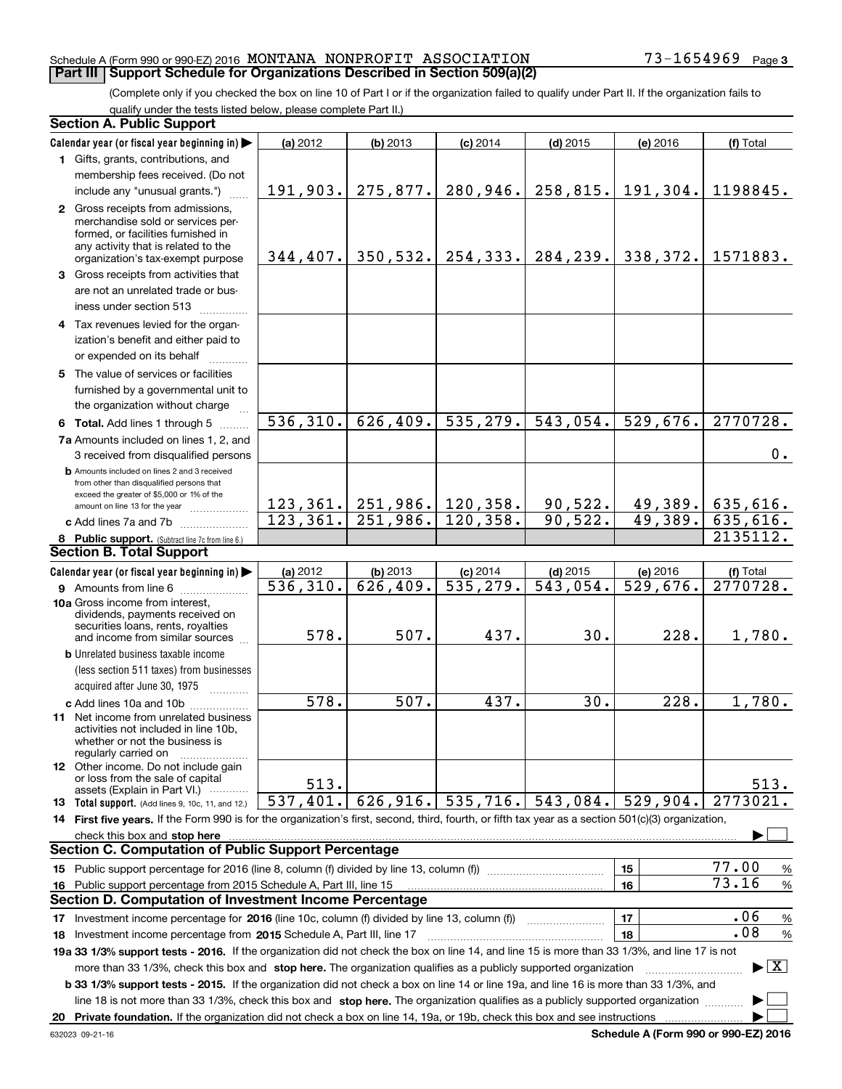#### Schedule A (Form 990 or 990-EZ) 2016 Page MONTANA NONPROFIT ASSOCIATION 73-1654969 **Part III Support Schedule for Organizations Described in Section 509(a)(2)**

(Complete only if you checked the box on line 10 of Part I or if the organization failed to qualify under Part II. If the organization fails to qualify under the tests listed below, please complete Part II.)

|     | <b>Section A. Public Support</b>                                                                                                                                                                                                                          |                    |                                   |                        |                        |                        |                                          |
|-----|-----------------------------------------------------------------------------------------------------------------------------------------------------------------------------------------------------------------------------------------------------------|--------------------|-----------------------------------|------------------------|------------------------|------------------------|------------------------------------------|
|     | Calendar year (or fiscal year beginning in)                                                                                                                                                                                                               | (a) 2012           | $(b)$ 2013                        | $(c)$ 2014             | $(d)$ 2015             | (e) 2016               | (f) Total                                |
|     | 1 Gifts, grants, contributions, and                                                                                                                                                                                                                       |                    |                                   |                        |                        |                        |                                          |
|     | membership fees received. (Do not                                                                                                                                                                                                                         |                    |                                   |                        |                        |                        |                                          |
|     | include any "unusual grants.")                                                                                                                                                                                                                            | 191,903.           |                                   | $275,877.$ 280, 946.   | 258,815.               | 191,304.               | 1198845.                                 |
|     | 2 Gross receipts from admissions,<br>merchandise sold or services per-<br>formed, or facilities furnished in<br>any activity that is related to the                                                                                                       |                    | $344, 407.$ 350, 532. 254, 333.   |                        | 284, 239.              | 338,372.               | 1571883.                                 |
|     | organization's tax-exempt purpose                                                                                                                                                                                                                         |                    |                                   |                        |                        |                        |                                          |
|     | 3 Gross receipts from activities that<br>are not an unrelated trade or bus-<br>iness under section 513                                                                                                                                                    |                    |                                   |                        |                        |                        |                                          |
|     | 4 Tax revenues levied for the organ-                                                                                                                                                                                                                      |                    |                                   |                        |                        |                        |                                          |
|     | ization's benefit and either paid to                                                                                                                                                                                                                      |                    |                                   |                        |                        |                        |                                          |
|     | or expended on its behalf                                                                                                                                                                                                                                 |                    |                                   |                        |                        |                        |                                          |
|     | 5 The value of services or facilities<br>furnished by a governmental unit to<br>the organization without charge                                                                                                                                           |                    |                                   |                        |                        |                        |                                          |
|     | 6 Total. Add lines 1 through 5                                                                                                                                                                                                                            | 536, 310.          | 626, 409.                         | 535, 279.              | 543,054.               | 529,676.               | 2770728.                                 |
|     | 7a Amounts included on lines 1, 2, and<br>3 received from disqualified persons                                                                                                                                                                            |                    |                                   |                        |                        |                        | 0.                                       |
|     | <b>b</b> Amounts included on lines 2 and 3 received<br>from other than disqualified persons that<br>exceed the greater of \$5,000 or 1% of the                                                                                                            |                    |                                   |                        |                        |                        |                                          |
|     | amount on line 13 for the year                                                                                                                                                                                                                            |                    | 123, 361.   251, 986.   120, 358. |                        | 90,522.                |                        | $49,389.$ 635,616.                       |
|     | c Add lines 7a and 7b                                                                                                                                                                                                                                     | 123, 361.          | $251,986.$ 120, 358.              |                        | 90,522.                | 49,389.                | $\overline{635,}616.$                    |
|     | 8 Public support. (Subtract line 7c from line 6.)                                                                                                                                                                                                         |                    |                                   |                        |                        |                        | 2135112.                                 |
|     | <b>Section B. Total Support</b>                                                                                                                                                                                                                           |                    |                                   |                        |                        |                        |                                          |
|     | Calendar year (or fiscal year beginning in)                                                                                                                                                                                                               | (a) 2012           | (b) 2013                          | $(c)$ 2014             | $(d)$ 2015             | (e) 2016               | (f) Total                                |
|     | <b>9</b> Amounts from line 6                                                                                                                                                                                                                              | 536, 310.          | 626,409.                          | $\overline{535,279}$ . | $\overline{543,054}$ . | $\overline{529,676}$ . | 2770728.                                 |
|     | 10a Gross income from interest,<br>dividends, payments received on<br>securities loans, rents, royalties                                                                                                                                                  |                    |                                   |                        |                        |                        |                                          |
|     | and income from similar sources                                                                                                                                                                                                                           | 578.               | 507.                              | 437.                   | 30.                    | 228.                   | 1,780.                                   |
|     | <b>b</b> Unrelated business taxable income                                                                                                                                                                                                                |                    |                                   |                        |                        |                        |                                          |
|     | (less section 511 taxes) from businesses                                                                                                                                                                                                                  |                    |                                   |                        |                        |                        |                                          |
|     | acquired after June 30, 1975<br>1.1.1.1.1.1.1.1.1                                                                                                                                                                                                         |                    |                                   |                        |                        |                        |                                          |
|     | c Add lines 10a and 10b<br><b>11</b> Net income from unrelated business<br>activities not included in line 10b,<br>whether or not the business is<br>regularly carried on                                                                                 | $\overline{578}$ . | 507.                              | 437.                   | $\overline{30}$ .      | 228.                   | 1,780.                                   |
|     | 12 Other income. Do not include gain<br>or loss from the sale of capital<br>assets (Explain in Part VI.)                                                                                                                                                  | 513.               |                                   |                        |                        |                        | 513.                                     |
|     | 13 Total support. (Add lines 9, 10c, 11, and 12.)                                                                                                                                                                                                         | 537,401.           | 626,916.                          | 535,716.               | 543,084.               | 529,904.               | 2773021.                                 |
|     | 14 First five years. If the Form 990 is for the organization's first, second, third, fourth, or fifth tax year as a section 501(c)(3) organization,                                                                                                       |                    |                                   |                        |                        |                        |                                          |
|     | check this box and stop here measurements are constructed as the state of the state of the state of the state o                                                                                                                                           |                    |                                   |                        |                        |                        |                                          |
|     | <b>Section C. Computation of Public Support Percentage</b>                                                                                                                                                                                                |                    |                                   |                        |                        |                        |                                          |
|     | 15 Public support percentage for 2016 (line 8, column (f) divided by line 13, column (f))                                                                                                                                                                 |                    |                                   |                        |                        | 15                     | 77.00<br>%                               |
| 16. | Public support percentage from 2015 Schedule A, Part III, line 15                                                                                                                                                                                         |                    |                                   |                        |                        | 16                     | 73.16<br>$\%$                            |
|     | <b>Section D. Computation of Investment Income Percentage</b>                                                                                                                                                                                             |                    |                                   |                        |                        |                        |                                          |
| 17  | Investment income percentage for 2016 (line 10c, column (f) divided by line 13, column (f)                                                                                                                                                                |                    |                                   |                        |                        | 17                     | .06<br>$\%$                              |
|     | <b>18</b> Investment income percentage from <b>2015</b> Schedule A, Part III, line 17                                                                                                                                                                     |                    |                                   |                        |                        | 18                     | .08<br>%                                 |
|     | 19a 33 1/3% support tests - 2016. If the organization did not check the box on line 14, and line 15 is more than 33 1/3%, and line 17 is not                                                                                                              |                    |                                   |                        |                        |                        |                                          |
|     | more than 33 1/3%, check this box and stop here. The organization qualifies as a publicly supported organization<br>b 33 1/3% support tests - 2015. If the organization did not check a box on line 14 or line 19a, and line 16 is more than 33 1/3%, and |                    |                                   |                        |                        |                        | $\blacktriangleright$ $\boxed{\text{X}}$ |
|     | line 18 is not more than 33 1/3%, check this box and stop here. The organization qualifies as a publicly supported organization                                                                                                                           |                    |                                   |                        |                        |                        |                                          |
|     |                                                                                                                                                                                                                                                           |                    |                                   |                        |                        |                        |                                          |

**Schedule A (Form 990 or 990-EZ) 2016**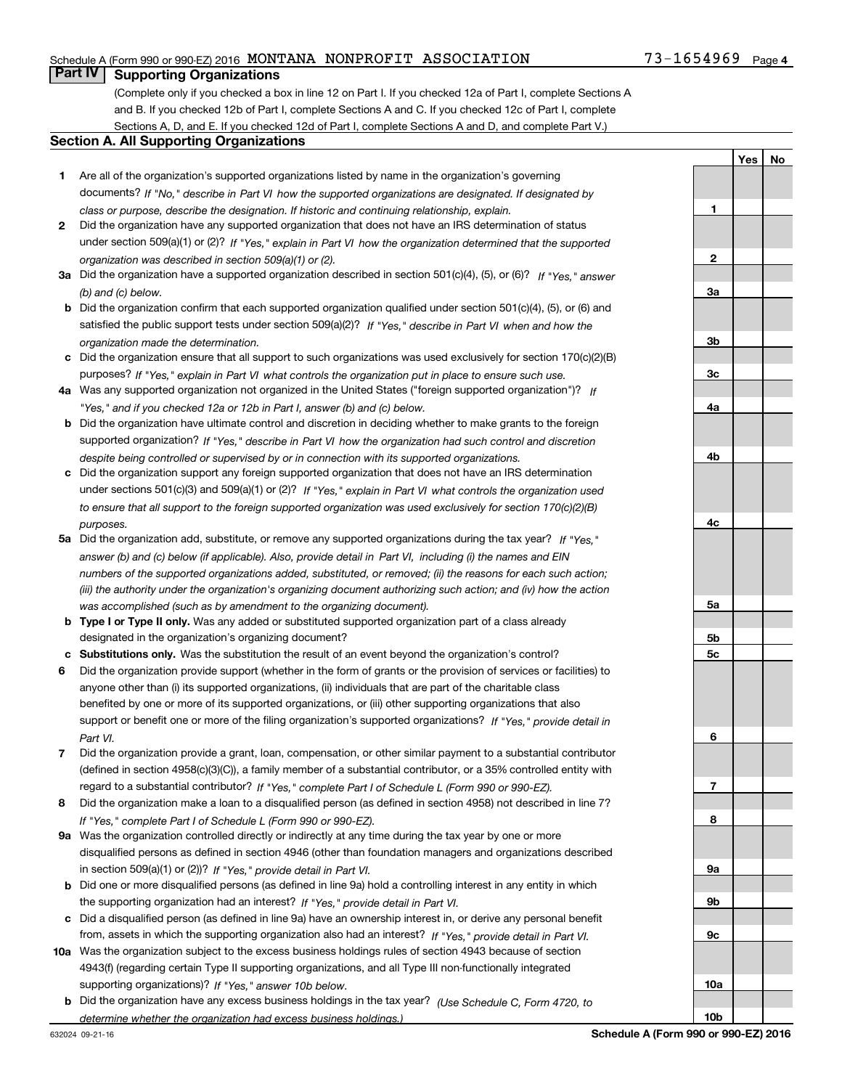#### Schedule A (Form 990 or 990-EZ) 2016 Page MONTANA NONPROFIT ASSOCIATION 73-1654969

### **Part IV Supporting Organizations**

(Complete only if you checked a box in line 12 on Part I. If you checked 12a of Part I, complete Sections A and B. If you checked 12b of Part I, complete Sections A and C. If you checked 12c of Part I, complete Sections A, D, and E. If you checked 12d of Part I, complete Sections A and D, and complete Part V.)

#### **Section A. All Supporting Organizations**

- **1** Are all of the organization's supported organizations listed by name in the organization's governing documents? If "No," describe in Part VI how the supported organizations are designated. If designated by *class or purpose, describe the designation. If historic and continuing relationship, explain.*
- **2** Did the organization have any supported organization that does not have an IRS determination of status under section 509(a)(1) or (2)? If "Yes," explain in Part VI how the organization determined that the supported *organization was described in section 509(a)(1) or (2).*
- **3a** Did the organization have a supported organization described in section 501(c)(4), (5), or (6)? If "Yes," answer *(b) and (c) below.*
- **b** Did the organization confirm that each supported organization qualified under section 501(c)(4), (5), or (6) and satisfied the public support tests under section 509(a)(2)? If "Yes," describe in Part VI when and how the *organization made the determination.*
- **c**Did the organization ensure that all support to such organizations was used exclusively for section 170(c)(2)(B) purposes? If "Yes," explain in Part VI what controls the organization put in place to ensure such use.
- **4a***If* Was any supported organization not organized in the United States ("foreign supported organization")? *"Yes," and if you checked 12a or 12b in Part I, answer (b) and (c) below.*
- **b** Did the organization have ultimate control and discretion in deciding whether to make grants to the foreign supported organization? If "Yes," describe in Part VI how the organization had such control and discretion *despite being controlled or supervised by or in connection with its supported organizations.*
- **c** Did the organization support any foreign supported organization that does not have an IRS determination under sections 501(c)(3) and 509(a)(1) or (2)? If "Yes," explain in Part VI what controls the organization used *to ensure that all support to the foreign supported organization was used exclusively for section 170(c)(2)(B) purposes.*
- **5a***If "Yes,"* Did the organization add, substitute, or remove any supported organizations during the tax year? answer (b) and (c) below (if applicable). Also, provide detail in Part VI, including (i) the names and EIN *numbers of the supported organizations added, substituted, or removed; (ii) the reasons for each such action; (iii) the authority under the organization's organizing document authorizing such action; and (iv) how the action was accomplished (such as by amendment to the organizing document).*
- **b** Type I or Type II only. Was any added or substituted supported organization part of a class already designated in the organization's organizing document?
- **cSubstitutions only.**  Was the substitution the result of an event beyond the organization's control?
- **6** Did the organization provide support (whether in the form of grants or the provision of services or facilities) to *If "Yes," provide detail in* support or benefit one or more of the filing organization's supported organizations? anyone other than (i) its supported organizations, (ii) individuals that are part of the charitable class benefited by one or more of its supported organizations, or (iii) other supporting organizations that also *Part VI.*
- **7**Did the organization provide a grant, loan, compensation, or other similar payment to a substantial contributor *If "Yes," complete Part I of Schedule L (Form 990 or 990-EZ).* regard to a substantial contributor? (defined in section 4958(c)(3)(C)), a family member of a substantial contributor, or a 35% controlled entity with
- **8** Did the organization make a loan to a disqualified person (as defined in section 4958) not described in line 7? *If "Yes," complete Part I of Schedule L (Form 990 or 990-EZ).*
- **9a** Was the organization controlled directly or indirectly at any time during the tax year by one or more in section 509(a)(1) or (2))? If "Yes," *provide detail in Part VI.* disqualified persons as defined in section 4946 (other than foundation managers and organizations described
- **b** Did one or more disqualified persons (as defined in line 9a) hold a controlling interest in any entity in which the supporting organization had an interest? If "Yes," provide detail in Part VI.
- **c**Did a disqualified person (as defined in line 9a) have an ownership interest in, or derive any personal benefit from, assets in which the supporting organization also had an interest? If "Yes," provide detail in Part VI.
- **10a** Was the organization subject to the excess business holdings rules of section 4943 because of section supporting organizations)? If "Yes," answer 10b below. 4943(f) (regarding certain Type II supporting organizations, and all Type III non-functionally integrated
- **b** Did the organization have any excess business holdings in the tax year? (Use Schedule C, Form 4720, to *determine whether the organization had excess business holdings.)*

**3a3b3c4a4b4c5a5b5c6789a 9b9c10a**

**10b**

**1**

**2**

**YesNo**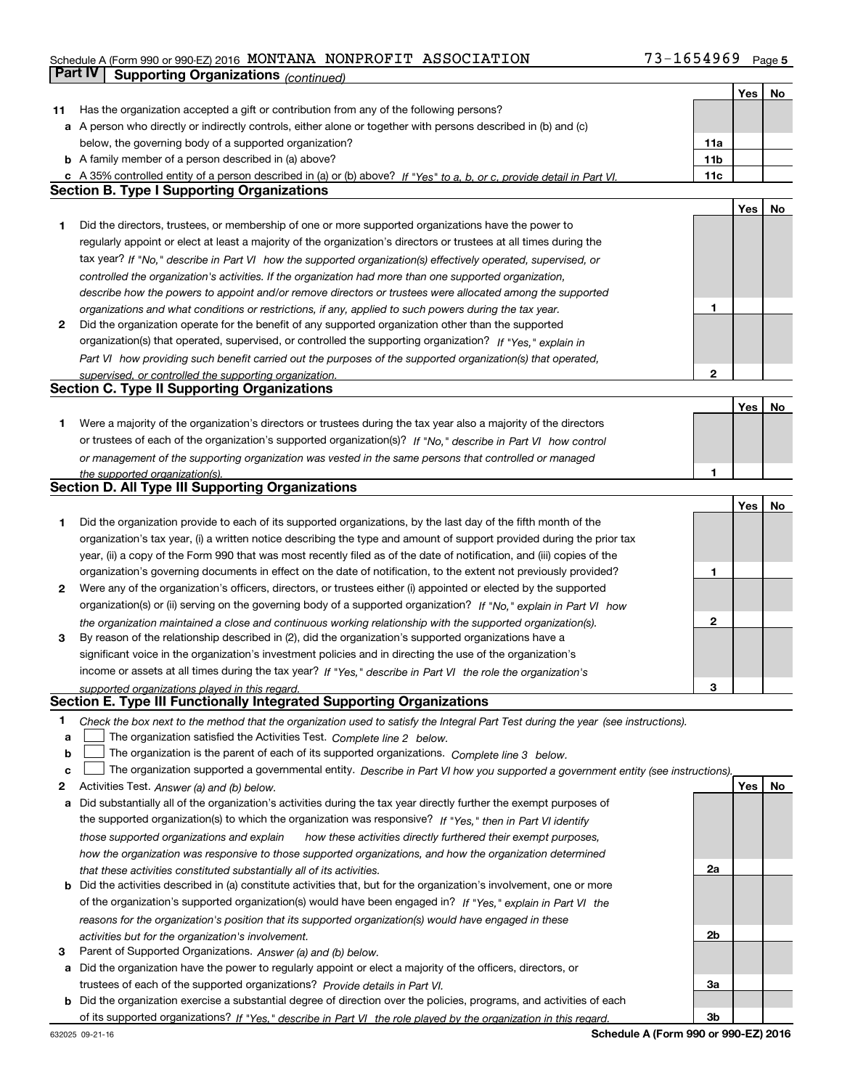### Schedule A (Form 990 or 990-EZ) 2016 Page MONTANA NONPROFIT ASSOCIATION 73-1654969**Part IV Supporting Organizations** *(continued)*

|    |                                                                                                                                                                              |                 | Yes | No |
|----|------------------------------------------------------------------------------------------------------------------------------------------------------------------------------|-----------------|-----|----|
| 11 | Has the organization accepted a gift or contribution from any of the following persons?                                                                                      |                 |     |    |
|    | a A person who directly or indirectly controls, either alone or together with persons described in (b) and (c)                                                               |                 |     |    |
|    | below, the governing body of a supported organization?                                                                                                                       | 11a             |     |    |
|    | <b>b</b> A family member of a person described in (a) above?                                                                                                                 | 11 <sub>b</sub> |     |    |
|    | c A 35% controlled entity of a person described in (a) or (b) above? If "Yes" to a, b, or c, provide detail in Part VI.                                                      | 11c             |     |    |
|    | <b>Section B. Type I Supporting Organizations</b>                                                                                                                            |                 |     |    |
|    |                                                                                                                                                                              |                 | Yes | No |
| 1  | Did the directors, trustees, or membership of one or more supported organizations have the power to                                                                          |                 |     |    |
|    | regularly appoint or elect at least a majority of the organization's directors or trustees at all times during the                                                           |                 |     |    |
|    | tax year? If "No," describe in Part VI how the supported organization(s) effectively operated, supervised, or                                                                |                 |     |    |
|    | controlled the organization's activities. If the organization had more than one supported organization,                                                                      |                 |     |    |
|    | describe how the powers to appoint and/or remove directors or trustees were allocated among the supported                                                                    |                 |     |    |
|    | organizations and what conditions or restrictions, if any, applied to such powers during the tax year.                                                                       | 1               |     |    |
| 2  | Did the organization operate for the benefit of any supported organization other than the supported                                                                          |                 |     |    |
|    | organization(s) that operated, supervised, or controlled the supporting organization? If "Yes," explain in                                                                   |                 |     |    |
|    | Part VI how providing such benefit carried out the purposes of the supported organization(s) that operated,                                                                  |                 |     |    |
|    | supervised, or controlled the supporting organization.                                                                                                                       | 2               |     |    |
|    | <b>Section C. Type II Supporting Organizations</b>                                                                                                                           |                 |     |    |
|    |                                                                                                                                                                              |                 | Yes | No |
| 1  | Were a majority of the organization's directors or trustees during the tax year also a majority of the directors                                                             |                 |     |    |
|    | or trustees of each of the organization's supported organization(s)? If "No," describe in Part VI how control                                                                |                 |     |    |
|    | or management of the supporting organization was vested in the same persons that controlled or managed                                                                       |                 |     |    |
|    | the supported organization(s).                                                                                                                                               | 1               |     |    |
|    | Section D. All Type III Supporting Organizations                                                                                                                             |                 |     |    |
|    |                                                                                                                                                                              |                 | Yes | No |
| 1  | Did the organization provide to each of its supported organizations, by the last day of the fifth month of the                                                               |                 |     |    |
|    | organization's tax year, (i) a written notice describing the type and amount of support provided during the prior tax                                                        |                 |     |    |
|    | year, (ii) a copy of the Form 990 that was most recently filed as of the date of notification, and (iii) copies of the                                                       |                 |     |    |
|    | organization's governing documents in effect on the date of notification, to the extent not previously provided?                                                             | 1               |     |    |
| 2  | Were any of the organization's officers, directors, or trustees either (i) appointed or elected by the supported                                                             |                 |     |    |
|    | organization(s) or (ii) serving on the governing body of a supported organization? If "No," explain in Part VI how                                                           |                 |     |    |
|    | the organization maintained a close and continuous working relationship with the supported organization(s).                                                                  | 2               |     |    |
| 3  | By reason of the relationship described in (2), did the organization's supported organizations have a                                                                        |                 |     |    |
|    | significant voice in the organization's investment policies and in directing the use of the organization's                                                                   |                 |     |    |
|    | income or assets at all times during the tax year? If "Yes," describe in Part VI the role the organization's                                                                 |                 |     |    |
|    | supported organizations played in this regard.                                                                                                                               | 3               |     |    |
|    | Section E. Type III Functionally Integrated Supporting Organizations                                                                                                         |                 |     |    |
| 1  | Check the box next to the method that the organization used to satisfy the Integral Part Test during the year (see instructions).                                            |                 |     |    |
| a  | The organization satisfied the Activities Test. Complete line 2 below.                                                                                                       |                 |     |    |
| b  | The organization is the parent of each of its supported organizations. Complete line 3 below.                                                                                |                 |     |    |
| с  | The organization supported a governmental entity. Describe in Part VI how you supported a government entity (see instructions).                                              |                 |     |    |
| 2  | Activities Test. Answer (a) and (b) below.                                                                                                                                   |                 | Yes | No |
| а  | Did substantially all of the organization's activities during the tax year directly further the exempt purposes of                                                           |                 |     |    |
|    | the supported organization(s) to which the organization was responsive? If "Yes," then in Part VI identify                                                                   |                 |     |    |
|    | those supported organizations and explain<br>how these activities directly furthered their exempt purposes,                                                                  |                 |     |    |
|    | how the organization was responsive to those supported organizations, and how the organization determined                                                                    |                 |     |    |
|    | that these activities constituted substantially all of its activities.                                                                                                       | 2a              |     |    |
|    | <b>b</b> Did the activities described in (a) constitute activities that, but for the organization's involvement, one or more                                                 |                 |     |    |
|    | of the organization's supported organization(s) would have been engaged in? If "Yes," explain in Part VI the                                                                 |                 |     |    |
|    | reasons for the organization's position that its supported organization(s) would have engaged in these                                                                       |                 |     |    |
|    | activities but for the organization's involvement.                                                                                                                           | 2b              |     |    |
| з  | Parent of Supported Organizations. Answer (a) and (b) below.                                                                                                                 |                 |     |    |
|    | a Did the organization have the power to regularly appoint or elect a majority of the officers, directors, or                                                                |                 |     |    |
|    | trustees of each of the supported organizations? Provide details in Part VI.                                                                                                 | За              |     |    |
| b  | Did the organization exercise a substantial degree of direction over the policies, programs, and activities of each                                                          | 3b              |     |    |
|    | of its supported organizations? If "Yes," describe in Part VI the role played by the organization in this regard.<br>Schedule A (Form 990 or 990-EZ) 2016<br>632025 09-21-16 |                 |     |    |
|    |                                                                                                                                                                              |                 |     |    |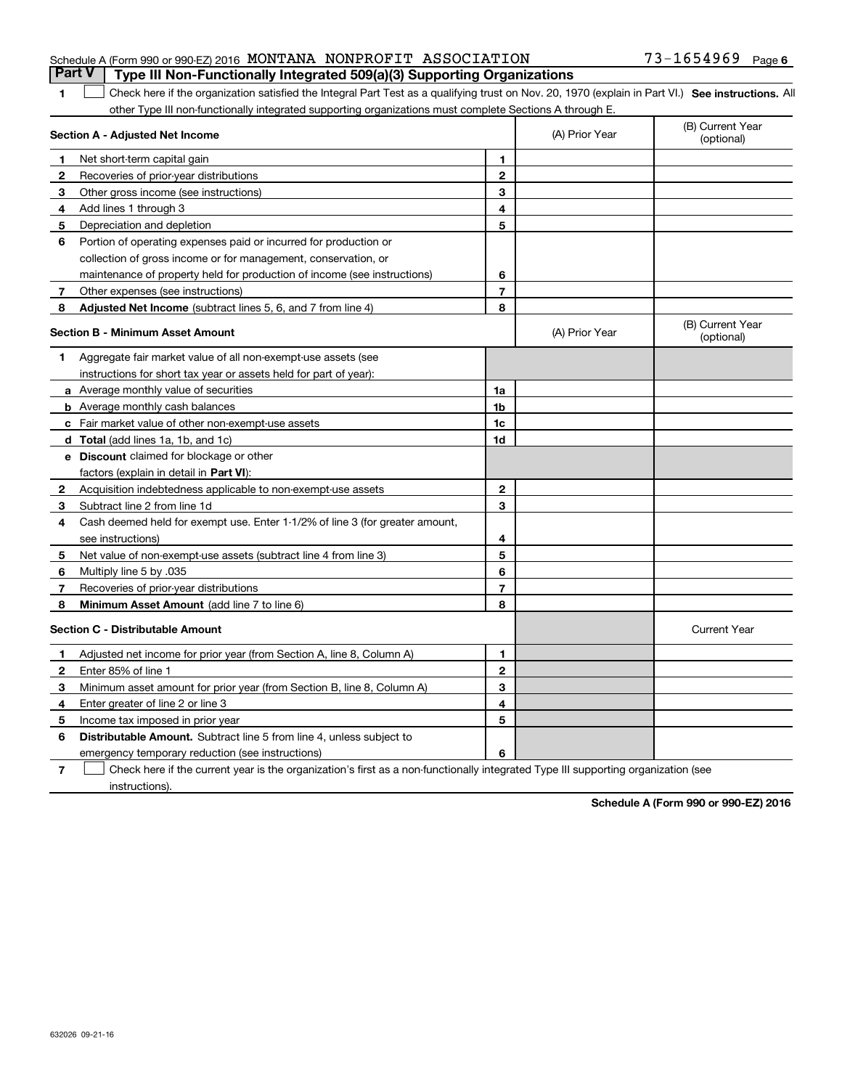|  |                                                                    | Part V   Type III Non-Functionally Integrated 509(a)(3) Supporting Organizations |                       |  |
|--|--------------------------------------------------------------------|----------------------------------------------------------------------------------|-----------------------|--|
|  | Schedule A (Form 990 or 990-EZ) 2016 MONTANA NONPROFIT ASSOCIATION |                                                                                  | $73 - 1654969$ Page 6 |  |

#### **SEP 10. See instructions.** All antegral Part Test as a qualifying trust on Nov. 20, 1970 (explain in Part VI.) See instructions. All other Type III non-functionally integrated supporting organizations must complete Sections A through E. ×.

|    | Section A - Adjusted Net Income                                              | (A) Prior Year | (B) Current Year<br>(optional) |                                |
|----|------------------------------------------------------------------------------|----------------|--------------------------------|--------------------------------|
| 1. | Net short-term capital gain                                                  | 1              |                                |                                |
| 2  | Recoveries of prior-year distributions                                       | $\overline{2}$ |                                |                                |
| З  | Other gross income (see instructions)                                        | 3              |                                |                                |
| 4  | Add lines 1 through 3                                                        | 4              |                                |                                |
| 5  | Depreciation and depletion                                                   | 5              |                                |                                |
| 6  | Portion of operating expenses paid or incurred for production or             |                |                                |                                |
|    | collection of gross income or for management, conservation, or               |                |                                |                                |
|    | maintenance of property held for production of income (see instructions)     | 6              |                                |                                |
| 7  | Other expenses (see instructions)                                            | $\overline{7}$ |                                |                                |
| 8  | Adjusted Net Income (subtract lines 5, 6, and 7 from line 4)                 | 8              |                                |                                |
|    | <b>Section B - Minimum Asset Amount</b>                                      |                | (A) Prior Year                 | (B) Current Year<br>(optional) |
| 1  | Aggregate fair market value of all non-exempt-use assets (see                |                |                                |                                |
|    | instructions for short tax year or assets held for part of year):            |                |                                |                                |
|    | a Average monthly value of securities                                        | 1a             |                                |                                |
|    | <b>b</b> Average monthly cash balances                                       | 1b             |                                |                                |
|    | <b>c</b> Fair market value of other non-exempt-use assets                    | 1c             |                                |                                |
|    | d Total (add lines 1a, 1b, and 1c)                                           | 1d             |                                |                                |
|    | <b>e</b> Discount claimed for blockage or other                              |                |                                |                                |
|    | factors (explain in detail in Part VI):                                      |                |                                |                                |
| 2  | Acquisition indebtedness applicable to non-exempt-use assets                 | $\mathbf{2}$   |                                |                                |
| 3  | Subtract line 2 from line 1d                                                 | 3              |                                |                                |
| 4  | Cash deemed held for exempt use. Enter 1-1/2% of line 3 (for greater amount, |                |                                |                                |
|    | see instructions)                                                            | 4              |                                |                                |
| 5  | Net value of non-exempt-use assets (subtract line 4 from line 3)             | 5              |                                |                                |
| 6  | Multiply line 5 by .035                                                      | 6              |                                |                                |
| 7  | Recoveries of prior-year distributions                                       | $\overline{7}$ |                                |                                |
| 8  | Minimum Asset Amount (add line 7 to line 6)                                  | 8              |                                |                                |
|    | <b>Section C - Distributable Amount</b>                                      |                |                                | <b>Current Year</b>            |
| 1  | Adjusted net income for prior year (from Section A, line 8, Column A)        | 1              |                                |                                |
| 2  | Enter 85% of line 1                                                          | $\mathbf{2}$   |                                |                                |
| з  | Minimum asset amount for prior year (from Section B, line 8, Column A)       | 3              |                                |                                |
| 4  | Enter greater of line 2 or line 3                                            | 4              |                                |                                |
| 5  | Income tax imposed in prior year                                             | 5              |                                |                                |
| 6  | Distributable Amount. Subtract line 5 from line 4, unless subject to         |                |                                |                                |
|    | emergency temporary reduction (see instructions)                             | 6              |                                |                                |
|    |                                                                              |                |                                |                                |

**7**Check here if the current year is the organization's first as a non-functionally integrated Type III supporting organization (see instructions).

**Schedule A (Form 990 or 990-EZ) 2016**

**1**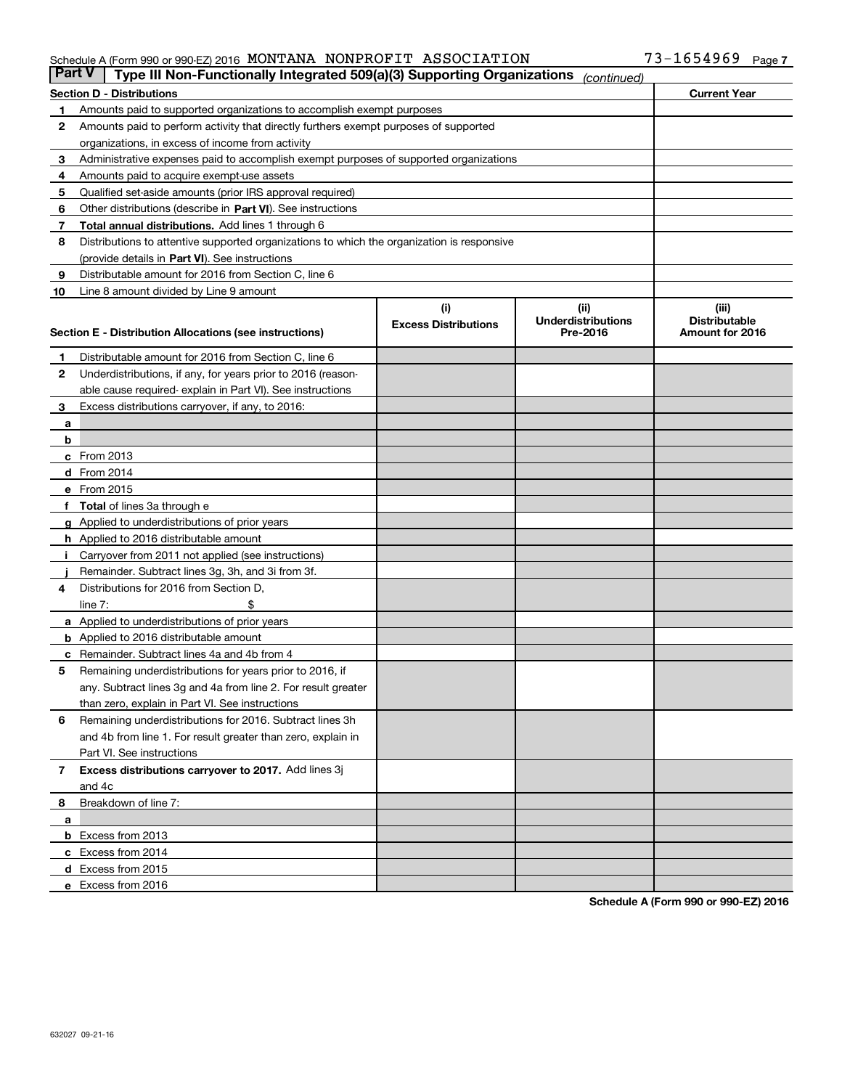#### Schedule A (Form 990 or 990-EZ) 2016 Page MONTANA NONPROFIT ASSOCIATION 73-1654969

| <b>Part V</b> | Type III Non-Functionally Integrated 509(a)(3) Supporting Organizations                    |                             | (continued)               |                      |
|---------------|--------------------------------------------------------------------------------------------|-----------------------------|---------------------------|----------------------|
|               | <b>Section D - Distributions</b>                                                           |                             |                           | <b>Current Year</b>  |
| 1             | Amounts paid to supported organizations to accomplish exempt purposes                      |                             |                           |                      |
| 2             | Amounts paid to perform activity that directly furthers exempt purposes of supported       |                             |                           |                      |
|               | organizations, in excess of income from activity                                           |                             |                           |                      |
| з             | Administrative expenses paid to accomplish exempt purposes of supported organizations      |                             |                           |                      |
| 4             | Amounts paid to acquire exempt-use assets                                                  |                             |                           |                      |
| 5             | Qualified set-aside amounts (prior IRS approval required)                                  |                             |                           |                      |
| 6             | Other distributions (describe in Part VI). See instructions                                |                             |                           |                      |
| 7             | <b>Total annual distributions.</b> Add lines 1 through 6                                   |                             |                           |                      |
| 8             | Distributions to attentive supported organizations to which the organization is responsive |                             |                           |                      |
|               | (provide details in Part VI). See instructions                                             |                             |                           |                      |
| 9             | Distributable amount for 2016 from Section C, line 6                                       |                             |                           |                      |
| 10            | Line 8 amount divided by Line 9 amount                                                     |                             |                           |                      |
|               |                                                                                            | (i)                         | (iii)                     | (iii)                |
|               |                                                                                            | <b>Excess Distributions</b> | <b>Underdistributions</b> | <b>Distributable</b> |
|               | Section E - Distribution Allocations (see instructions)                                    |                             | Pre-2016                  | Amount for 2016      |
| 1             | Distributable amount for 2016 from Section C, line 6                                       |                             |                           |                      |
| 2             | Underdistributions, if any, for years prior to 2016 (reason-                               |                             |                           |                      |
|               | able cause required-explain in Part VI). See instructions                                  |                             |                           |                      |
| 3             | Excess distributions carryover, if any, to 2016:                                           |                             |                           |                      |
| а             |                                                                                            |                             |                           |                      |
| b             |                                                                                            |                             |                           |                      |
|               | c From 2013                                                                                |                             |                           |                      |
|               | d From 2014                                                                                |                             |                           |                      |
|               | e From 2015                                                                                |                             |                           |                      |
|               | Total of lines 3a through e                                                                |                             |                           |                      |
|               | <b>g</b> Applied to underdistributions of prior years                                      |                             |                           |                      |
|               | h Applied to 2016 distributable amount                                                     |                             |                           |                      |
|               | Carryover from 2011 not applied (see instructions)                                         |                             |                           |                      |
|               | Remainder. Subtract lines 3g, 3h, and 3i from 3f.                                          |                             |                           |                      |
| 4             | Distributions for 2016 from Section D,                                                     |                             |                           |                      |
|               | line $7:$                                                                                  |                             |                           |                      |
|               | a Applied to underdistributions of prior years                                             |                             |                           |                      |
|               | <b>b</b> Applied to 2016 distributable amount                                              |                             |                           |                      |
|               | Remainder. Subtract lines 4a and 4b from 4                                                 |                             |                           |                      |
| с<br>5        | Remaining underdistributions for years prior to 2016, if                                   |                             |                           |                      |
|               | any. Subtract lines 3g and 4a from line 2. For result greater                              |                             |                           |                      |
|               | than zero, explain in Part VI. See instructions                                            |                             |                           |                      |
| 6             | Remaining underdistributions for 2016. Subtract lines 3h                                   |                             |                           |                      |
|               | and 4b from line 1. For result greater than zero, explain in                               |                             |                           |                      |
|               | Part VI. See instructions                                                                  |                             |                           |                      |
|               |                                                                                            |                             |                           |                      |
| 7             | Excess distributions carryover to 2017. Add lines 3j<br>and 4c                             |                             |                           |                      |
|               |                                                                                            |                             |                           |                      |
| 8             | Breakdown of line 7:                                                                       |                             |                           |                      |
| а             |                                                                                            |                             |                           |                      |
|               | <b>b</b> Excess from 2013                                                                  |                             |                           |                      |
|               | c Excess from 2014                                                                         |                             |                           |                      |
|               | <b>d</b> Excess from 2015<br>e Excess from 2016                                            |                             |                           |                      |
|               |                                                                                            |                             |                           |                      |

**Schedule A (Form 990 or 990-EZ) 2016**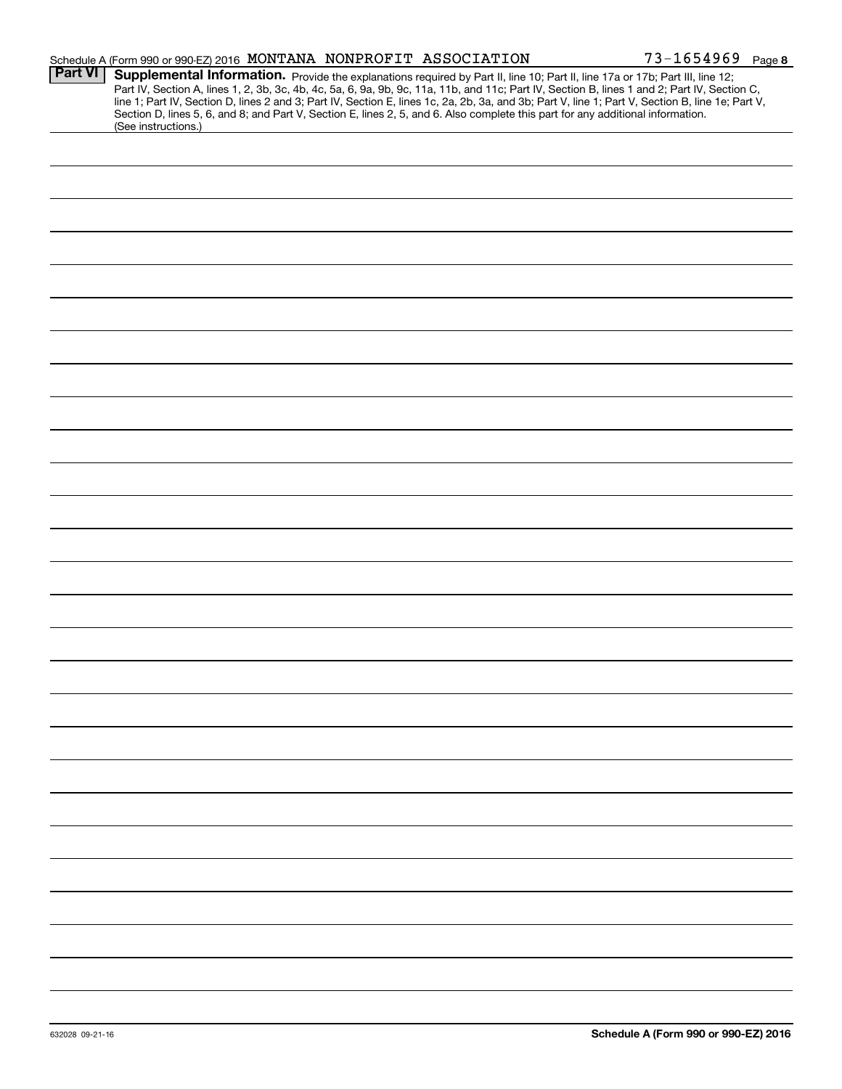|                | Schedule A (Form 990 or 990-EZ) 2016 MONTANA NONPROFIT ASSOCIATION                                                                                                                                                                                                                                                                                                                                                                                                                                                                                                                          | $73 - 1654969$ Page 8 |
|----------------|---------------------------------------------------------------------------------------------------------------------------------------------------------------------------------------------------------------------------------------------------------------------------------------------------------------------------------------------------------------------------------------------------------------------------------------------------------------------------------------------------------------------------------------------------------------------------------------------|-----------------------|
| <b>Part VI</b> | Supplemental Information. Provide the explanations required by Part II, line 10; Part II, line 17a or 17b; Part III, line 12;<br>Part IV, Section A, lines 1, 2, 3b, 3c, 4b, 4c, 5a, 6, 9a, 9b, 9c, 11a, 11b, and 11c; Part IV, Section B, lines 1 and 2; Part IV, Section C,<br>line 1; Part IV, Section D, lines 2 and 3; Part IV, Section E, lines 1c, 2a, 2b, 3a, and 3b; Part V, line 1; Part V, Section B, line 1e; Part V,<br>Section D, lines 5, 6, and 8; and Part V, Section E, lines 2, 5, and 6. Also complete this part for any additional information.<br>(See instructions.) |                       |
|                |                                                                                                                                                                                                                                                                                                                                                                                                                                                                                                                                                                                             |                       |
|                |                                                                                                                                                                                                                                                                                                                                                                                                                                                                                                                                                                                             |                       |
|                |                                                                                                                                                                                                                                                                                                                                                                                                                                                                                                                                                                                             |                       |
|                |                                                                                                                                                                                                                                                                                                                                                                                                                                                                                                                                                                                             |                       |
|                |                                                                                                                                                                                                                                                                                                                                                                                                                                                                                                                                                                                             |                       |
|                |                                                                                                                                                                                                                                                                                                                                                                                                                                                                                                                                                                                             |                       |
|                |                                                                                                                                                                                                                                                                                                                                                                                                                                                                                                                                                                                             |                       |
|                |                                                                                                                                                                                                                                                                                                                                                                                                                                                                                                                                                                                             |                       |
|                |                                                                                                                                                                                                                                                                                                                                                                                                                                                                                                                                                                                             |                       |
|                |                                                                                                                                                                                                                                                                                                                                                                                                                                                                                                                                                                                             |                       |
|                |                                                                                                                                                                                                                                                                                                                                                                                                                                                                                                                                                                                             |                       |
|                |                                                                                                                                                                                                                                                                                                                                                                                                                                                                                                                                                                                             |                       |
|                |                                                                                                                                                                                                                                                                                                                                                                                                                                                                                                                                                                                             |                       |
|                |                                                                                                                                                                                                                                                                                                                                                                                                                                                                                                                                                                                             |                       |
|                |                                                                                                                                                                                                                                                                                                                                                                                                                                                                                                                                                                                             |                       |
|                |                                                                                                                                                                                                                                                                                                                                                                                                                                                                                                                                                                                             |                       |
|                |                                                                                                                                                                                                                                                                                                                                                                                                                                                                                                                                                                                             |                       |
|                |                                                                                                                                                                                                                                                                                                                                                                                                                                                                                                                                                                                             |                       |
|                |                                                                                                                                                                                                                                                                                                                                                                                                                                                                                                                                                                                             |                       |
|                |                                                                                                                                                                                                                                                                                                                                                                                                                                                                                                                                                                                             |                       |
|                |                                                                                                                                                                                                                                                                                                                                                                                                                                                                                                                                                                                             |                       |
|                |                                                                                                                                                                                                                                                                                                                                                                                                                                                                                                                                                                                             |                       |
|                |                                                                                                                                                                                                                                                                                                                                                                                                                                                                                                                                                                                             |                       |
|                |                                                                                                                                                                                                                                                                                                                                                                                                                                                                                                                                                                                             |                       |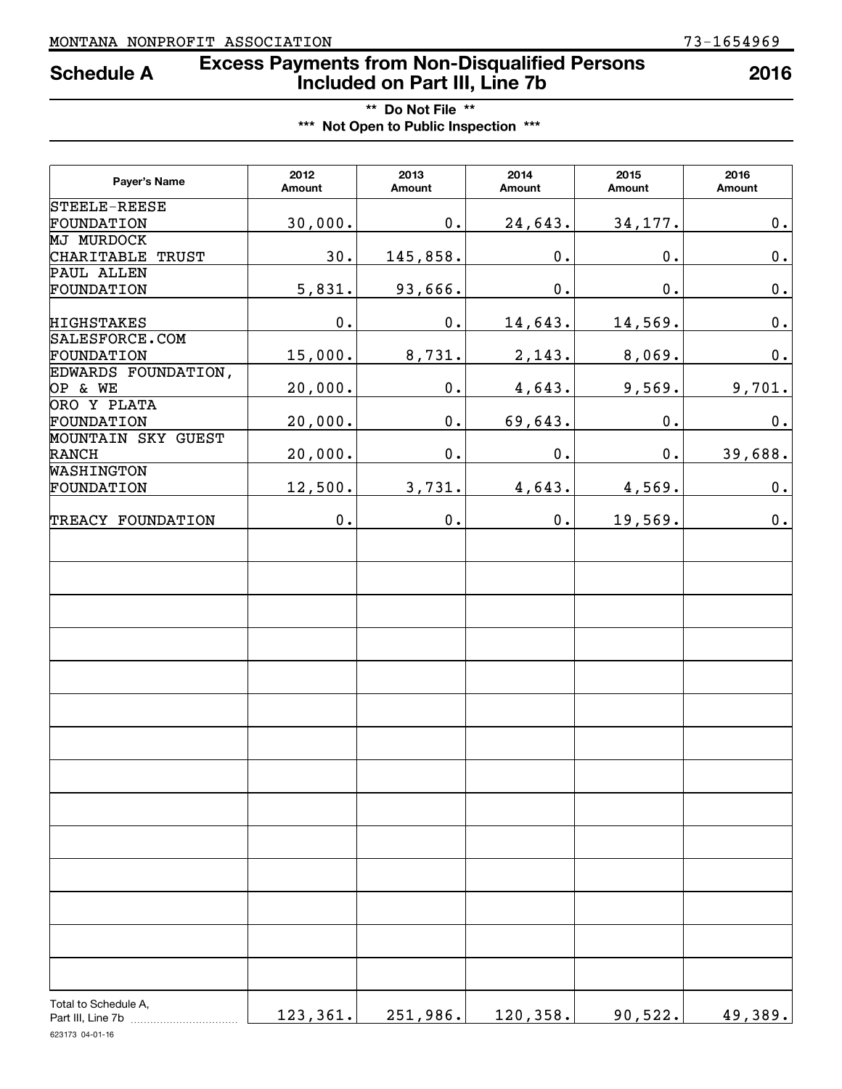### **Excess Payments from Non-Disqualified Persons Schedule A 2016 Included on Part III, Line 7b**

**\*\* Do Not File \*\* \*\*\* Not Open to Public Inspection \*\*\***

| Payer's Name         | 2012<br>Amount | 2013<br>Amount | 2014<br>Amount | 2015<br>Amount  | 2016<br>Amount |
|----------------------|----------------|----------------|----------------|-----------------|----------------|
| STEELE-REESE         |                |                |                |                 |                |
| FOUNDATION           | 30,000.        | $\mathbf 0$ .  | 24,643.        | 34,177.         | 0.             |
| <b>MJ MURDOCK</b>    |                |                |                |                 |                |
| CHARITABLE TRUST     | 30.            | 145,858.       | $\mathbf 0$ .  | $\mathbf 0$ .   | $\mathbf 0$ .  |
| PAUL ALLEN           |                |                |                |                 |                |
| FOUNDATION           | 5,831.         | 93,666.        | $\mathbf 0$ .  | $\mathfrak o$ . | $\mathbf 0$ .  |
| <b>HIGHSTAKES</b>    | $\mathbf 0$ .  | $\mathbf 0$ .  | 14,643.        | 14,569.         | $\mathbf 0$ .  |
| SALESFORCE.COM       |                |                |                |                 |                |
| FOUNDATION           | 15,000.        | 8,731.         | 2,143.         | 8,069.          | $\mathbf 0$ .  |
| EDWARDS FOUNDATION,  |                |                |                |                 |                |
| OP & WE              | 20,000.        | $\mathbf 0$ .  | 4,643.         | 9,569.          | 9,701.         |
| ORO Y PLATA          |                |                |                |                 |                |
| FOUNDATION           | 20,000.        | $\mathbf 0$ .  | 69,643.        | $\mathbf 0$ .   | $\mathbf 0$ .  |
| MOUNTAIN SKY GUEST   |                |                |                |                 |                |
| RANCH<br>WASHINGTON  | 20,000.        | $\mathbf 0$ .  | $\mathbf 0$ .  | $0$ .           | 39,688.        |
| FOUNDATION           | 12,500.        | 3,731.         | 4,643.         |                 | $\mathbf 0$ .  |
|                      |                |                |                | 4,569.          |                |
| TREACY FOUNDATION    | $\mathbf 0$ .  | $\mathbf 0$ .  | $0$ .          | 19,569.         | $\mathbf 0$ .  |
|                      |                |                |                |                 |                |
| Total to Schedule A, | 123, 361.      | 251,986.       | 120,358.       | 90,522.         | 49,389.        |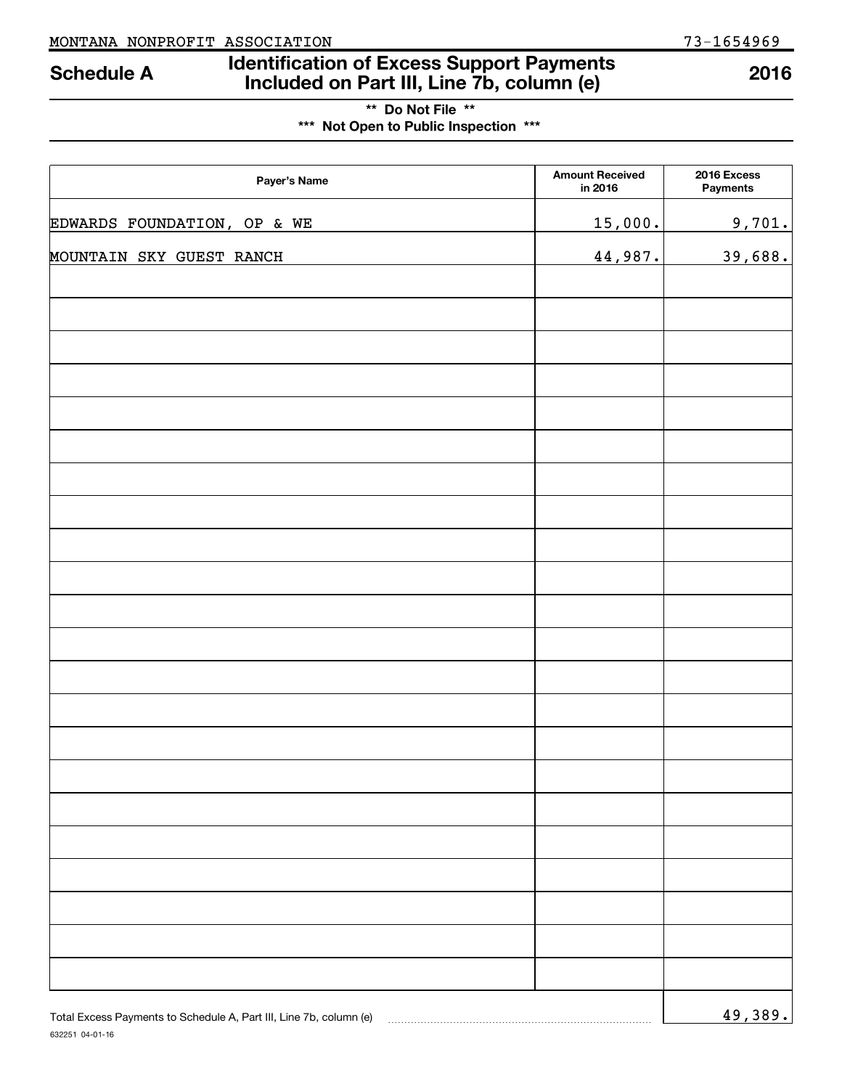632251 04-01-16

### **Identification of Excess Support Payments Included on Part III, Line 7b, column (e) Schedule A 2016**

| ** Do Not File **                     |  |
|---------------------------------------|--|
| *** Not Open to Public Inspection *** |  |

| Payer's Name                                                       | <b>Amount Received</b><br>in 2016 | 2016 Excess<br><b>Payments</b> |
|--------------------------------------------------------------------|-----------------------------------|--------------------------------|
| EDWARDS FOUNDATION, OP & WE                                        | 15,000.                           | 9,701.                         |
| MOUNTAIN SKY GUEST RANCH                                           | 44,987.                           | 39,688.                        |
|                                                                    |                                   |                                |
|                                                                    |                                   |                                |
|                                                                    |                                   |                                |
|                                                                    |                                   |                                |
|                                                                    |                                   |                                |
|                                                                    |                                   |                                |
|                                                                    |                                   |                                |
|                                                                    |                                   |                                |
|                                                                    |                                   |                                |
|                                                                    |                                   |                                |
|                                                                    |                                   |                                |
|                                                                    |                                   |                                |
|                                                                    |                                   |                                |
|                                                                    |                                   |                                |
|                                                                    |                                   |                                |
|                                                                    |                                   |                                |
|                                                                    |                                   |                                |
|                                                                    |                                   |                                |
|                                                                    |                                   |                                |
|                                                                    |                                   |                                |
|                                                                    |                                   |                                |
| Total Excess Payments to Schedule A, Part III, Line 7b, column (e) |                                   | <u>49,389.</u>                 |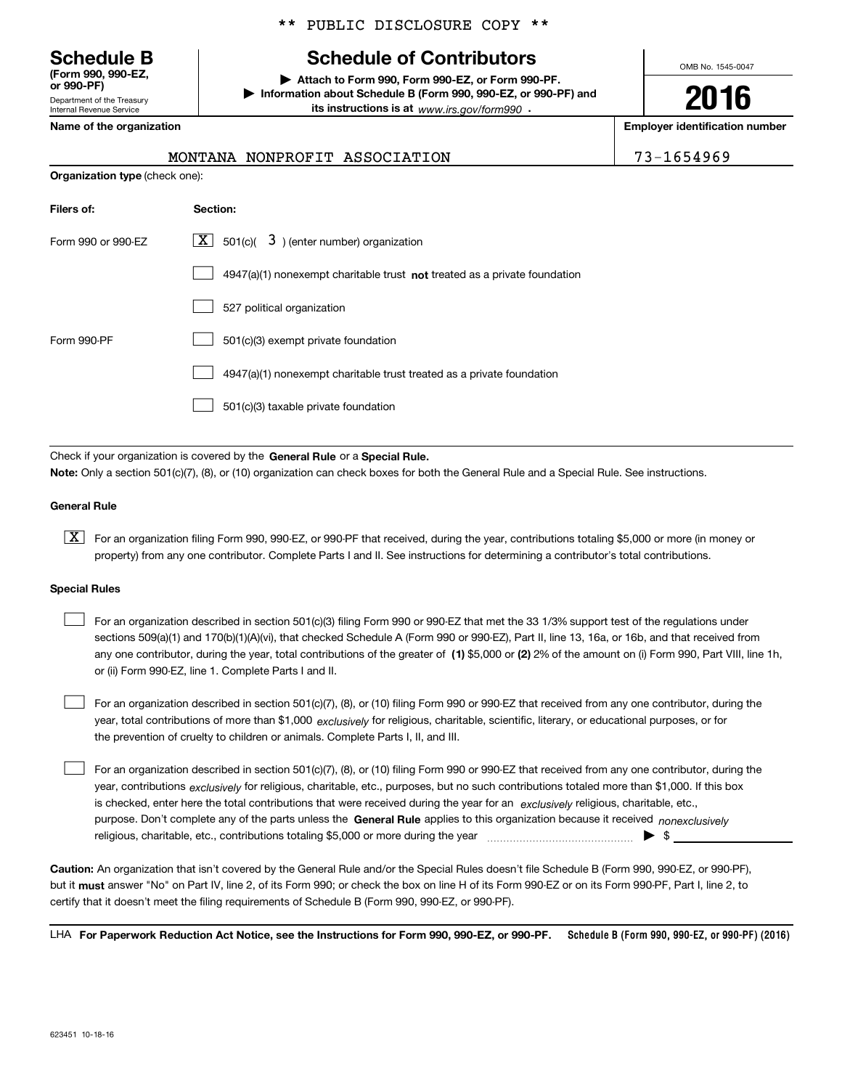Department of the Treasury Internal Revenue Service **(Form 990, 990-EZ, or 990-PF)**

#### \*\* PUBLIC DISCLOSURE COPY \*\*

## **Schedule B Schedule of Contributors**

**| Attach to Form 990, Form 990-EZ, or Form 990-PF. | Information about Schedule B (Form 990, 990-EZ, or 990-PF) and its instructions is at** www.irs.gov/form990  $\cdot$ 

OMB No. 1545-0047

**2016**

**Name of the organization Employer identification number**

| 1654969 |  |  |  |  |
|---------|--|--|--|--|
|         |  |  |  |  |

| MONTANA NONPROFIT ASSOCIATION | 73-1654969 |
|-------------------------------|------------|

| <b>Organization type (check one):</b> |                                                                                    |  |  |  |
|---------------------------------------|------------------------------------------------------------------------------------|--|--|--|
| Filers of:                            | Section:                                                                           |  |  |  |
| Form 990 or 990-EZ                    | $\lfloor x \rfloor$ 501(c)( 3) (enter number) organization                         |  |  |  |
|                                       | $4947(a)(1)$ nonexempt charitable trust <b>not</b> treated as a private foundation |  |  |  |
|                                       | 527 political organization                                                         |  |  |  |
| Form 990-PF                           | 501(c)(3) exempt private foundation                                                |  |  |  |
|                                       | 4947(a)(1) nonexempt charitable trust treated as a private foundation              |  |  |  |
|                                       | 501(c)(3) taxable private foundation                                               |  |  |  |

Check if your organization is covered by the **General Rule** or a **Special Rule. Note:**  Only a section 501(c)(7), (8), or (10) organization can check boxes for both the General Rule and a Special Rule. See instructions.

#### **General Rule**

 $\boxed{\textbf{X}}$  For an organization filing Form 990, 990-EZ, or 990-PF that received, during the year, contributions totaling \$5,000 or more (in money or property) from any one contributor. Complete Parts I and II. See instructions for determining a contributor's total contributions.

#### **Special Rules**

 $\mathcal{L}^{\text{max}}$ 

any one contributor, during the year, total contributions of the greater of  $\,$  (1) \$5,000 or (2) 2% of the amount on (i) Form 990, Part VIII, line 1h, For an organization described in section 501(c)(3) filing Form 990 or 990-EZ that met the 33 1/3% support test of the regulations under sections 509(a)(1) and 170(b)(1)(A)(vi), that checked Schedule A (Form 990 or 990-EZ), Part II, line 13, 16a, or 16b, and that received from or (ii) Form 990-EZ, line 1. Complete Parts I and II.  $\mathcal{L}^{\text{max}}$ 

year, total contributions of more than \$1,000 *exclusively* for religious, charitable, scientific, literary, or educational purposes, or for For an organization described in section 501(c)(7), (8), or (10) filing Form 990 or 990-EZ that received from any one contributor, during the the prevention of cruelty to children or animals. Complete Parts I, II, and III.  $\mathcal{L}^{\text{max}}$ 

purpose. Don't complete any of the parts unless the **General Rule** applies to this organization because it received *nonexclusively* year, contributions <sub>exclusively</sub> for religious, charitable, etc., purposes, but no such contributions totaled more than \$1,000. If this box is checked, enter here the total contributions that were received during the year for an *exclusively* religious, charitable, etc., For an organization described in section 501(c)(7), (8), or (10) filing Form 990 or 990-EZ that received from any one contributor, during the religious, charitable, etc., contributions totaling \$5,000 or more during the year  $\Box$ — $\Box$ — $\Box$ 

**Caution:**  An organization that isn't covered by the General Rule and/or the Special Rules doesn't file Schedule B (Form 990, 990-EZ, or 990-PF),  **must** but it answer "No" on Part IV, line 2, of its Form 990; or check the box on line H of its Form 990-EZ or on its Form 990-PF, Part I, line 2, to certify that it doesn't meet the filing requirements of Schedule B (Form 990, 990-EZ, or 990-PF).

**Schedule B (Form 990, 990-EZ, or 990-PF) (2016) For Paperwork Reduction Act Notice, see the Instructions for Form 990, 990-EZ, or 990-PF.** LHA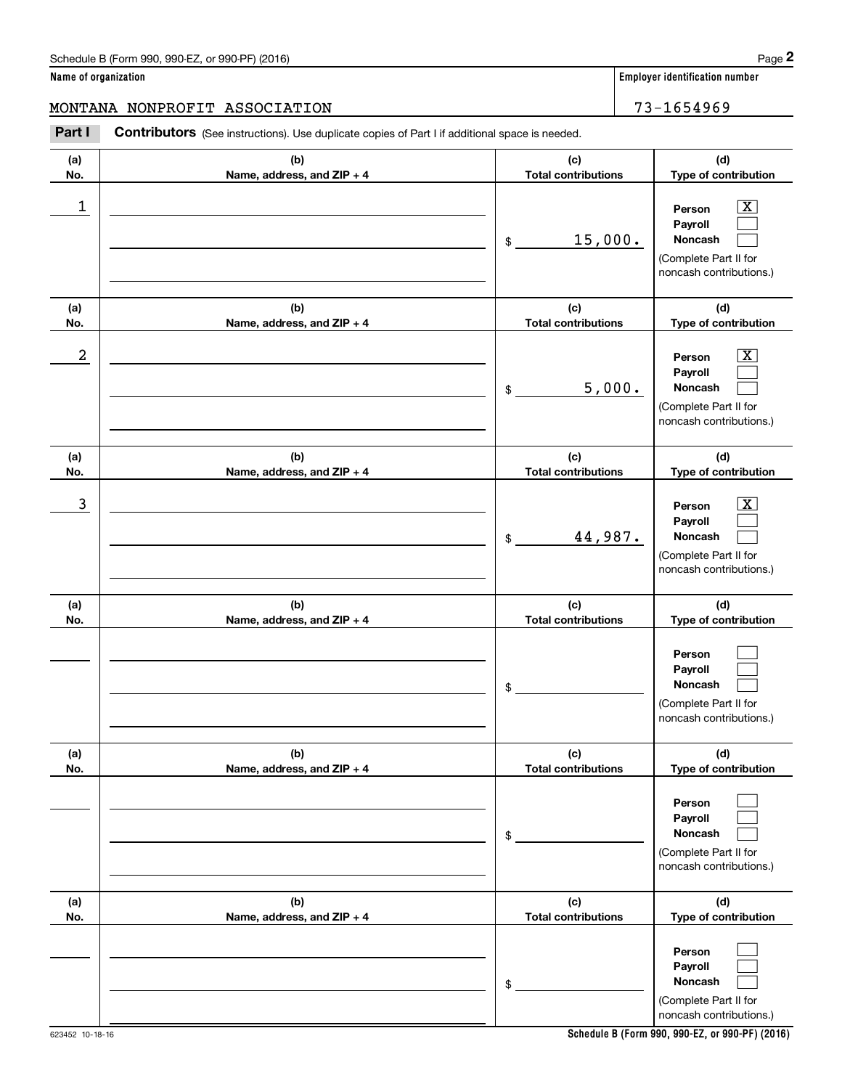**Name of organization Employer identification number**

**(d) Type of contribution**

#### MONTANA NONPROFIT ASSOCIATION 73-1654969

**(a) No.(b) Name, address, and ZIP + 4 (c) Total contributions** Chedule B (Form 990, 990-EZ, or 990-PF) (2016)<br> **2 ame of organization**<br> **2 ADDITANA NONPROFIT ASSOCIATION**<br> **23** - 1654969<br> **Part I Contributors** (See instructions). Use duplicate copies of Part I if additional space is  $\begin{array}{c|c|c|c|c|c} 1 & \hspace{1.5cm} & \hspace{1.5cm} & \hspace{1.5cm} & \hspace{1.5cm} & \hspace{1.5cm} & \hspace{1.5cm} & \hspace{1.5cm} & \hspace{1.5cm} & \hspace{1.5cm} & \hspace{1.5cm} & \hspace{1.5cm} & \hspace{1.5cm} & \hspace{1.5cm} & \hspace{1.5cm} & \hspace{1.5cm} & \hspace{1.5cm} & \hspace{1.5cm} & \hspace{1.5cm} & \hspace{1.5cm} & \hspace{1.5cm} &$ 

| 1                |                                   | 15,000.<br>$\$$                   | $\overline{\text{X}}$<br>Person<br>Payroll<br>Noncash<br>(Complete Part II for<br>noncash contributions.) |
|------------------|-----------------------------------|-----------------------------------|-----------------------------------------------------------------------------------------------------------|
| (a)<br>No.       | (b)<br>Name, address, and ZIP + 4 | (c)<br><b>Total contributions</b> | (d)<br>Type of contribution                                                                               |
| $\boldsymbol{2}$ |                                   | 5,000.<br>\$                      | x<br>Person<br>Payroll<br>Noncash<br>(Complete Part II for<br>noncash contributions.)                     |
| (a)<br>No.       | (b)<br>Name, address, and ZIP + 4 | (c)<br><b>Total contributions</b> | (d)<br>Type of contribution                                                                               |
| 3                |                                   | 44,987.<br>\$                     | X.<br>Person<br>Payroll<br>Noncash<br>(Complete Part II for<br>noncash contributions.)                    |
| (a)<br>No.       | (b)<br>Name, address, and ZIP + 4 | (c)<br><b>Total contributions</b> | (d)<br>Type of contribution                                                                               |
|                  |                                   | \$                                | Person<br>Payroll<br>Noncash<br>(Complete Part II for<br>noncash contributions.)                          |
| (a)<br>No.       | (b)<br>Name, address, and ZIP + 4 | (c)<br><b>Total contributions</b> | (d)<br>Type of contribution                                                                               |
|                  |                                   | \$                                | Person<br>Payroll<br>Noncash<br>(Complete Part II for<br>noncash contributions.)                          |
| (a)<br>No.       | (b)<br>Name, address, and ZIP + 4 | (c)<br><b>Total contributions</b> | (d)<br>Type of contribution                                                                               |
|                  |                                   | \$                                | Person<br>Payroll<br>Noncash<br>(Complete Part II for<br>noncash contributions.)                          |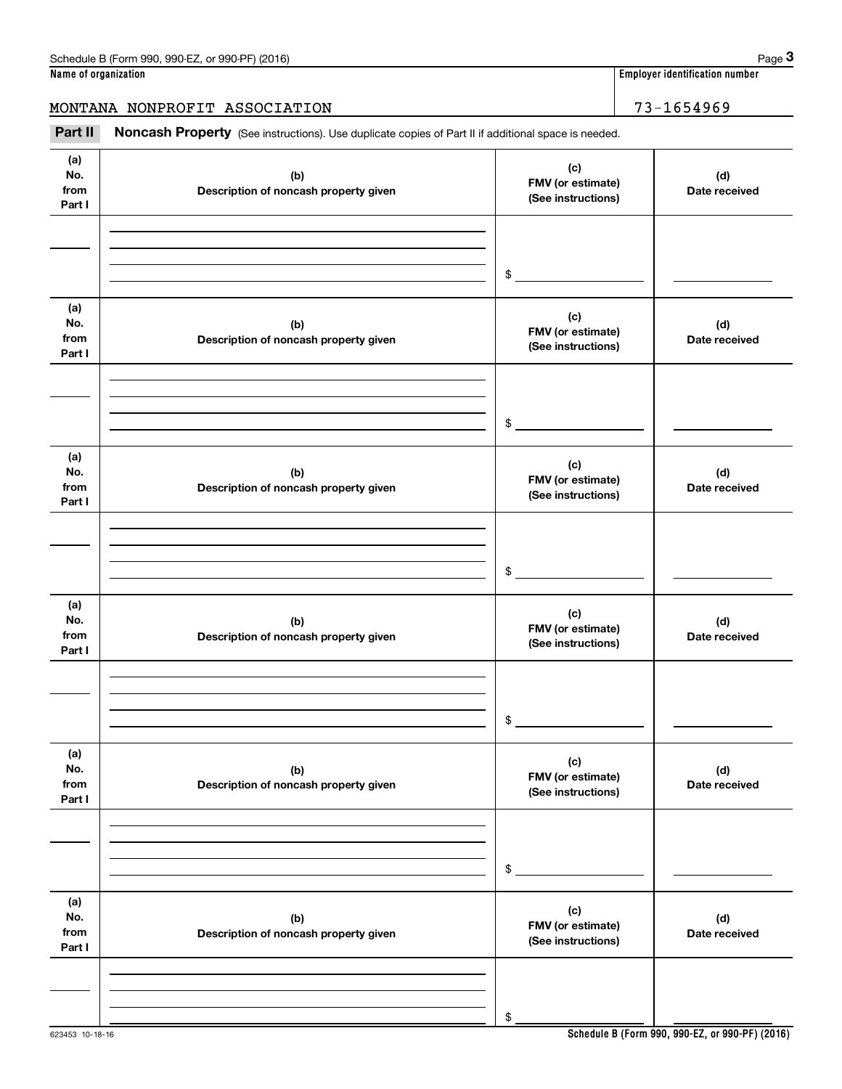623453 10-18-16

### MONTANA NONPROFIT ASSOCIATION 73-1654969

Employer identification number<br> **3 ame of organization**<br> **3 3 - 1654969**<br> **23 - 1654969**<br>
Part II **Noncash Property** (See instructions). Use duplicate copies of Part II if additional space is needed.

| (a)<br>No.<br>from<br>Part I | (b)<br>Description of noncash property given | (c)<br>FMV (or estimate)<br>(See instructions) | (d)<br>Date received |
|------------------------------|----------------------------------------------|------------------------------------------------|----------------------|
|                              |                                              |                                                |                      |
|                              |                                              |                                                |                      |
|                              |                                              | $\frac{1}{2}$                                  |                      |
| (a)<br>No.<br>from<br>Part I | (b)<br>Description of noncash property given | (c)<br>FMV (or estimate)<br>(See instructions) | (d)<br>Date received |
|                              |                                              |                                                |                      |
|                              |                                              |                                                |                      |
|                              |                                              | \$                                             |                      |
| (a)<br>No.<br>from<br>Part I | (b)<br>Description of noncash property given | (c)<br>FMV (or estimate)<br>(See instructions) | (d)<br>Date received |
|                              |                                              |                                                |                      |
|                              |                                              |                                                |                      |
|                              |                                              | $\mathsf{\$}$                                  |                      |
| (a)<br>No.<br>from<br>Part I | (b)<br>Description of noncash property given | (c)<br>FMV (or estimate)<br>(See instructions) | (d)<br>Date received |
|                              |                                              |                                                |                      |
|                              |                                              |                                                |                      |
|                              |                                              | \$                                             |                      |
| (a)<br>No.<br>from<br>Part I | (b)<br>Description of noncash property given | (c)<br>FMV (or estimate)<br>(See instructions) | (d)<br>Date received |
|                              |                                              |                                                |                      |
|                              |                                              |                                                |                      |
|                              |                                              | \$                                             |                      |
| (a)<br>No.<br>from<br>Part I | (b)<br>Description of noncash property given | (c)<br>FMV (or estimate)<br>(See instructions) | (d)<br>Date received |
|                              |                                              |                                                |                      |
|                              |                                              |                                                |                      |
|                              |                                              | \$                                             |                      |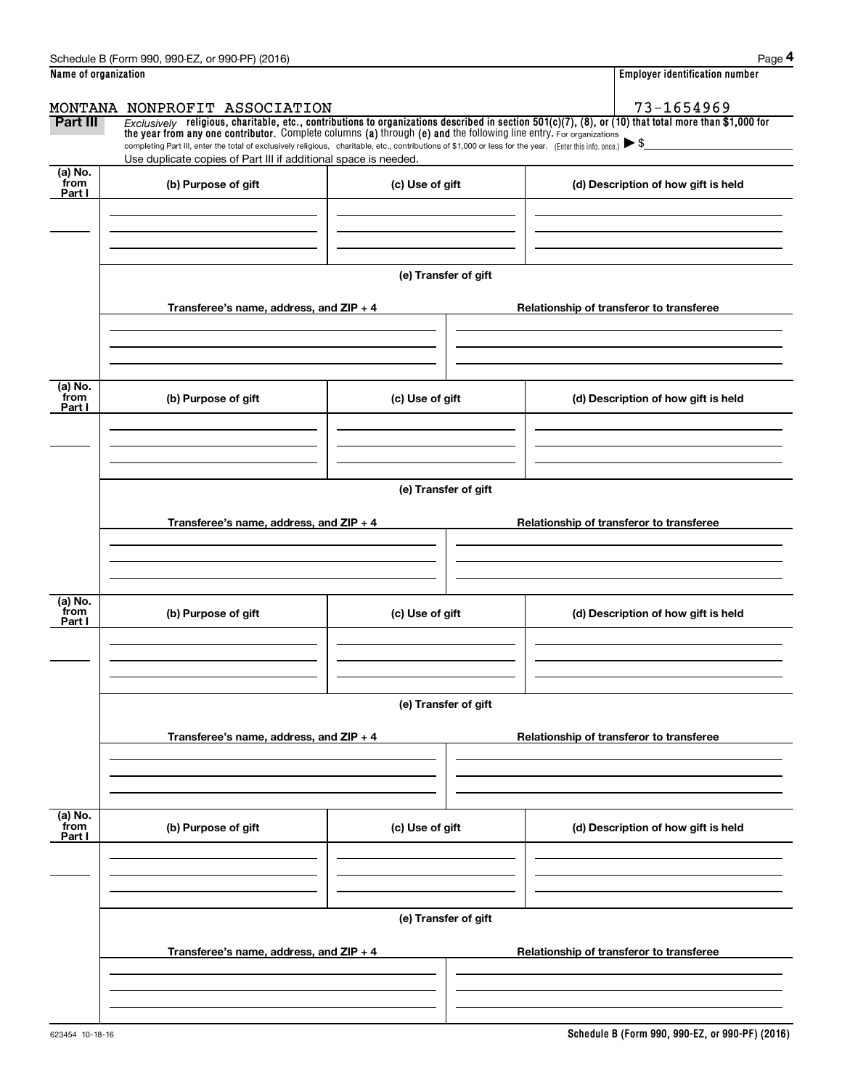|                           | Schedule B (Form 990, 990-EZ, or 990-PF) (2016)                                                                                                                                                                                                      |                      | Page 4                                                                                                                                                  |
|---------------------------|------------------------------------------------------------------------------------------------------------------------------------------------------------------------------------------------------------------------------------------------------|----------------------|---------------------------------------------------------------------------------------------------------------------------------------------------------|
| Name of organization      |                                                                                                                                                                                                                                                      |                      | <b>Employer identification number</b>                                                                                                                   |
|                           | MONTANA NONPROFIT ASSOCIATION                                                                                                                                                                                                                        |                      | 73-1654969                                                                                                                                              |
| Part III                  | the year from any one contributor. Complete columns (a) through (e) and the following line entry. For organizations                                                                                                                                  |                      | $Exclusively$ religious, charitable, etc., contributions to organizations described in section 501(c)(7), (8), or (10) that total more than \$1,000 for |
|                           | completing Part III, enter the total of exclusively religious, charitable, etc., contributions of \$1,000 or less for the year. (Enter this info. once.) $\blacktriangleright$ \$<br>Use duplicate copies of Part III if additional space is needed. |                      |                                                                                                                                                         |
| (a) No.<br>from<br>Part I | (b) Purpose of gift                                                                                                                                                                                                                                  | (c) Use of gift      | (d) Description of how gift is held                                                                                                                     |
|                           |                                                                                                                                                                                                                                                      |                      |                                                                                                                                                         |
|                           |                                                                                                                                                                                                                                                      |                      |                                                                                                                                                         |
|                           |                                                                                                                                                                                                                                                      | (e) Transfer of gift |                                                                                                                                                         |
|                           | Transferee's name, address, and ZIP + 4                                                                                                                                                                                                              |                      | Relationship of transferor to transferee                                                                                                                |
|                           |                                                                                                                                                                                                                                                      |                      |                                                                                                                                                         |
| (a) No.<br>from<br>Part I | (b) Purpose of gift                                                                                                                                                                                                                                  | (c) Use of gift      | (d) Description of how gift is held                                                                                                                     |
|                           |                                                                                                                                                                                                                                                      |                      |                                                                                                                                                         |
|                           |                                                                                                                                                                                                                                                      | (e) Transfer of gift |                                                                                                                                                         |
|                           | Transferee's name, address, and $ZIP + 4$                                                                                                                                                                                                            |                      | Relationship of transferor to transferee                                                                                                                |
|                           |                                                                                                                                                                                                                                                      |                      |                                                                                                                                                         |
| (a) No.<br>from<br>Part I | (b) Purpose of gift                                                                                                                                                                                                                                  | (c) Use of gift      | (d) Description of how gift is held                                                                                                                     |
|                           |                                                                                                                                                                                                                                                      | (e) Transfer of gift |                                                                                                                                                         |
|                           | Transferee's name, address, and ZIP + 4                                                                                                                                                                                                              |                      | Relationship of transferor to transferee                                                                                                                |
|                           |                                                                                                                                                                                                                                                      |                      |                                                                                                                                                         |
| (a) No.<br>from<br>Part I | (b) Purpose of gift                                                                                                                                                                                                                                  | (c) Use of gift      | (d) Description of how gift is held                                                                                                                     |
|                           |                                                                                                                                                                                                                                                      |                      |                                                                                                                                                         |
|                           |                                                                                                                                                                                                                                                      | (e) Transfer of gift |                                                                                                                                                         |
|                           | Transferee's name, address, and ZIP + 4                                                                                                                                                                                                              |                      | Relationship of transferor to transferee                                                                                                                |
|                           |                                                                                                                                                                                                                                                      |                      |                                                                                                                                                         |
|                           |                                                                                                                                                                                                                                                      |                      |                                                                                                                                                         |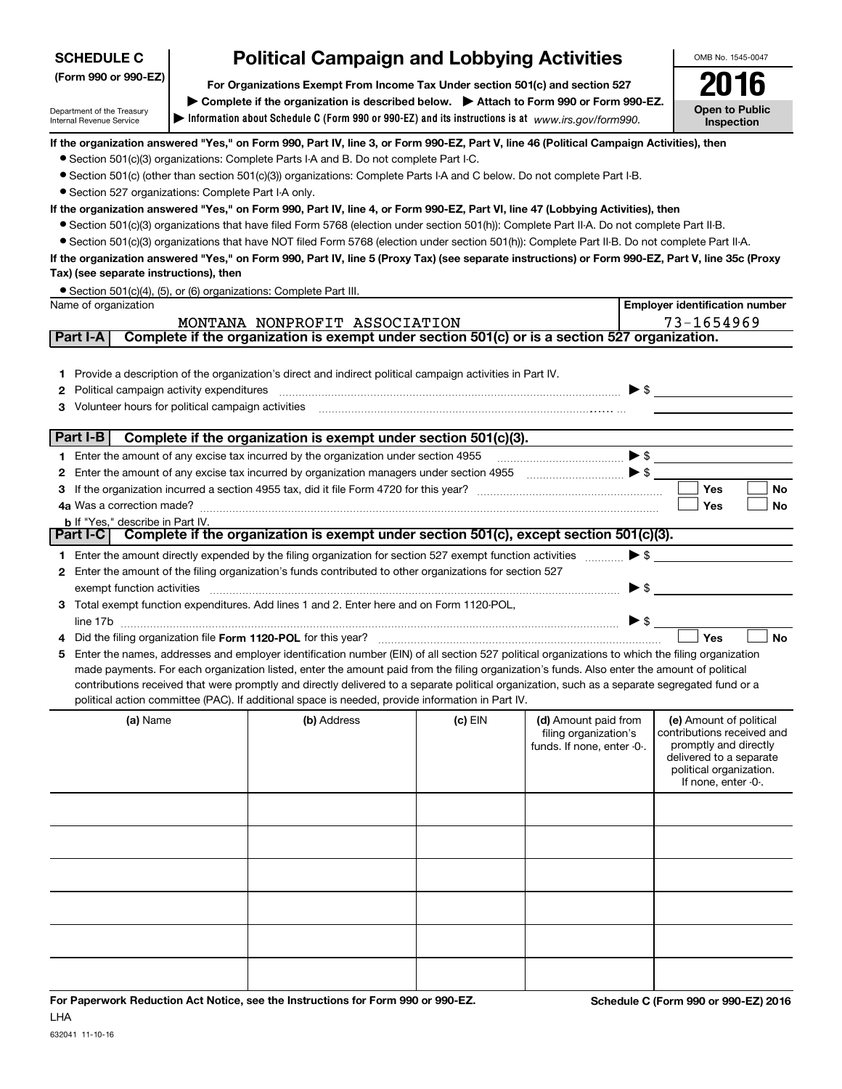| <b>SCHEDULE C</b>                                                                                              | <b>Political Campaign and Lobbying Activities</b>                                                                            |                                                                                                                                                                                                                                                                                                                                                                                                                                                                                                                                                                                      |         |                                                                             |                                                                                                                                                             |
|----------------------------------------------------------------------------------------------------------------|------------------------------------------------------------------------------------------------------------------------------|--------------------------------------------------------------------------------------------------------------------------------------------------------------------------------------------------------------------------------------------------------------------------------------------------------------------------------------------------------------------------------------------------------------------------------------------------------------------------------------------------------------------------------------------------------------------------------------|---------|-----------------------------------------------------------------------------|-------------------------------------------------------------------------------------------------------------------------------------------------------------|
| (Form 990 or 990-EZ)<br>For Organizations Exempt From Income Tax Under section 501(c) and section 527          |                                                                                                                              |                                                                                                                                                                                                                                                                                                                                                                                                                                                                                                                                                                                      |         |                                                                             |                                                                                                                                                             |
| Department of the Treasury<br>Internal Revenue Service                                                         | Complete if the organization is described below. > Attach to Form 990 or Form 990-EZ.<br><b>Open to Public</b><br>Inspection |                                                                                                                                                                                                                                                                                                                                                                                                                                                                                                                                                                                      |         |                                                                             |                                                                                                                                                             |
|                                                                                                                |                                                                                                                              | If the organization answered "Yes," on Form 990, Part IV, line 3, or Form 990-EZ, Part V, line 46 (Political Campaign Activities), then<br>• Section 501(c)(3) organizations: Complete Parts I-A and B. Do not complete Part I-C.<br>• Section 501(c) (other than section 501(c)(3)) organizations: Complete Parts I-A and C below. Do not complete Part I-B.                                                                                                                                                                                                                        |         |                                                                             |                                                                                                                                                             |
| • Section 527 organizations: Complete Part I-A only.<br>Tax) (see separate instructions), then                 |                                                                                                                              | If the organization answered "Yes," on Form 990, Part IV, line 4, or Form 990-EZ, Part VI, line 47 (Lobbying Activities), then<br>• Section 501(c)(3) organizations that have filed Form 5768 (election under section 501(h)): Complete Part II-A. Do not complete Part II-B.<br>• Section 501(c)(3) organizations that have NOT filed Form 5768 (election under section 501(h)): Complete Part II-B. Do not complete Part II-A.<br>If the organization answered "Yes," on Form 990, Part IV, line 5 (Proxy Tax) (see separate instructions) or Form 990-EZ, Part V, line 35c (Proxy |         |                                                                             |                                                                                                                                                             |
|                                                                                                                |                                                                                                                              | • Section 501(c)(4), (5), or (6) organizations: Complete Part III.                                                                                                                                                                                                                                                                                                                                                                                                                                                                                                                   |         |                                                                             |                                                                                                                                                             |
| Name of organization                                                                                           |                                                                                                                              | MONTANA NONPROFIT ASSOCIATION                                                                                                                                                                                                                                                                                                                                                                                                                                                                                                                                                        |         |                                                                             | <b>Employer identification number</b><br>73-1654969                                                                                                         |
| Part I-A                                                                                                       |                                                                                                                              | Complete if the organization is exempt under section 501(c) or is a section 527 organization.                                                                                                                                                                                                                                                                                                                                                                                                                                                                                        |         |                                                                             |                                                                                                                                                             |
| 1.<br>Political campaign activity expenditures<br>2<br>Volunteer hours for political campaign activities<br>3. |                                                                                                                              | Provide a description of the organization's direct and indirect political campaign activities in Part IV.                                                                                                                                                                                                                                                                                                                                                                                                                                                                            |         | $\blacktriangleright$ \$                                                    |                                                                                                                                                             |
| Part I-B                                                                                                       |                                                                                                                              | Complete if the organization is exempt under section 501(c)(3).                                                                                                                                                                                                                                                                                                                                                                                                                                                                                                                      |         |                                                                             |                                                                                                                                                             |
| 1.                                                                                                             |                                                                                                                              | Enter the amount of any excise tax incurred by the organization under section 4955                                                                                                                                                                                                                                                                                                                                                                                                                                                                                                   |         | $\blacktriangleright$ \$                                                    |                                                                                                                                                             |
| 2                                                                                                              |                                                                                                                              | Enter the amount of any excise tax incurred by organization managers under section 4955 [100] [100] [100] [100] [100] [100] [100] [100] [100] [100] [100] [100] [100] [100] [100] [100] [100] [100] [100] [100] [100] [100] [1                                                                                                                                                                                                                                                                                                                                                       |         |                                                                             |                                                                                                                                                             |
| 3.                                                                                                             |                                                                                                                              |                                                                                                                                                                                                                                                                                                                                                                                                                                                                                                                                                                                      |         |                                                                             | <b>Yes</b><br>No<br>Yes<br>No                                                                                                                               |
| <b>b</b> If "Yes," describe in Part IV.                                                                        |                                                                                                                              |                                                                                                                                                                                                                                                                                                                                                                                                                                                                                                                                                                                      |         |                                                                             |                                                                                                                                                             |
| Part I-C                                                                                                       |                                                                                                                              | Complete if the organization is exempt under section 501(c), except section 501(c)(3).                                                                                                                                                                                                                                                                                                                                                                                                                                                                                               |         |                                                                             |                                                                                                                                                             |
| 1.                                                                                                             |                                                                                                                              | Enter the amount directly expended by the filing organization for section 527 exempt function activities                                                                                                                                                                                                                                                                                                                                                                                                                                                                             |         | $\blacktriangleright$ \$                                                    |                                                                                                                                                             |
| 2                                                                                                              |                                                                                                                              | Enter the amount of the filing organization's funds contributed to other organizations for section 527                                                                                                                                                                                                                                                                                                                                                                                                                                                                               |         |                                                                             |                                                                                                                                                             |
| exempt function activities                                                                                     |                                                                                                                              |                                                                                                                                                                                                                                                                                                                                                                                                                                                                                                                                                                                      |         | $\blacktriangleright$ \$                                                    |                                                                                                                                                             |
| З.                                                                                                             |                                                                                                                              | Total exempt function expenditures. Add lines 1 and 2. Enter here and on Form 1120-POL,                                                                                                                                                                                                                                                                                                                                                                                                                                                                                              |         | $\blacktriangleright$ \$                                                    |                                                                                                                                                             |
|                                                                                                                |                                                                                                                              | Did the filing organization file Form 1120-POL for this year?                                                                                                                                                                                                                                                                                                                                                                                                                                                                                                                        |         |                                                                             | <b>No</b><br>Yes                                                                                                                                            |
| 5                                                                                                              |                                                                                                                              | Enter the names, addresses and employer identification number (EIN) of all section 527 political organizations to which the filing organization<br>made payments. For each organization listed, enter the amount paid from the filing organization's funds. Also enter the amount of political<br>contributions received that were promptly and directly delivered to a separate political organization, such as a separate segregated fund or a<br>political action committee (PAC). If additional space is needed, provide information in Part IV.                                 |         |                                                                             |                                                                                                                                                             |
| (a) Name                                                                                                       |                                                                                                                              | (b) Address                                                                                                                                                                                                                                                                                                                                                                                                                                                                                                                                                                          | (c) EIN | (d) Amount paid from<br>filing organization's<br>funds. If none, enter -0-. | (e) Amount of political<br>contributions received and<br>promptly and directly<br>delivered to a separate<br>political organization.<br>If none, enter -0-. |
|                                                                                                                |                                                                                                                              |                                                                                                                                                                                                                                                                                                                                                                                                                                                                                                                                                                                      |         |                                                                             |                                                                                                                                                             |
|                                                                                                                |                                                                                                                              |                                                                                                                                                                                                                                                                                                                                                                                                                                                                                                                                                                                      |         |                                                                             |                                                                                                                                                             |
|                                                                                                                |                                                                                                                              |                                                                                                                                                                                                                                                                                                                                                                                                                                                                                                                                                                                      |         |                                                                             |                                                                                                                                                             |
|                                                                                                                |                                                                                                                              |                                                                                                                                                                                                                                                                                                                                                                                                                                                                                                                                                                                      |         |                                                                             |                                                                                                                                                             |
|                                                                                                                |                                                                                                                              |                                                                                                                                                                                                                                                                                                                                                                                                                                                                                                                                                                                      |         |                                                                             |                                                                                                                                                             |
|                                                                                                                |                                                                                                                              |                                                                                                                                                                                                                                                                                                                                                                                                                                                                                                                                                                                      |         |                                                                             |                                                                                                                                                             |
|                                                                                                                |                                                                                                                              |                                                                                                                                                                                                                                                                                                                                                                                                                                                                                                                                                                                      |         |                                                                             |                                                                                                                                                             |

**For Paperwork Reduction Act Notice, see the Instructions for Form 990 or 990-EZ. Schedule C (Form 990 or 990-EZ) 2016** LHA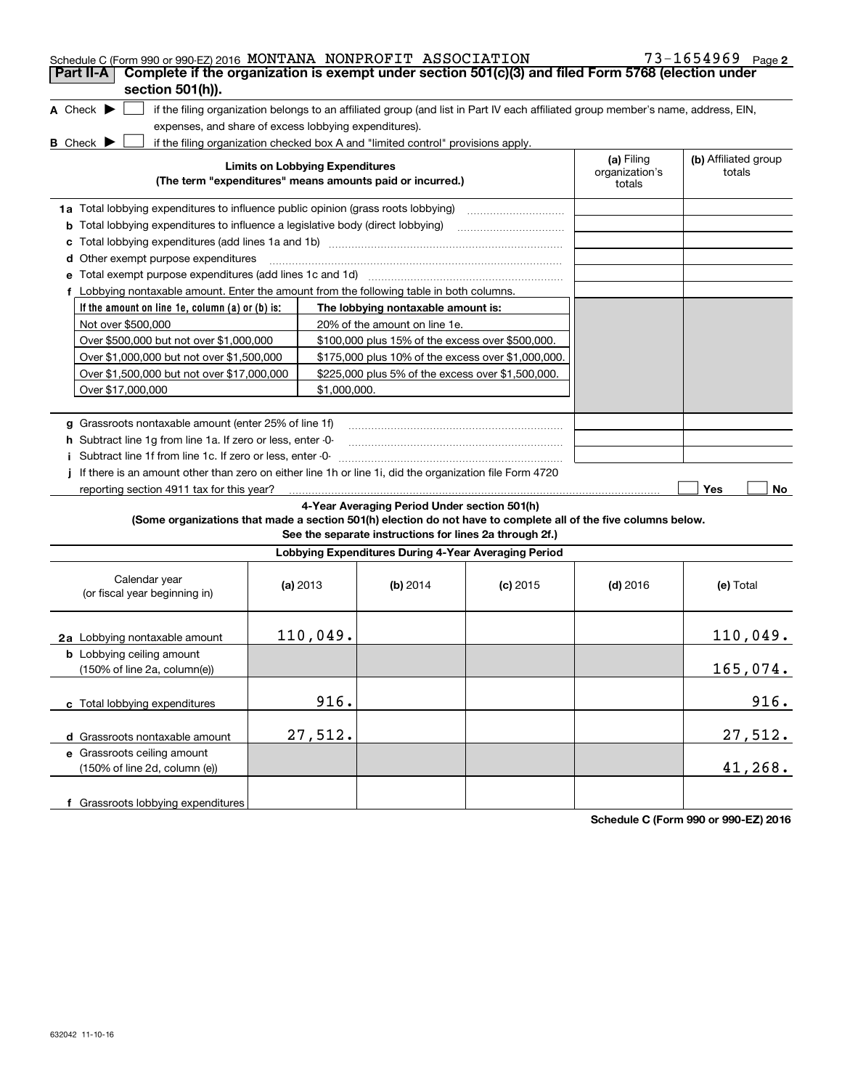| Schedule C (Form 990 or 990-EZ) 2016 MONTANA NONPROFIT ASSOCIATION<br>Complete if the organization is exempt under section 501(c)(3) and filed Form 5768 (election under<br>Part II-A<br>section 501(h)). |                                                       |                                                                                                         |                                                                                                                                   |                                        | $73 - 1654969$ Page 2          |
|-----------------------------------------------------------------------------------------------------------------------------------------------------------------------------------------------------------|-------------------------------------------------------|---------------------------------------------------------------------------------------------------------|-----------------------------------------------------------------------------------------------------------------------------------|----------------------------------------|--------------------------------|
| A Check $\blacktriangleright$                                                                                                                                                                             | expenses, and share of excess lobbying expenditures). |                                                                                                         | if the filing organization belongs to an affiliated group (and list in Part IV each affiliated group member's name, address, EIN, |                                        |                                |
| <b>B</b> Check $\blacktriangleright$                                                                                                                                                                      |                                                       | if the filing organization checked box A and "limited control" provisions apply.                        |                                                                                                                                   |                                        |                                |
|                                                                                                                                                                                                           | <b>Limits on Lobbying Expenditures</b>                | (The term "expenditures" means amounts paid or incurred.)                                               |                                                                                                                                   | (a) Filing<br>organization's<br>totals | (b) Affiliated group<br>totals |
| 1a Total lobbying expenditures to influence public opinion (grass roots lobbying)                                                                                                                         |                                                       |                                                                                                         |                                                                                                                                   |                                        |                                |
| <b>b</b> Total lobbying expenditures to influence a legislative body (direct lobbying)                                                                                                                    |                                                       |                                                                                                         |                                                                                                                                   |                                        |                                |
|                                                                                                                                                                                                           |                                                       |                                                                                                         |                                                                                                                                   |                                        |                                |
| d Other exempt purpose expenditures                                                                                                                                                                       |                                                       |                                                                                                         |                                                                                                                                   |                                        |                                |
|                                                                                                                                                                                                           |                                                       |                                                                                                         |                                                                                                                                   |                                        |                                |
| Lobbying nontaxable amount. Enter the amount from the following table in both columns.<br>f                                                                                                               |                                                       |                                                                                                         |                                                                                                                                   |                                        |                                |
| If the amount on line 1e, column (a) or (b) is:                                                                                                                                                           |                                                       | The lobbying nontaxable amount is:                                                                      |                                                                                                                                   |                                        |                                |
| Not over \$500,000                                                                                                                                                                                        |                                                       | 20% of the amount on line 1e.                                                                           |                                                                                                                                   |                                        |                                |
| Over \$500,000 but not over \$1,000,000                                                                                                                                                                   |                                                       | \$100,000 plus 15% of the excess over \$500,000.                                                        |                                                                                                                                   |                                        |                                |
| Over \$1,000,000 but not over \$1,500,000                                                                                                                                                                 |                                                       | \$175,000 plus 10% of the excess over \$1,000,000.                                                      |                                                                                                                                   |                                        |                                |
| Over \$1,500,000 but not over \$17,000,000                                                                                                                                                                |                                                       | \$225,000 plus 5% of the excess over \$1,500,000.                                                       |                                                                                                                                   |                                        |                                |
| Over \$17,000,000                                                                                                                                                                                         |                                                       | \$1,000,000.                                                                                            |                                                                                                                                   |                                        |                                |
|                                                                                                                                                                                                           |                                                       |                                                                                                         |                                                                                                                                   |                                        |                                |
| g Grassroots nontaxable amount (enter 25% of line 1f)<br>h Subtract line 1q from line 1a. If zero or less, enter -0-<br>Subtract line 1f from line 1c. If zero or less, enter -0-<br>Î.                   |                                                       |                                                                                                         |                                                                                                                                   |                                        |                                |
| If there is an amount other than zero on either line 1h or line 1i, did the organization file Form 4720<br>reporting section 4911 tax for this year?                                                      |                                                       |                                                                                                         |                                                                                                                                   |                                        | Yes<br>No                      |
| (Some organizations that made a section 501(h) election do not have to complete all of the five columns below.                                                                                            |                                                       | 4-Year Averaging Period Under section 501(h)<br>See the separate instructions for lines 2a through 2f.) |                                                                                                                                   |                                        |                                |
|                                                                                                                                                                                                           |                                                       | Lobbying Expenditures During 4-Year Averaging Period                                                    |                                                                                                                                   |                                        |                                |
| Calendar year<br>(or fiscal year beginning in)                                                                                                                                                            | (a) $2013$                                            | (b) $2014$                                                                                              | $(c)$ 2015                                                                                                                        | $(d)$ 2016                             | (e) Total                      |
| 2a Lobbying nontaxable amount                                                                                                                                                                             | 110,049.                                              |                                                                                                         |                                                                                                                                   |                                        | 110,049.                       |
| <b>b</b> Lobbying ceiling amount<br>(150% of line 2a, column(e))                                                                                                                                          |                                                       |                                                                                                         |                                                                                                                                   |                                        | 165,074.                       |
| c Total lobbying expenditures                                                                                                                                                                             | 916.                                                  |                                                                                                         |                                                                                                                                   |                                        | 916.                           |
| d Grassroots nontaxable amount                                                                                                                                                                            | 27,512.                                               |                                                                                                         |                                                                                                                                   |                                        | 27,512.                        |
| e Grassroots ceiling amount<br>(150% of line 2d, column (e))                                                                                                                                              |                                                       |                                                                                                         |                                                                                                                                   |                                        | 41,268.                        |
| f Grassroots lobbying expenditures                                                                                                                                                                        |                                                       |                                                                                                         |                                                                                                                                   |                                        |                                |

**Schedule C (Form 990 or 990-EZ) 2016**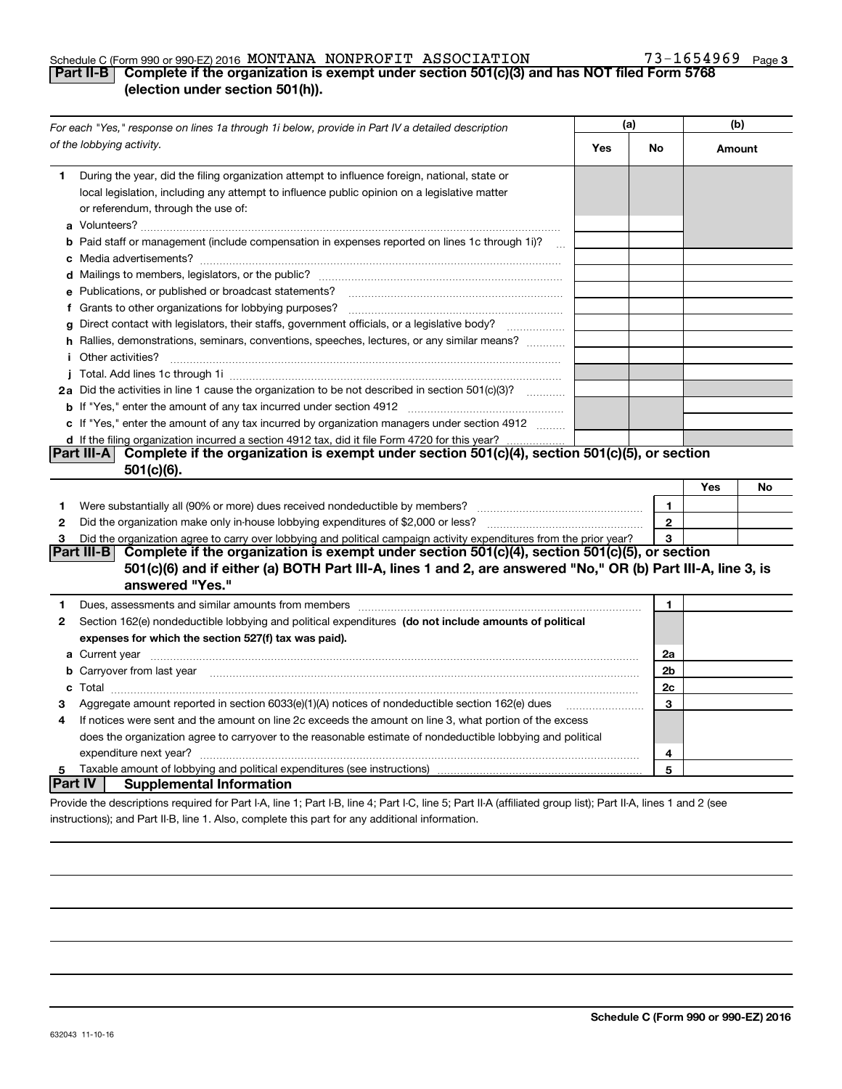#### Schedule C (Form 990 or 990-EZ) 2016 Page MONTANA NONPROFIT ASSOCIATION 73-1654969

### **3**

### **Part II-B Complete if the organization is exempt under section 501(c)(3) and has NOT filed Form 5768 (election under section 501(h)).**

| For each "Yes," response on lines 1a through 1i below, provide in Part IV a detailed description |                                                                                                                                                                                                                                     | (a) |                | (b)    |    |
|--------------------------------------------------------------------------------------------------|-------------------------------------------------------------------------------------------------------------------------------------------------------------------------------------------------------------------------------------|-----|----------------|--------|----|
|                                                                                                  | of the lobbying activity.                                                                                                                                                                                                           | Yes | No             | Amount |    |
| 1                                                                                                | During the year, did the filing organization attempt to influence foreign, national, state or<br>local legislation, including any attempt to influence public opinion on a legislative matter<br>or referendum, through the use of: |     |                |        |    |
|                                                                                                  | <b>b</b> Paid staff or management (include compensation in expenses reported on lines 1c through 1i)?                                                                                                                               |     |                |        |    |
|                                                                                                  |                                                                                                                                                                                                                                     |     |                |        |    |
|                                                                                                  | e Publications, or published or broadcast statements?                                                                                                                                                                               |     |                |        |    |
|                                                                                                  |                                                                                                                                                                                                                                     |     |                |        |    |
|                                                                                                  | g Direct contact with legislators, their staffs, government officials, or a legislative body?<br>.                                                                                                                                  |     |                |        |    |
|                                                                                                  | h Rallies, demonstrations, seminars, conventions, speeches, lectures, or any similar means?                                                                                                                                         |     |                |        |    |
|                                                                                                  | <i>i</i> Other activities?                                                                                                                                                                                                          |     |                |        |    |
|                                                                                                  |                                                                                                                                                                                                                                     |     |                |        |    |
|                                                                                                  | 2a Did the activities in line 1 cause the organization to be not described in section 501(c)(3)?                                                                                                                                    |     |                |        |    |
|                                                                                                  |                                                                                                                                                                                                                                     |     |                |        |    |
|                                                                                                  | c If "Yes," enter the amount of any tax incurred by organization managers under section 4912                                                                                                                                        |     |                |        |    |
|                                                                                                  | d If the filing organization incurred a section 4912 tax, did it file Form 4720 for this year?                                                                                                                                      |     |                |        |    |
|                                                                                                  | Part III-A Complete if the organization is exempt under section 501(c)(4), section 501(c)(5), or section                                                                                                                            |     |                |        |    |
|                                                                                                  | 501(c)(6).                                                                                                                                                                                                                          |     |                |        |    |
|                                                                                                  |                                                                                                                                                                                                                                     |     |                | Yes    | No |
| 1                                                                                                |                                                                                                                                                                                                                                     |     | $\mathbf{1}$   |        |    |
| 2                                                                                                | Did the organization make only in house lobbying expenditures of \$2,000 or less?                                                                                                                                                   |     | $\mathbf{2}$   |        |    |
| 3                                                                                                | Did the organization agree to carry over lobbying and political campaign activity expenditures from the prior year?                                                                                                                 |     | 3              |        |    |
|                                                                                                  | Part III-B<br>Complete if the organization is exempt under section 501(c)(4), section 501(c)(5), or section                                                                                                                         |     |                |        |    |
|                                                                                                  | 501(c)(6) and if either (a) BOTH Part III-A, lines 1 and 2, are answered "No," OR (b) Part III-A, line 3, is<br>answered "Yes."                                                                                                     |     |                |        |    |
| 1.                                                                                               | Dues, assessments and similar amounts from members [111] matter continuum matter and similar amounts and similar amounts from members [11] matter continuum matter and similar amounts from members [11] matter and similar an      |     | 1              |        |    |
| 2                                                                                                | Section 162(e) nondeductible lobbying and political expenditures (do not include amounts of political                                                                                                                               |     |                |        |    |
|                                                                                                  | expenses for which the section 527(f) tax was paid).                                                                                                                                                                                |     |                |        |    |
|                                                                                                  |                                                                                                                                                                                                                                     |     | 2a             |        |    |
|                                                                                                  | b Carryover from last year manufactured and contain a series of the contract of the contract of the contract of the contract of the contract of the contract of the contract of the contract of the contract of the contract o      |     | 2 <sub>b</sub> |        |    |
|                                                                                                  |                                                                                                                                                                                                                                     |     | 2c             |        |    |
| З                                                                                                | Aggregate amount reported in section 6033(e)(1)(A) notices of nondeductible section 162(e) dues                                                                                                                                     |     | 3              |        |    |
| 4                                                                                                | If notices were sent and the amount on line 2c exceeds the amount on line 3, what portion of the excess                                                                                                                             |     |                |        |    |
|                                                                                                  | does the organization agree to carryover to the reasonable estimate of nondeductible lobbying and political                                                                                                                         |     |                |        |    |
|                                                                                                  |                                                                                                                                                                                                                                     |     | 4              |        |    |
| 5                                                                                                |                                                                                                                                                                                                                                     |     | 5              |        |    |
| <b>Part IV</b>                                                                                   | <b>Supplemental Information</b>                                                                                                                                                                                                     |     |                |        |    |
|                                                                                                  | Provide the descriptions required for Part I-A, line 1; Part I-B, line 4; Part I-C, line 5; Part II-A (affiliated group list); Part II-A, lines 1 and 2 (see                                                                        |     |                |        |    |

instructions); and Part II-B, line 1. Also, complete this part for any additional information.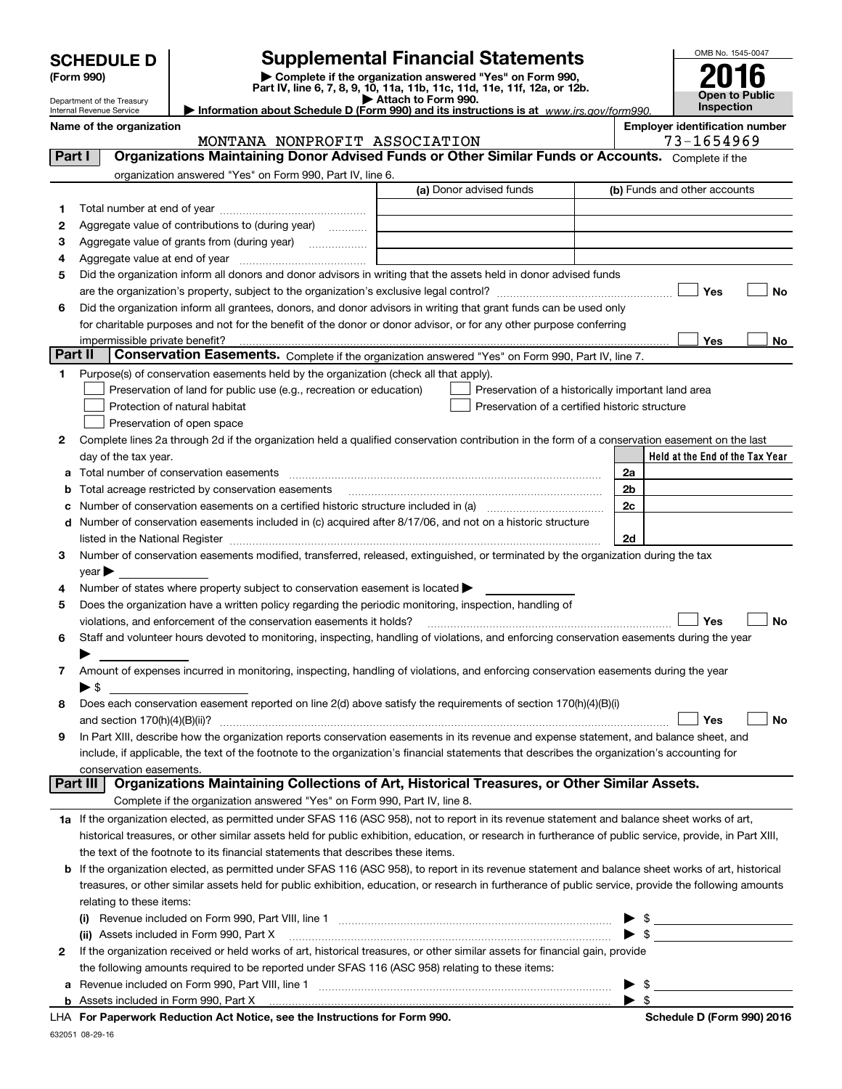| <b>SCHEDULE D</b> |  |
|-------------------|--|
|-------------------|--|

Department of the Treasury Internal Revenue Service

632051 08-29-16

## **SCHEDULE D Supplemental Financial Statements**

(Form 990)<br>
Pepartment of the Treasury<br>
Department of the Treasury<br>
Department of the Treasury<br>
Information about Schedule D (Form 990) and its instructions is at www.irs.gov/form990.

|  | <b>Open to Public</b><br><b>Inspection</b> |
|--|--------------------------------------------|
|  |                                            |

OMB No. 1545-0047

#### **Name of the organization Employer identification number**

MONTANA NONPROFIT ASSOCIATION 19975-1654969

|    | Part I                   | Organizations Maintaining Donor Advised Funds or Other Similar Funds or Accounts. Complete if the                                                                                                                                                                                                                   |                                                    |                |                                 |
|----|--------------------------|---------------------------------------------------------------------------------------------------------------------------------------------------------------------------------------------------------------------------------------------------------------------------------------------------------------------|----------------------------------------------------|----------------|---------------------------------|
|    |                          | organization answered "Yes" on Form 990, Part IV, line 6.                                                                                                                                                                                                                                                           |                                                    |                |                                 |
|    |                          |                                                                                                                                                                                                                                                                                                                     | (a) Donor advised funds                            |                | (b) Funds and other accounts    |
| 1  |                          |                                                                                                                                                                                                                                                                                                                     |                                                    |                |                                 |
| 2  |                          | Aggregate value of contributions to (during year)                                                                                                                                                                                                                                                                   |                                                    |                |                                 |
| з  |                          |                                                                                                                                                                                                                                                                                                                     |                                                    |                |                                 |
| 4  |                          |                                                                                                                                                                                                                                                                                                                     |                                                    |                |                                 |
| 5  |                          | Did the organization inform all donors and donor advisors in writing that the assets held in donor advised funds                                                                                                                                                                                                    |                                                    |                |                                 |
|    |                          |                                                                                                                                                                                                                                                                                                                     |                                                    |                | Yes<br>No                       |
| 6  |                          | Did the organization inform all grantees, donors, and donor advisors in writing that grant funds can be used only                                                                                                                                                                                                   |                                                    |                |                                 |
|    |                          | for charitable purposes and not for the benefit of the donor or donor advisor, or for any other purpose conferring                                                                                                                                                                                                  |                                                    |                |                                 |
|    |                          |                                                                                                                                                                                                                                                                                                                     |                                                    |                | Yes<br>No                       |
|    | Part II                  | Conservation Easements. Complete if the organization answered "Yes" on Form 990, Part IV, line 7.                                                                                                                                                                                                                   |                                                    |                |                                 |
| 1. |                          | Purpose(s) of conservation easements held by the organization (check all that apply).                                                                                                                                                                                                                               |                                                    |                |                                 |
|    |                          | Preservation of land for public use (e.g., recreation or education)                                                                                                                                                                                                                                                 | Preservation of a historically important land area |                |                                 |
|    |                          | Protection of natural habitat                                                                                                                                                                                                                                                                                       | Preservation of a certified historic structure     |                |                                 |
|    |                          | Preservation of open space                                                                                                                                                                                                                                                                                          |                                                    |                |                                 |
| 2  |                          | Complete lines 2a through 2d if the organization held a qualified conservation contribution in the form of a conservation easement on the last                                                                                                                                                                      |                                                    |                |                                 |
|    |                          | day of the tax year.                                                                                                                                                                                                                                                                                                |                                                    |                | Held at the End of the Tax Year |
| а  |                          |                                                                                                                                                                                                                                                                                                                     |                                                    | 2a             |                                 |
| b  |                          | Total acreage restricted by conservation easements                                                                                                                                                                                                                                                                  |                                                    | 2 <sub>b</sub> |                                 |
|    |                          | Number of conservation easements on a certified historic structure included in (a) manufacture included in (a)                                                                                                                                                                                                      |                                                    | 2c             |                                 |
| d  |                          | Number of conservation easements included in (c) acquired after 8/17/06, and not on a historic structure                                                                                                                                                                                                            |                                                    |                |                                 |
|    |                          |                                                                                                                                                                                                                                                                                                                     |                                                    | 2d             |                                 |
| 3  |                          | Number of conservation easements modified, transferred, released, extinguished, or terminated by the organization during the tax                                                                                                                                                                                    |                                                    |                |                                 |
|    | year                     |                                                                                                                                                                                                                                                                                                                     |                                                    |                |                                 |
| 4  |                          | Number of states where property subject to conservation easement is located >                                                                                                                                                                                                                                       |                                                    |                |                                 |
| 5  |                          | Does the organization have a written policy regarding the periodic monitoring, inspection, handling of                                                                                                                                                                                                              |                                                    |                |                                 |
|    |                          | violations, and enforcement of the conservation easements it holds?                                                                                                                                                                                                                                                 |                                                    |                | Yes<br>No                       |
| 6  |                          | Staff and volunteer hours devoted to monitoring, inspecting, handling of violations, and enforcing conservation easements during the year                                                                                                                                                                           |                                                    |                |                                 |
|    |                          |                                                                                                                                                                                                                                                                                                                     |                                                    |                |                                 |
| 7. |                          | Amount of expenses incurred in monitoring, inspecting, handling of violations, and enforcing conservation easements during the year                                                                                                                                                                                 |                                                    |                |                                 |
|    | $\blacktriangleright$ \$ |                                                                                                                                                                                                                                                                                                                     |                                                    |                |                                 |
| 8  |                          | Does each conservation easement reported on line 2(d) above satisfy the requirements of section 170(h)(4)(B)(i)                                                                                                                                                                                                     |                                                    |                |                                 |
|    |                          |                                                                                                                                                                                                                                                                                                                     |                                                    |                | Yes<br>No                       |
| 9  |                          | In Part XIII, describe how the organization reports conservation easements in its revenue and expense statement, and balance sheet, and                                                                                                                                                                             |                                                    |                |                                 |
|    |                          | include, if applicable, the text of the footnote to the organization's financial statements that describes the organization's accounting for                                                                                                                                                                        |                                                    |                |                                 |
|    | Part III                 | conservation easements.<br>Organizations Maintaining Collections of Art, Historical Treasures, or Other Similar Assets.                                                                                                                                                                                             |                                                    |                |                                 |
|    |                          | Complete if the organization answered "Yes" on Form 990, Part IV, line 8.                                                                                                                                                                                                                                           |                                                    |                |                                 |
|    |                          |                                                                                                                                                                                                                                                                                                                     |                                                    |                |                                 |
|    |                          | 1a If the organization elected, as permitted under SFAS 116 (ASC 958), not to report in its revenue statement and balance sheet works of art,                                                                                                                                                                       |                                                    |                |                                 |
|    |                          | historical treasures, or other similar assets held for public exhibition, education, or research in furtherance of public service, provide, in Part XIII,<br>the text of the footnote to its financial statements that describes these items.                                                                       |                                                    |                |                                 |
|    |                          |                                                                                                                                                                                                                                                                                                                     |                                                    |                |                                 |
|    |                          | <b>b</b> If the organization elected, as permitted under SFAS 116 (ASC 958), to report in its revenue statement and balance sheet works of art, historical<br>treasures, or other similar assets held for public exhibition, education, or research in furtherance of public service, provide the following amounts |                                                    |                |                                 |
|    |                          |                                                                                                                                                                                                                                                                                                                     |                                                    |                |                                 |
|    |                          | relating to these items:                                                                                                                                                                                                                                                                                            |                                                    |                |                                 |
|    |                          | (ii) Assets included in Form 990, Part X                                                                                                                                                                                                                                                                            |                                                    |                | $\blacktriangleright$ \$        |
| 2  |                          | If the organization received or held works of art, historical treasures, or other similar assets for financial gain, provide                                                                                                                                                                                        |                                                    |                |                                 |
|    |                          | the following amounts required to be reported under SFAS 116 (ASC 958) relating to these items:                                                                                                                                                                                                                     |                                                    |                |                                 |
| а  |                          |                                                                                                                                                                                                                                                                                                                     |                                                    | \$             |                                 |
|    |                          |                                                                                                                                                                                                                                                                                                                     |                                                    | \$             |                                 |
|    |                          | LHA For Paperwork Reduction Act Notice, see the Instructions for Form 990.                                                                                                                                                                                                                                          |                                                    |                | Schedule D (Form 990) 2016      |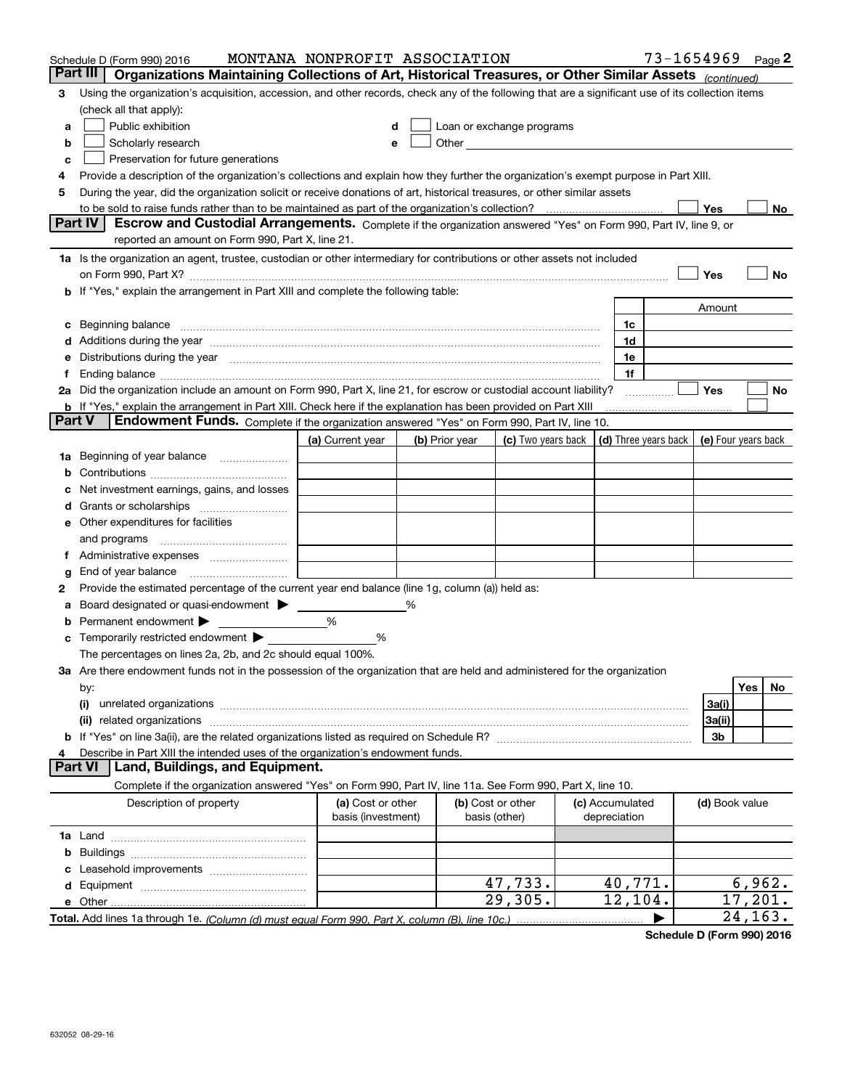|                | Schedule D (Form 990) 2016                                                                                                                                                                                                     | MONTANA NONPROFIT ASSOCIATION           |                |                                                  |                                            | $73 - 1654969$ Page 2 |                |                     |     |
|----------------|--------------------------------------------------------------------------------------------------------------------------------------------------------------------------------------------------------------------------------|-----------------------------------------|----------------|--------------------------------------------------|--------------------------------------------|-----------------------|----------------|---------------------|-----|
|                | Part III<br>Organizations Maintaining Collections of Art, Historical Treasures, or Other Similar Assets (continued)                                                                                                            |                                         |                |                                                  |                                            |                       |                |                     |     |
| 3              | Using the organization's acquisition, accession, and other records, check any of the following that are a significant use of its collection items                                                                              |                                         |                |                                                  |                                            |                       |                |                     |     |
|                | (check all that apply):                                                                                                                                                                                                        |                                         |                |                                                  |                                            |                       |                |                     |     |
| a              | Public exhibition                                                                                                                                                                                                              |                                         |                | Loan or exchange programs                        |                                            |                       |                |                     |     |
| b              | Scholarly research                                                                                                                                                                                                             | e                                       |                | Other <b>Other Committee Committee Committee</b> |                                            |                       |                |                     |     |
| с              | Preservation for future generations                                                                                                                                                                                            |                                         |                |                                                  |                                            |                       |                |                     |     |
| 4              | Provide a description of the organization's collections and explain how they further the organization's exempt purpose in Part XIII.                                                                                           |                                         |                |                                                  |                                            |                       |                |                     |     |
| 5              | During the year, did the organization solicit or receive donations of art, historical treasures, or other similar assets                                                                                                       |                                         |                |                                                  |                                            |                       |                |                     |     |
|                | to be sold to raise funds rather than to be maintained as part of the organization's collection?                                                                                                                               |                                         |                |                                                  |                                            |                       | Yes            |                     | No  |
| <b>Part IV</b> | Escrow and Custodial Arrangements. Complete if the organization answered "Yes" on Form 990, Part IV, line 9, or                                                                                                                |                                         |                |                                                  |                                            |                       |                |                     |     |
|                | reported an amount on Form 990, Part X, line 21.                                                                                                                                                                               |                                         |                |                                                  |                                            |                       |                |                     |     |
|                | 1a Is the organization an agent, trustee, custodian or other intermediary for contributions or other assets not included                                                                                                       |                                         |                |                                                  |                                            |                       |                |                     |     |
|                | on Form 990, Part X? [11] matter continuum matter contract to the contract of the contract of the contract of the contract of the contract of the contract of the contract of the contract of the contract of the contract of  |                                         |                |                                                  |                                            |                       | Yes            |                     | No  |
|                | b If "Yes," explain the arrangement in Part XIII and complete the following table:                                                                                                                                             |                                         |                |                                                  |                                            |                       |                |                     |     |
|                |                                                                                                                                                                                                                                |                                         |                |                                                  |                                            |                       | Amount         |                     |     |
|                | c Beginning balance measurements and the contract of the contract of the contract of the contract of the contract of the contract of the contract of the contract of the contract of the contract of the contract of the contr |                                         |                |                                                  | 1c                                         |                       |                |                     |     |
|                | d Additions during the year measurement contains and a state of the year measurement of the year measurement of                                                                                                                |                                         |                |                                                  | 1d                                         |                       |                |                     |     |
|                | e Distributions during the year manufactured and continuum and contact the year manufactured and contact the year manufactured and contact the year manufactured and contact the year manufactured and contact the year manufa |                                         |                |                                                  | 1e                                         |                       |                |                     |     |
|                | Ending balance manufactured and contract the contract of the contract of the contract of the contract of the contract of the contract of the contract of the contract of the contract of the contract of the contract of the c |                                         |                |                                                  | 1f                                         |                       |                |                     |     |
|                | 2a Did the organization include an amount on Form 990, Part X, line 21, for escrow or custodial account liability?                                                                                                             |                                         |                |                                                  |                                            |                       | Yes            |                     | No  |
| <b>Part V</b>  | <b>b</b> If "Yes," explain the arrangement in Part XIII. Check here if the explanation has been provided on Part XIII<br>Endowment Funds. Complete if the organization answered "Yes" on Form 990, Part IV, line 10.           |                                         |                |                                                  |                                            |                       |                |                     |     |
|                |                                                                                                                                                                                                                                |                                         |                |                                                  |                                            |                       |                |                     |     |
|                |                                                                                                                                                                                                                                | (a) Current year                        | (b) Prior year | (c) Two years back                               | (d) Three years back   (e) Four years back |                       |                |                     |     |
|                | <b>1a</b> Beginning of year balance                                                                                                                                                                                            |                                         |                |                                                  |                                            |                       |                |                     |     |
|                |                                                                                                                                                                                                                                |                                         |                |                                                  |                                            |                       |                |                     |     |
|                | Net investment earnings, gains, and losses                                                                                                                                                                                     |                                         |                |                                                  |                                            |                       |                |                     |     |
|                |                                                                                                                                                                                                                                |                                         |                |                                                  |                                            |                       |                |                     |     |
|                | e Other expenditures for facilities                                                                                                                                                                                            |                                         |                |                                                  |                                            |                       |                |                     |     |
|                | and programs                                                                                                                                                                                                                   |                                         |                |                                                  |                                            |                       |                |                     |     |
| Ť.             |                                                                                                                                                                                                                                |                                         |                |                                                  |                                            |                       |                |                     |     |
| g<br>2         | Provide the estimated percentage of the current year end balance (line 1g, column (a)) held as:                                                                                                                                |                                         |                |                                                  |                                            |                       |                |                     |     |
|                | Board designated or quasi-endowment                                                                                                                                                                                            |                                         | %              |                                                  |                                            |                       |                |                     |     |
|                | Permanent endowment >                                                                                                                                                                                                          | %                                       |                |                                                  |                                            |                       |                |                     |     |
|                | Temporarily restricted endowment >                                                                                                                                                                                             | %                                       |                |                                                  |                                            |                       |                |                     |     |
|                | The percentages on lines 2a, 2b, and 2c should equal 100%.                                                                                                                                                                     |                                         |                |                                                  |                                            |                       |                |                     |     |
|                | 3a Are there endowment funds not in the possession of the organization that are held and administered for the organization                                                                                                     |                                         |                |                                                  |                                            |                       |                |                     |     |
|                | by:                                                                                                                                                                                                                            |                                         |                |                                                  |                                            |                       |                | Yes                 | No. |
|                | (i)                                                                                                                                                                                                                            |                                         |                |                                                  |                                            |                       | 3a(i)          |                     |     |
|                | related organizations<br>(ii)                                                                                                                                                                                                  |                                         |                |                                                  |                                            |                       | 3a(ii)         |                     |     |
|                |                                                                                                                                                                                                                                |                                         |                |                                                  |                                            |                       | 3b             |                     |     |
|                | Describe in Part XIII the intended uses of the organization's endowment funds.                                                                                                                                                 |                                         |                |                                                  |                                            |                       |                |                     |     |
| <b>Part VI</b> | Land, Buildings, and Equipment.                                                                                                                                                                                                |                                         |                |                                                  |                                            |                       |                |                     |     |
|                | Complete if the organization answered "Yes" on Form 990, Part IV, line 11a. See Form 990, Part X, line 10.                                                                                                                     |                                         |                |                                                  |                                            |                       |                |                     |     |
|                | Description of property                                                                                                                                                                                                        | (a) Cost or other<br>basis (investment) |                | (b) Cost or other<br>basis (other)               | (c) Accumulated<br>depreciation            |                       | (d) Book value |                     |     |
|                |                                                                                                                                                                                                                                |                                         |                |                                                  |                                            |                       |                |                     |     |
| b              |                                                                                                                                                                                                                                |                                         |                |                                                  |                                            |                       |                |                     |     |
|                |                                                                                                                                                                                                                                |                                         |                |                                                  |                                            |                       |                |                     |     |
|                |                                                                                                                                                                                                                                |                                         |                | 47,733.                                          | 40,771.                                    |                       |                | 6,962.              |     |
|                |                                                                                                                                                                                                                                |                                         |                |                                                  |                                            |                       |                |                     |     |
|                |                                                                                                                                                                                                                                |                                         |                | 29,305.                                          | 12, 104.                                   |                       |                | 17, 201.<br>24,163. |     |

**Schedule D (Form 990) 2016**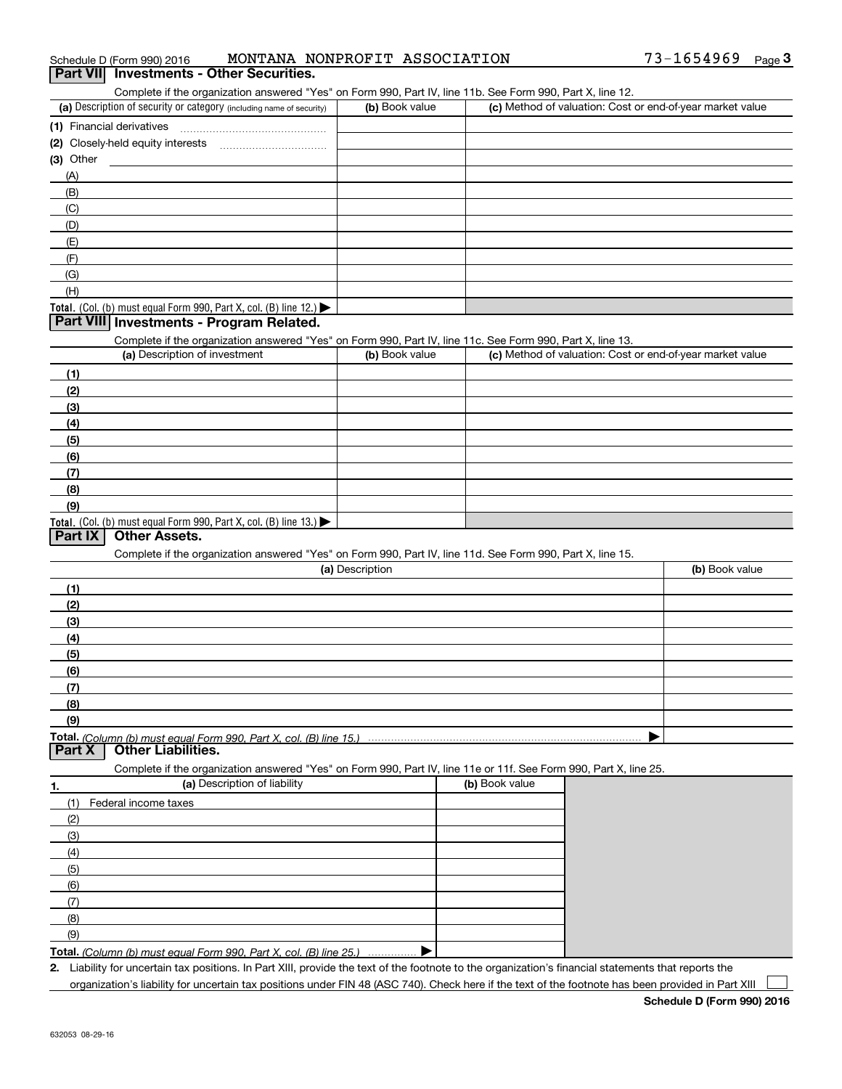| 73-1654969<br>MONTANA NONPROFIT ASSOCIATION<br>Schedule D (Form 990) 2016 |  | Page |
|---------------------------------------------------------------------------|--|------|
|---------------------------------------------------------------------------|--|------|

#### **Part VII Investments - Other Securities.**

Complete if the organization answered "Yes" on Form 990, Part IV, line 11b. See Form 990, Part X, line 12.

| (a) Description of security or category (including name of security)                          | (b) Book value | (c) Method of valuation: Cost or end-of-year market value |
|-----------------------------------------------------------------------------------------------|----------------|-----------------------------------------------------------|
| (1) Financial derivatives                                                                     |                |                                                           |
| (2) Closely-held equity interests                                                             |                |                                                           |
| (3) Other                                                                                     |                |                                                           |
| (A)                                                                                           |                |                                                           |
| (B)                                                                                           |                |                                                           |
| (C)                                                                                           |                |                                                           |
| (D)                                                                                           |                |                                                           |
| (E)                                                                                           |                |                                                           |
| (F)                                                                                           |                |                                                           |
| (G)                                                                                           |                |                                                           |
| (H)                                                                                           |                |                                                           |
| <b>Total.</b> (Col. (b) must equal Form 990, Part X, col. (B) line 12.) $\blacktriangleright$ |                |                                                           |

#### **Part VIII Investments - Program Related.**

Complete if the organization answered "Yes" on Form 990, Part IV, line 11c. See Form 990, Part X, line 13.

| (a) Description of investment                                                          | (b) Book value | (c) Method of valuation: Cost or end-of-year market value |
|----------------------------------------------------------------------------------------|----------------|-----------------------------------------------------------|
| (1)                                                                                    |                |                                                           |
| (2)                                                                                    |                |                                                           |
| $\frac{1}{2}$                                                                          |                |                                                           |
| (4)                                                                                    |                |                                                           |
| (5)                                                                                    |                |                                                           |
| (6)                                                                                    |                |                                                           |
| (7)                                                                                    |                |                                                           |
| (8)                                                                                    |                |                                                           |
| (9)                                                                                    |                |                                                           |
| Total. (Col. (b) must equal Form 990, Part X, col. (B) line 13.) $\blacktriangleright$ |                |                                                           |

#### **Part IX Other Assets.**

Complete if the organization answered "Yes" on Form 990, Part IV, line 11d. See Form 990, Part X, line 15.

| (a) Description  | (b) Book value |
|------------------|----------------|
| (1)              |                |
| (2)              |                |
| $\left(3\right)$ |                |
| (4)              |                |
| $\frac{1}{2}$    |                |
| (6)              |                |
|                  |                |
| (8)              |                |
| (9)              |                |
|                  |                |

**Part X Other Liabilities.**

Complete if the organization answered "Yes" on Form 990, Part IV, line 11e or 11f. See Form 990, Part X, line 25.

| 1.  | (a) Description of liability                                       | (b) Book value |
|-----|--------------------------------------------------------------------|----------------|
| (1) | Federal income taxes                                               |                |
| (2) |                                                                    |                |
| (3) |                                                                    |                |
| (4) |                                                                    |                |
| (5) |                                                                    |                |
| (6) |                                                                    |                |
| (7) |                                                                    |                |
| (8) |                                                                    |                |
| (9) |                                                                    |                |
|     | Total. (Column (b) must equal Form 990, Part X, col. (B) line 25.) |                |

**2.**Liability for uncertain tax positions. In Part XIII, provide the text of the footnote to the organization's financial statements that reports the

organization's liability for uncertain tax positions under FIN 48 (ASC 740). Check here if the text of the footnote has been provided in Part XIII

**Schedule D (Form 990) 2016**

 $\mathcal{L}^{\text{max}}$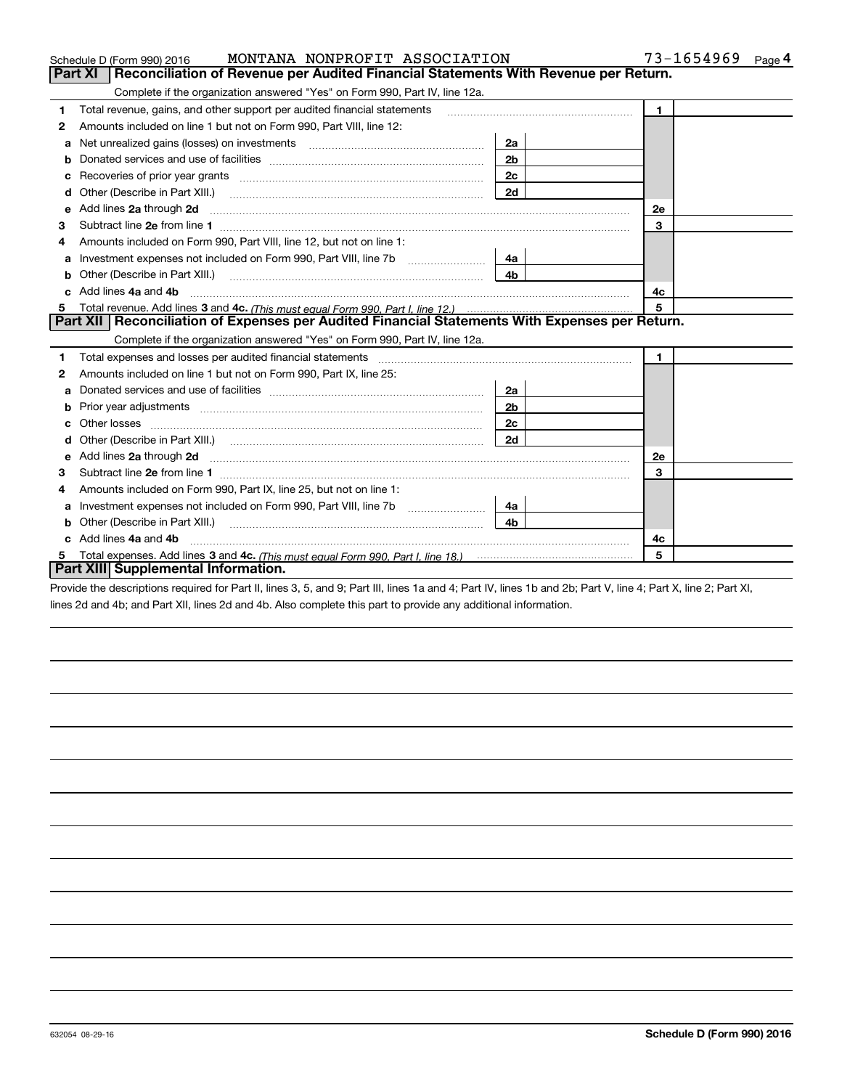|    | MONTANA NONPROFIT ASSOCIATION<br>Schedule D (Form 990) 2016                                                                                                                                                                    | 73-1654969<br>$Page$ <sup>4</sup> |              |  |  |  |
|----|--------------------------------------------------------------------------------------------------------------------------------------------------------------------------------------------------------------------------------|-----------------------------------|--------------|--|--|--|
|    | <b>Part XI</b><br>Reconciliation of Revenue per Audited Financial Statements With Revenue per Return.                                                                                                                          |                                   |              |  |  |  |
|    | Complete if the organization answered "Yes" on Form 990, Part IV, line 12a.                                                                                                                                                    |                                   |              |  |  |  |
| 1  | Total revenue, gains, and other support per audited financial statements                                                                                                                                                       | $\blacksquare$                    |              |  |  |  |
| 2  | Amounts included on line 1 but not on Form 990, Part VIII, line 12:                                                                                                                                                            |                                   |              |  |  |  |
| a  |                                                                                                                                                                                                                                | 2a                                |              |  |  |  |
|    |                                                                                                                                                                                                                                | 2 <sub>b</sub>                    |              |  |  |  |
| с  | Recoveries of prior year grants [11] matter contracts and prior year grants [11] matter contracts and prior year grants and prior year of the contracts and prior year of the contracts and prior year of the contracts and pr | 2c                                |              |  |  |  |
| d  |                                                                                                                                                                                                                                | 2d                                |              |  |  |  |
| е  | Add lines 2a through 2d                                                                                                                                                                                                        |                                   | <b>2e</b>    |  |  |  |
| 3  |                                                                                                                                                                                                                                |                                   | 3            |  |  |  |
| 4  | Amounts included on Form 990, Part VIII, line 12, but not on line 1:                                                                                                                                                           |                                   |              |  |  |  |
| а  | Investment expenses not included on Form 990, Part VIII, line 7b [111] [11] Investment expenses not included on Form 990, Part VIII, line 7b                                                                                   | 4a                                |              |  |  |  |
| b  |                                                                                                                                                                                                                                | 4 <sub>b</sub>                    |              |  |  |  |
| C. | Add lines 4a and 4b                                                                                                                                                                                                            |                                   | 4с           |  |  |  |
| 5  |                                                                                                                                                                                                                                |                                   | 5            |  |  |  |
|    | Part XII   Reconciliation of Expenses per Audited Financial Statements With Expenses per Return.                                                                                                                               |                                   |              |  |  |  |
|    | Complete if the organization answered "Yes" on Form 990, Part IV, line 12a.                                                                                                                                                    |                                   |              |  |  |  |
| 1  | Total expenses and losses per audited financial statements                                                                                                                                                                     |                                   | $\mathbf{1}$ |  |  |  |
| 2  | Amounts included on line 1 but not on Form 990, Part IX, line 25:                                                                                                                                                              |                                   |              |  |  |  |
| a  |                                                                                                                                                                                                                                | 2a                                |              |  |  |  |
|    |                                                                                                                                                                                                                                | 2 <sub>b</sub>                    |              |  |  |  |
| с  |                                                                                                                                                                                                                                | 2c                                |              |  |  |  |
| d  |                                                                                                                                                                                                                                | 2d                                |              |  |  |  |
| е  | Add lines 2a through 2d <b>must be a constructed as the constant of the State of Add</b> lines 2a through 2d                                                                                                                   |                                   | 2e           |  |  |  |
| 3  |                                                                                                                                                                                                                                |                                   | 3            |  |  |  |
| 4  | Amounts included on Form 990, Part IX, line 25, but not on line 1:                                                                                                                                                             |                                   |              |  |  |  |
| a  |                                                                                                                                                                                                                                | 4a                                |              |  |  |  |
| b  |                                                                                                                                                                                                                                | 4b.                               |              |  |  |  |
|    | Add lines 4a and 4b                                                                                                                                                                                                            |                                   | 4c           |  |  |  |
| 5  | 5                                                                                                                                                                                                                              |                                   |              |  |  |  |
|    | Part XIII Supplemental Information.                                                                                                                                                                                            |                                   |              |  |  |  |

Provide the descriptions required for Part II, lines 3, 5, and 9; Part III, lines 1a and 4; Part IV, lines 1b and 2b; Part V, line 4; Part X, line 2; Part XI, lines 2d and 4b; and Part XII, lines 2d and 4b. Also complete this part to provide any additional information.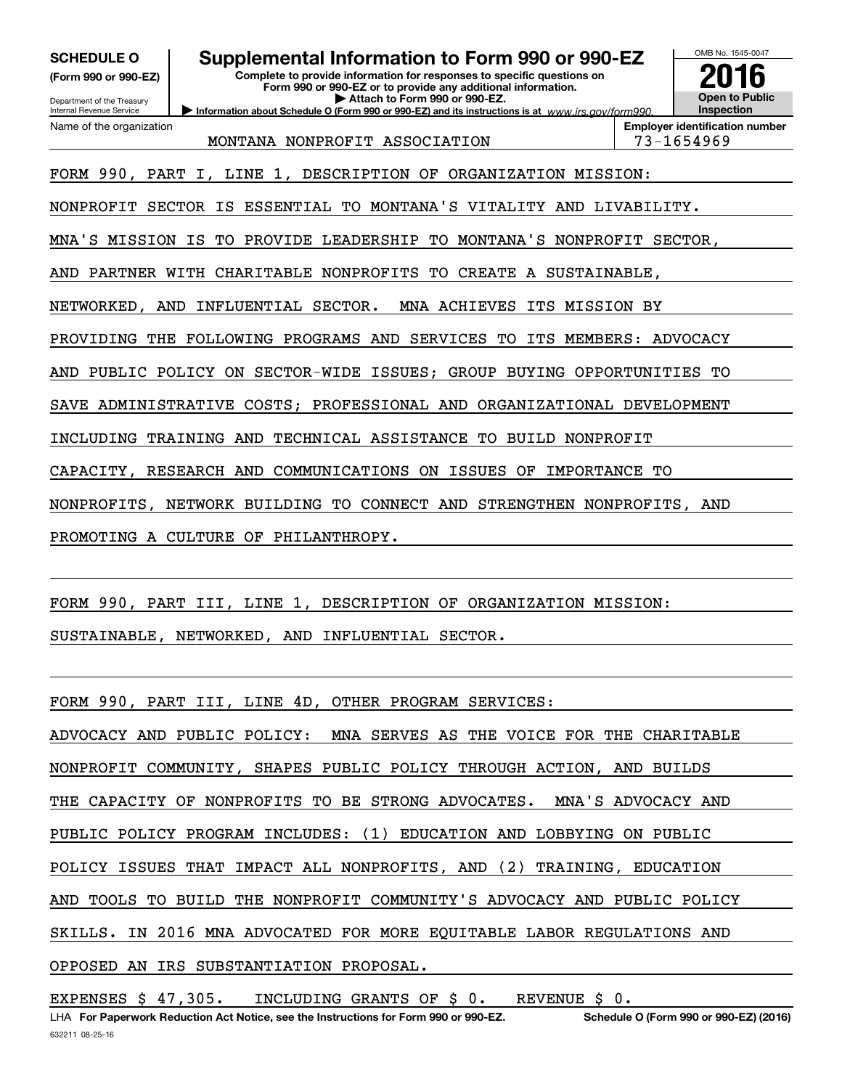**(Form 990 or 990-EZ)**

### **SCHEDULE O Supplemental Information to Form 990 or 990-EZ**

**Information about Schedule O (Form 990 or 990-EZ) and its instructions is at**  $www.irs.gov/form990.$ 

**Complete to provide information for responses to specific questions on Form 990 or 990-EZ or to provide any additional information. | Attach to Form 990 or 990-EZ.**



Department of the Treasury Internal Revenue Service Name of the organization

MONTANA NONPROFIT ASSOCIATION | 73-1654969

**Employer identification number**

FORM 990, PART I, LINE 1, DESCRIPTION OF ORGANIZATION MISSION:

NONPROFIT SECTOR IS ESSENTIAL TO MONTANA'S VITALITY AND LIVABILITY.

MNA'S MISSION IS TO PROVIDE LEADERSHIP TO MONTANA'S NONPROFIT SECTOR,

AND PARTNER WITH CHARITABLE NONPROFITS TO CREATE A SUSTAINABLE,

NETWORKED, AND INFLUENTIAL SECTOR. MNA ACHIEVES ITS MISSION BY

PROVIDING THE FOLLOWING PROGRAMS AND SERVICES TO ITS MEMBERS: ADVOCACY

AND PUBLIC POLICY ON SECTOR-WIDE ISSUES; GROUP BUYING OPPORTUNITIES TO

SAVE ADMINISTRATIVE COSTS; PROFESSIONAL AND ORGANIZATIONAL DEVELOPMENT

INCLUDING TRAINING AND TECHNICAL ASSISTANCE TO BUILD NONPROFIT

CAPACITY, RESEARCH AND COMMUNICATIONS ON ISSUES OF IMPORTANCE TO

NONPROFITS, NETWORK BUILDING TO CONNECT AND STRENGTHEN NONPROFITS, AND

PROMOTING A CULTURE OF PHILANTHROPY.

FORM 990, PART III, LINE 1, DESCRIPTION OF ORGANIZATION MISSION:

SUSTAINABLE, NETWORKED, AND INFLUENTIAL SECTOR.

FORM 990, PART III, LINE 4D, OTHER PROGRAM SERVICES:

ADVOCACY AND PUBLIC POLICY: MNA SERVES AS THE VOICE FOR THE CHARITABLE NONPROFIT COMMUNITY, SHAPES PUBLIC POLICY THROUGH ACTION, AND BUILDS THE CAPACITY OF NONPROFITS TO BE STRONG ADVOCATES. MNA'S ADVOCACY AND PUBLIC POLICY PROGRAM INCLUDES: (1) EDUCATION AND LOBBYING ON PUBLIC POLICY ISSUES THAT IMPACT ALL NONPROFITS, AND (2) TRAINING, EDUCATION AND TOOLS TO BUILD THE NONPROFIT COMMUNITY'S ADVOCACY AND PUBLIC POLICY SKILLS. IN 2016 MNA ADVOCATED FOR MORE EQUITABLE LABOR REGULATIONS AND OPPOSED AN IRS SUBSTANTIATION PROPOSAL.

EXPENSES \$ 47,305. INCLUDING GRANTS OF \$ 0. REVENUE \$ 0.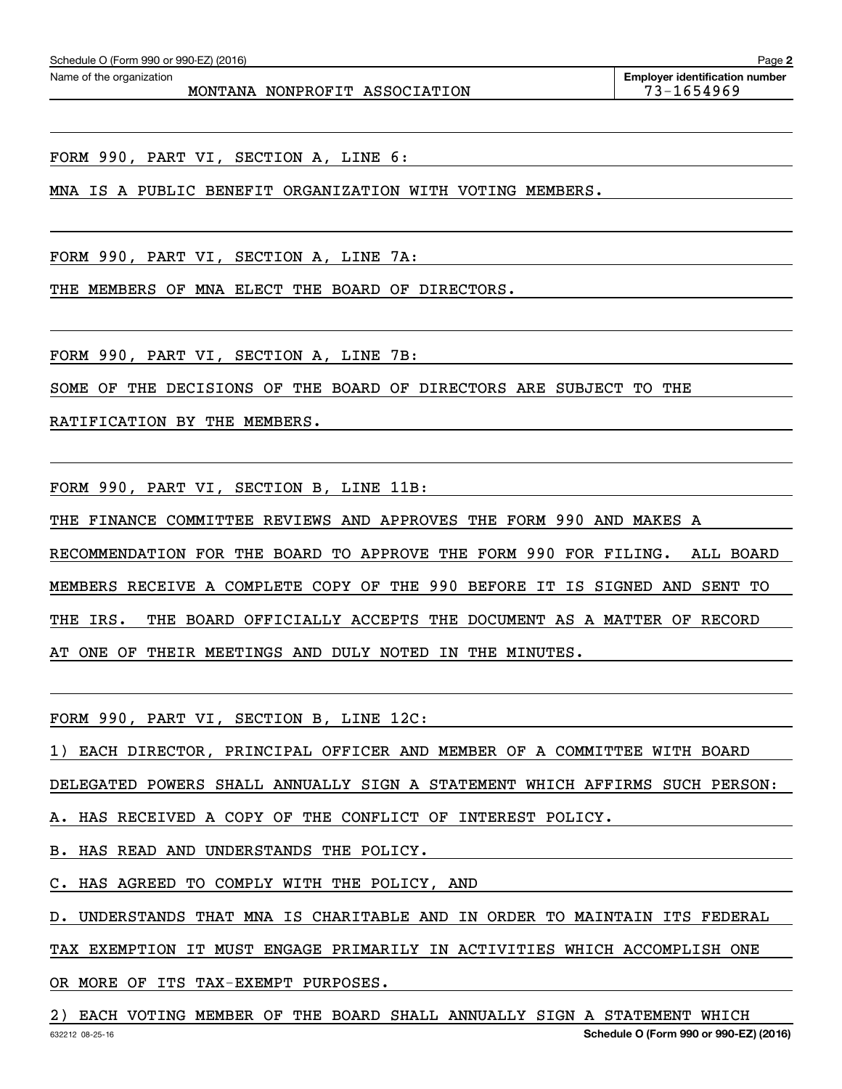FORM 990, PART VI, SECTION A, LINE 6:

MNA IS A PUBLIC BENEFIT ORGANIZATION WITH VOTING MEMBERS.

FORM 990, PART VI, SECTION A, LINE 7A:

THE MEMBERS OF MNA ELECT THE BOARD OF DIRECTORS.

FORM 990, PART VI, SECTION A, LINE 7B:

SOME OF THE DECISIONS OF THE BOARD OF DIRECTORS ARE SUBJECT TO THE

RATIFICATION BY THE MEMBERS.

FORM 990, PART VI, SECTION B, LINE 11B:

THE FINANCE COMMITTEE REVIEWS AND APPROVES THE FORM 990 AND MAKES A RECOMMENDATION FOR THE BOARD TO APPROVE THE FORM 990 FOR FILING. ALL BOARD MEMBERS RECEIVE A COMPLETE COPY OF THE 990 BEFORE IT IS SIGNED AND SENT TO THE IRS. THE BOARD OFFICIALLY ACCEPTS THE DOCUMENT AS A MATTER OF RECORD AT ONE OF THEIR MEETINGS AND DULY NOTED IN THE MINUTES.

FORM 990, PART VI, SECTION B, LINE 12C:

1) EACH DIRECTOR, PRINCIPAL OFFICER AND MEMBER OF A COMMITTEE WITH BOARD

DELEGATED POWERS SHALL ANNUALLY SIGN A STATEMENT WHICH AFFIRMS SUCH PERSON:

A. HAS RECEIVED A COPY OF THE CONFLICT OF INTEREST POLICY.

B. HAS READ AND UNDERSTANDS THE POLICY.

C. HAS AGREED TO COMPLY WITH THE POLICY, AND

D. UNDERSTANDS THAT MNA IS CHARITABLE AND IN ORDER TO MAINTAIN ITS FEDERAL

TAX EXEMPTION IT MUST ENGAGE PRIMARILY IN ACTIVITIES WHICH ACCOMPLISH ONE

OR MORE OF ITS TAX-EXEMPT PURPOSES.

632212 08-25-16 **Schedule O (Form 990 or 990-EZ) (2016)** 2) EACH VOTING MEMBER OF THE BOARD SHALL ANNUALLY SIGN A STATEMENT WHICH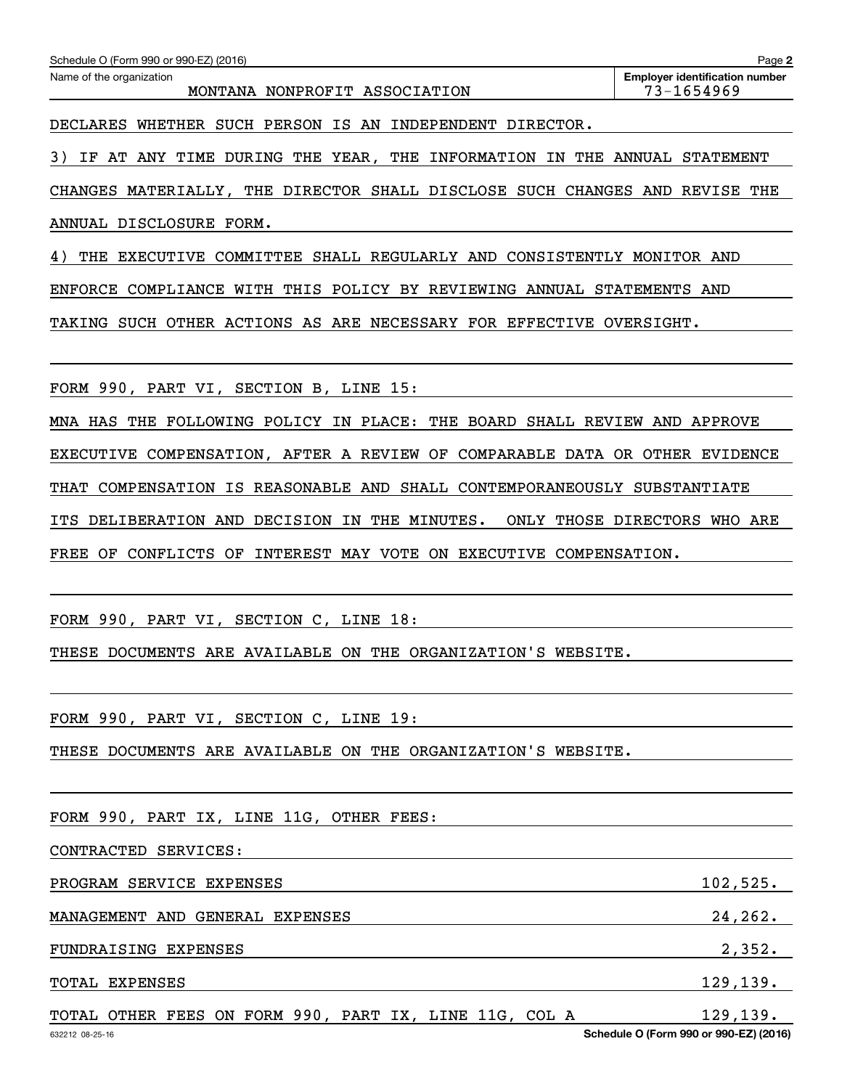| Schedule O (Form 990 or 990-EZ) (2016)                                 | Page 2                                |
|------------------------------------------------------------------------|---------------------------------------|
| Name of the organization                                               | <b>Employer identification number</b> |
| MONTANA NONPROFIT ASSOCIATION                                          | 73-1654969                            |
| WHETHER SUCH<br>PERSON IS AN<br>INDEPENDENT DIRECTOR.<br>DECLARES      |                                       |
| THE YEAR, THE INFORMATION IN<br>3)<br>AT ANY TIME DURING<br>THE<br>IF. | ANNUAL<br>STATEMENT                   |
| THE DIRECTOR SHALL DISCLOSE SUCH CHANGES AND<br>CHANGES MATERIALLY,    | REVISE THE                            |
| ANNUAL DISCLOSURE<br>FORM.                                             |                                       |
| THE EXECUTIVE COMMITTEE SHALL REGULARLY AND CONSISTENTLY               | MONITOR AND                           |
| THIS POLICY BY REVIEWING<br>COMPLIANCE WITH<br>ANNUAL<br>ENFORCE       | STATEMENTS<br>AND                     |
| ACTIONS AS ARE NECESSARY FOR EFFECTIVE<br>OTHER<br>TAKING<br>SUCH      | OVERSIGHT.                            |

FORM 990, PART VI, SECTION B, LINE 15:

MNA HAS THE FOLLOWING POLICY IN PLACE: THE BOARD SHALL REVIEW AND APPROVE EXECUTIVE COMPENSATION, AFTER A REVIEW OF COMPARABLE DATA OR OTHER EVIDENCE THAT COMPENSATION IS REASONABLE AND SHALL CONTEMPORANEOUSLY SUBSTANTIATE

ITS DELIBERATION AND DECISION IN THE MINUTES. ONLY THOSE DIRECTORS WHO ARE FREE OF CONFLICTS OF INTEREST MAY VOTE ON EXECUTIVE COMPENSATION.

FORM 990, PART VI, SECTION C, LINE 18:

THESE DOCUMENTS ARE AVAILABLE ON THE ORGANIZATION'S WEBSITE.

FORM 990, PART VI, SECTION C, LINE 19:

THESE DOCUMENTS ARE AVAILABLE ON THE ORGANIZATION'S WEBSITE.

| FORM 990, PART IX, LINE 11G, OTHER FEES:               |           |
|--------------------------------------------------------|-----------|
| CONTRACTED SERVICES:                                   |           |
| PROGRAM SERVICE EXPENSES                               | 102,525.  |
| MANAGEMENT AND GENERAL EXPENSES                        | 24, 262.  |
| FUNDRAISING EXPENSES                                   | 2,352.    |
| <b>TOTAL EXPENSES</b>                                  | 129, 139. |
| TOTAL OTHER FEES ON FORM 990, PART IX, LINE 11G, COL A | 129, 139. |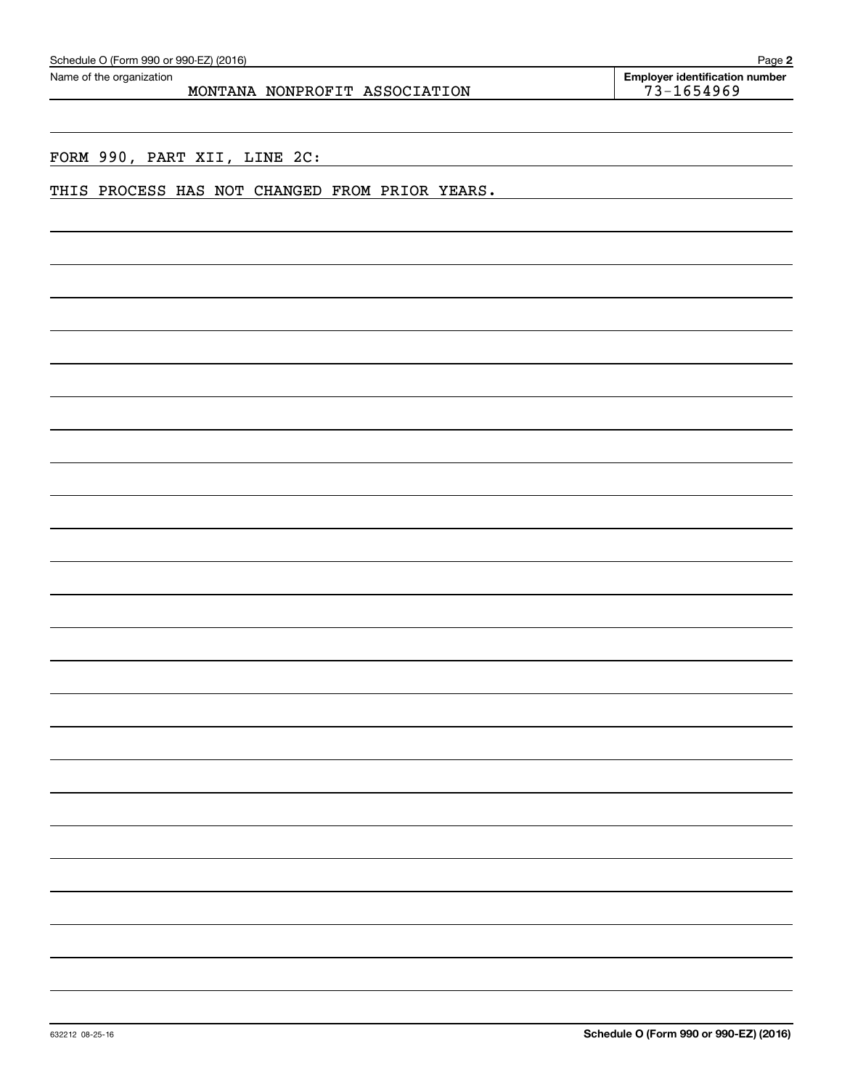|                 |  | THIS PROCESS HAS NOT CHANGED FROM PRIOR YEARS. |  |                                        |  |
|-----------------|--|------------------------------------------------|--|----------------------------------------|--|
|                 |  |                                                |  |                                        |  |
|                 |  |                                                |  |                                        |  |
|                 |  |                                                |  |                                        |  |
|                 |  |                                                |  |                                        |  |
|                 |  |                                                |  |                                        |  |
|                 |  |                                                |  |                                        |  |
|                 |  |                                                |  |                                        |  |
|                 |  |                                                |  |                                        |  |
|                 |  |                                                |  |                                        |  |
|                 |  |                                                |  |                                        |  |
|                 |  |                                                |  |                                        |  |
|                 |  |                                                |  |                                        |  |
|                 |  |                                                |  |                                        |  |
|                 |  |                                                |  |                                        |  |
|                 |  |                                                |  |                                        |  |
|                 |  |                                                |  |                                        |  |
|                 |  |                                                |  |                                        |  |
|                 |  |                                                |  |                                        |  |
|                 |  |                                                |  |                                        |  |
|                 |  |                                                |  |                                        |  |
|                 |  |                                                |  |                                        |  |
|                 |  |                                                |  |                                        |  |
|                 |  |                                                |  |                                        |  |
|                 |  |                                                |  |                                        |  |
| 632212 08-25-16 |  |                                                |  | Schedule O (Form 990 or 990-EZ) (2016) |  |
|                 |  |                                                |  |                                        |  |

FORM 990, PART XII, LINE 2C:

MONTANA NONPROFIT ASSOCIATION | 73-1654969

**2** Echedule O (Form 990 or 990-EZ) (2016)<br>Name of the organization **number** Name of the organization **page Name of the organization number**